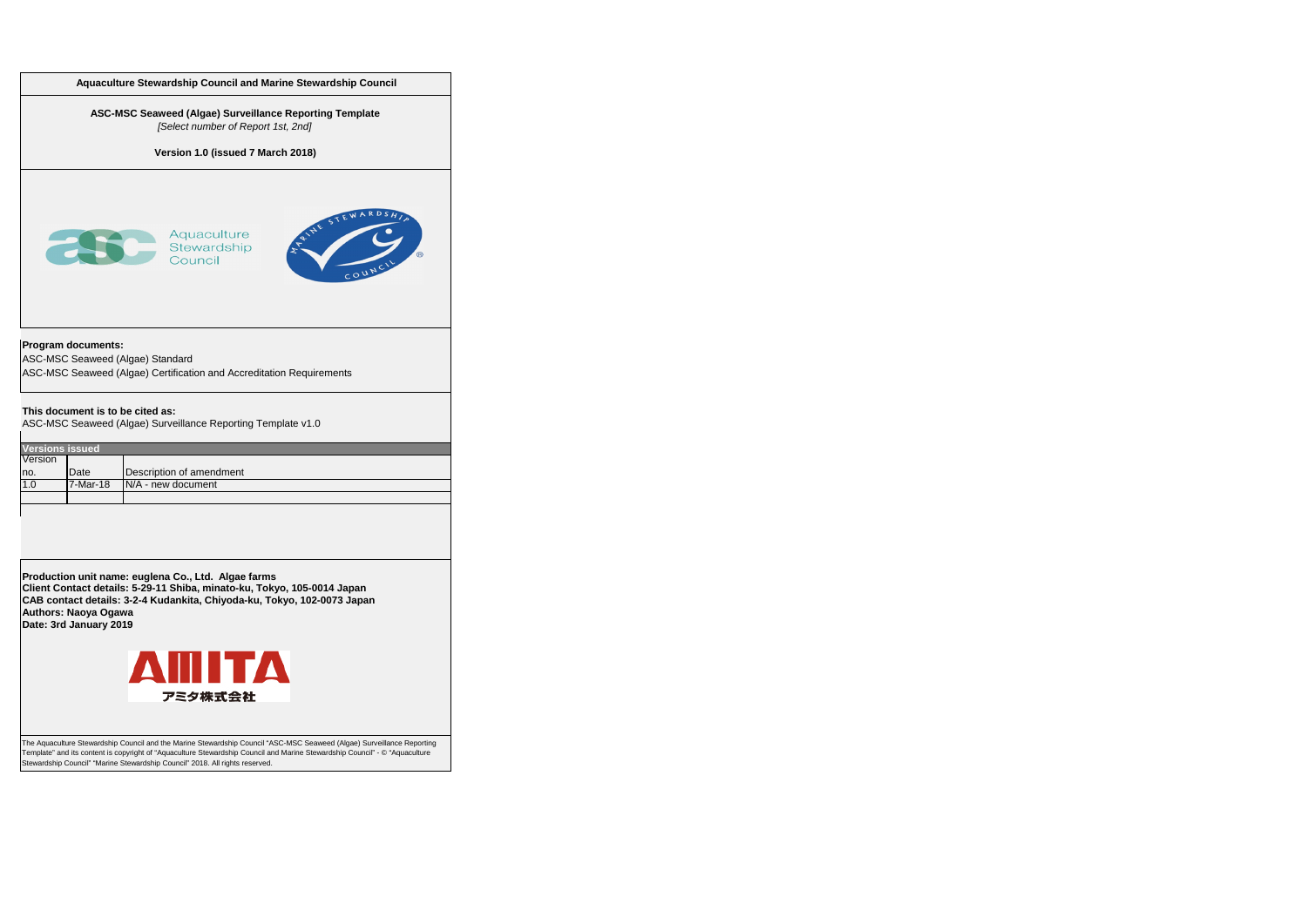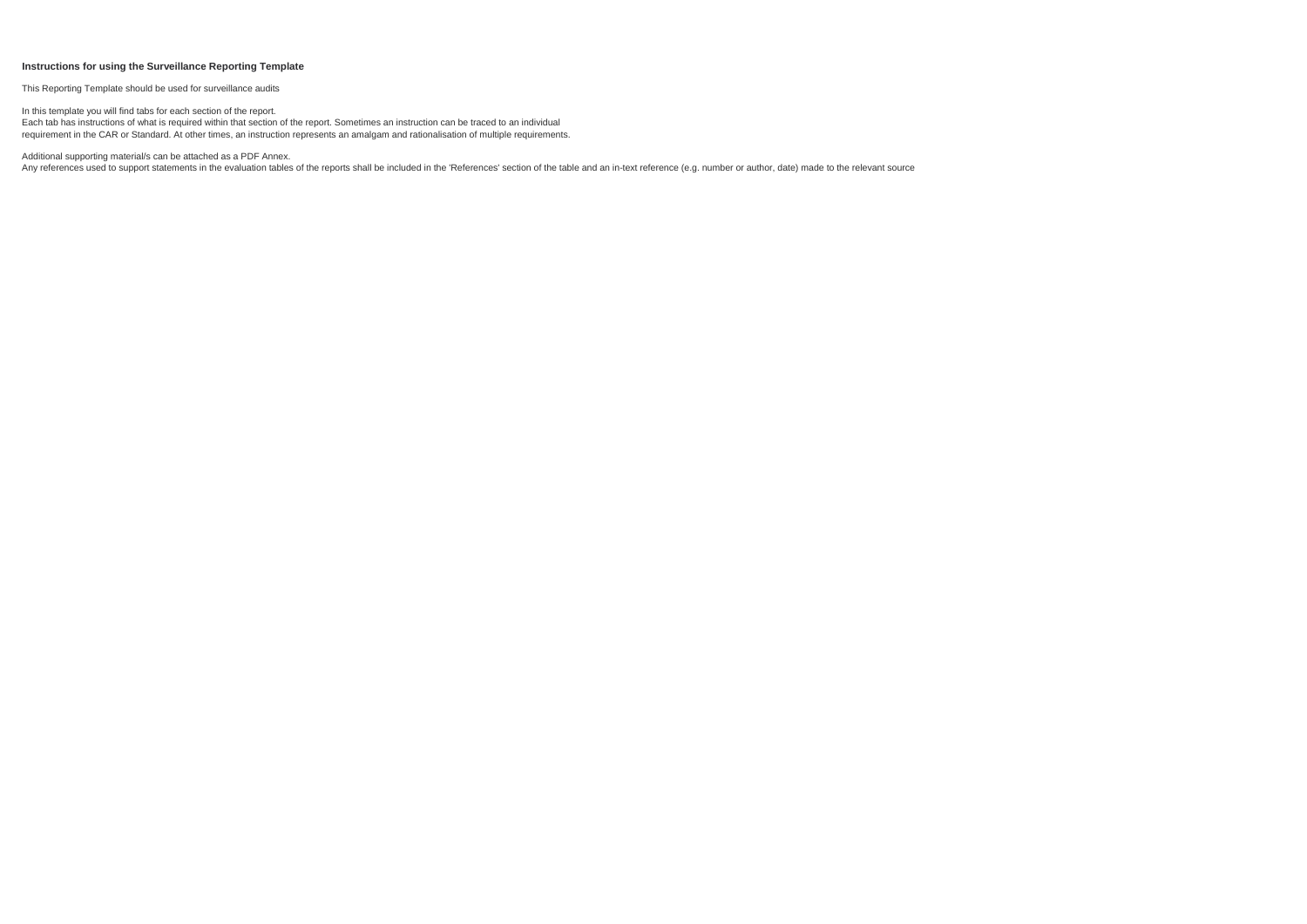### **Instructions for using the Surveillance Reporting Template**

This Reporting Template should be used for surveillance audits

Additional supporting material/s can be attached as a PDF Annex.

Any references used to support statements in the evaluation tables of the reports shall be included in the 'References' section of the table and an in-text reference (e.g. number or author, date) made to the relevant sourc

In this template you will find tabs for each section of the report. Each tab has instructions of what is required within that section of the report. Sometimes an instruction can be traced to an individual requirement in the CAR or Standard. At other times, an instruction represents an amalgam and rationalisation of multiple requirements.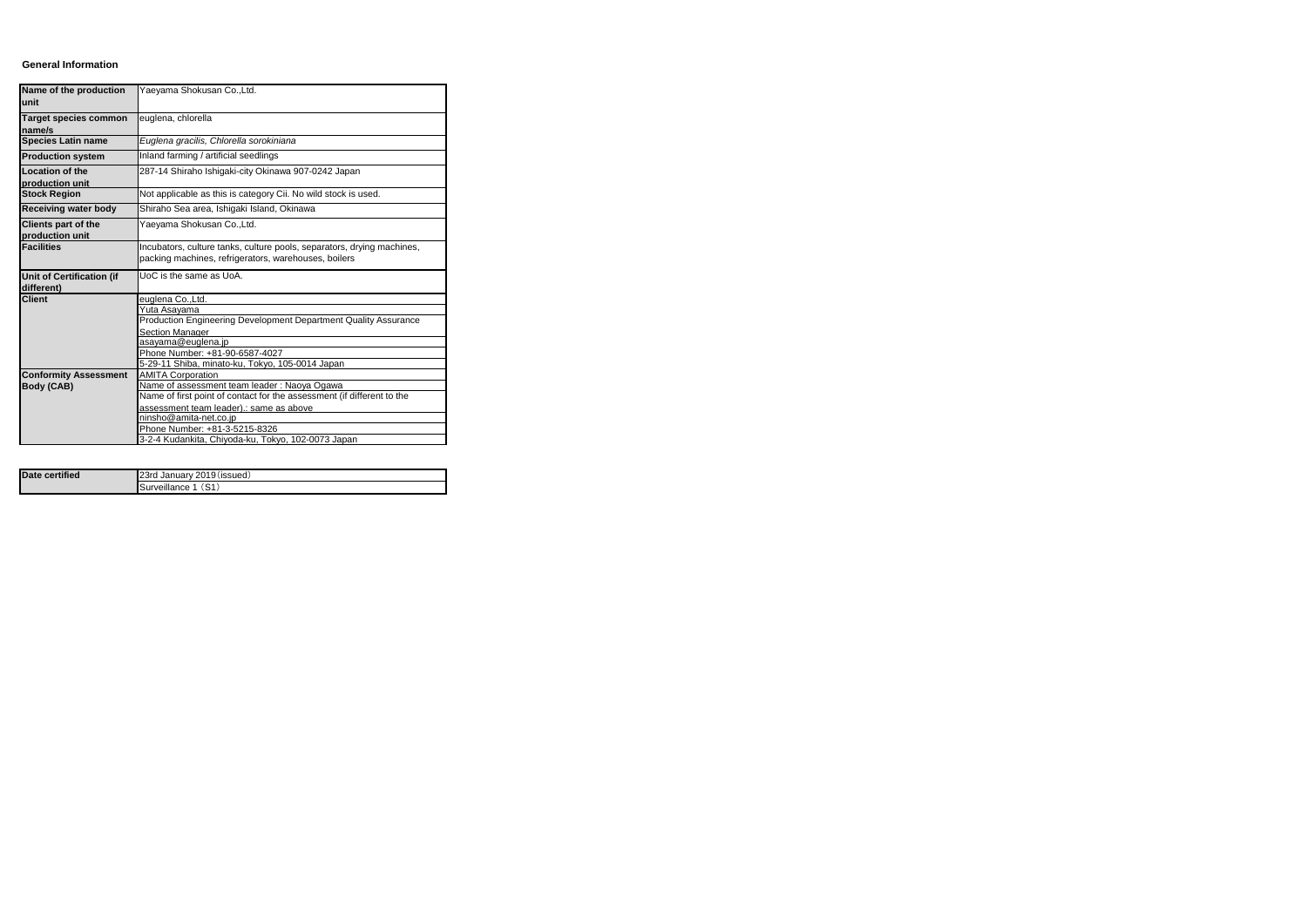#### **General Information**

| Name of the production<br>unit                 | Yaeyama Shokusan Co., Ltd.                                                                                                     |
|------------------------------------------------|--------------------------------------------------------------------------------------------------------------------------------|
| <b>Target species common</b><br>name/s         | euglena, chlorella                                                                                                             |
| <b>Species Latin name</b>                      | Euglena gracilis, Chlorella sorokiniana                                                                                        |
| <b>Production system</b>                       | Inland farming / artificial seedlings                                                                                          |
| <b>Location of the</b><br>production unit      | 287-14 Shiraho Ishigaki-city Okinawa 907-0242 Japan                                                                            |
| <b>Stock Region</b>                            | Not applicable as this is category Cii. No wild stock is used.                                                                 |
| <b>Receiving water body</b>                    | Shiraho Sea area, Ishigaki Island, Okinawa                                                                                     |
| <b>Clients part of the</b><br>production unit  | Yaeyama Shokusan Co.,Ltd.                                                                                                      |
| <b>Facilities</b>                              | Incubators, culture tanks, culture pools, separators, drying machines,<br>packing machines, refrigerators, warehouses, boilers |
| <b>Unit of Certification (if</b><br>different) | UoC is the same as UoA.                                                                                                        |
| <b>Client</b>                                  | euglena Co., Ltd.                                                                                                              |
|                                                |                                                                                                                                |
|                                                | Yuta Asayama                                                                                                                   |
|                                                | Production Engineering Development Department Quality Assurance                                                                |
|                                                | Section Manager                                                                                                                |
|                                                | asayama@euglena.jp                                                                                                             |
|                                                | Phone Number: +81-90-6587-4027<br>5-29-11 Shiba, minato-ku, Tokyo, 105-0014 Japan                                              |
|                                                | <b>AMITA Corporation</b>                                                                                                       |
| <b>Conformity Assessment</b><br>Body (CAB)     | Name of assessment team leader: Naoya Ogawa                                                                                    |
|                                                | Name of first point of contact for the assessment (if different to the                                                         |
|                                                | assessment team leader).: same as above                                                                                        |
|                                                | ninsho@amita-net.co.jp                                                                                                         |
|                                                | Phone Number: +81-3-5215-8326<br>3-2-4 Kudankita, Chiyoda-ku, Tokyo, 102-0073 Japan                                            |

| Date certified | 23rd January 2019 (issued) |
|----------------|----------------------------|
|                | Surveillance 1 (S1)        |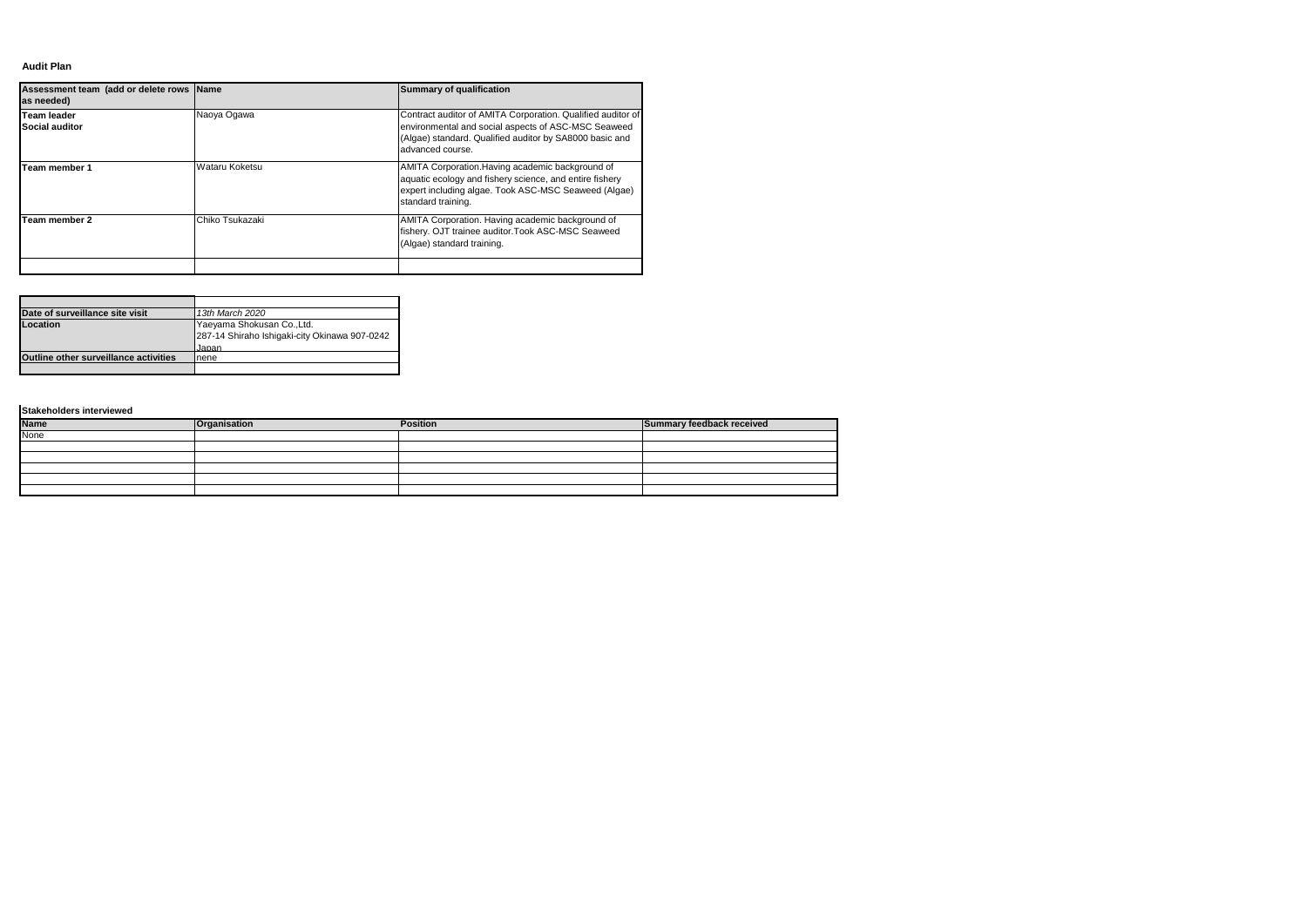### **Audit Plan**

| Assessment team (add or delete rows Name<br>as needed) |                 | Summary of qualification                                                                                                                                                                          |
|--------------------------------------------------------|-----------------|---------------------------------------------------------------------------------------------------------------------------------------------------------------------------------------------------|
| <b>Team leader</b><br><b>Social auditor</b>            | Naoya Ogawa     | Contract auditor of AMITA Corporation. Qualified auditor of<br>environmental and social aspects of ASC-MSC Seaweed<br>(Algae) standard. Qualified auditor by SA8000 basic and<br>advanced course. |
| Team member 1                                          | Wataru Koketsu  | AMITA Corporation. Having academic background of<br>aquatic ecology and fishery science, and entire fishery<br>expert including algae. Took ASC-MSC Seaweed (Algae)<br>standard training.         |
| Team member 2                                          | Chiko Tsukazaki | AMITA Corporation. Having academic background of<br>fishery. OJT trainee auditor. Took ASC-MSC Seaweed<br>(Algae) standard training.                                                              |
|                                                        |                 |                                                                                                                                                                                                   |

| Date of surveillance site visit              | 13th March 2020                               |
|----------------------------------------------|-----------------------------------------------|
| Location                                     | Yaeyama Shokusan Co., Ltd.                    |
|                                              | 287-14 Shiraho Ishigaki-city Okinawa 907-0242 |
|                                              | Japan                                         |
| <b>Outline other surveillance activities</b> | nene                                          |
|                                              |                                               |

| <b>Name</b> | <b>Organisation</b> | <b>Position</b> | Summary feedback received |
|-------------|---------------------|-----------------|---------------------------|
| None        |                     |                 |                           |
|             |                     |                 |                           |
|             |                     |                 |                           |
|             |                     |                 |                           |
|             |                     |                 |                           |
|             |                     |                 |                           |

**Stakeholders interviewed**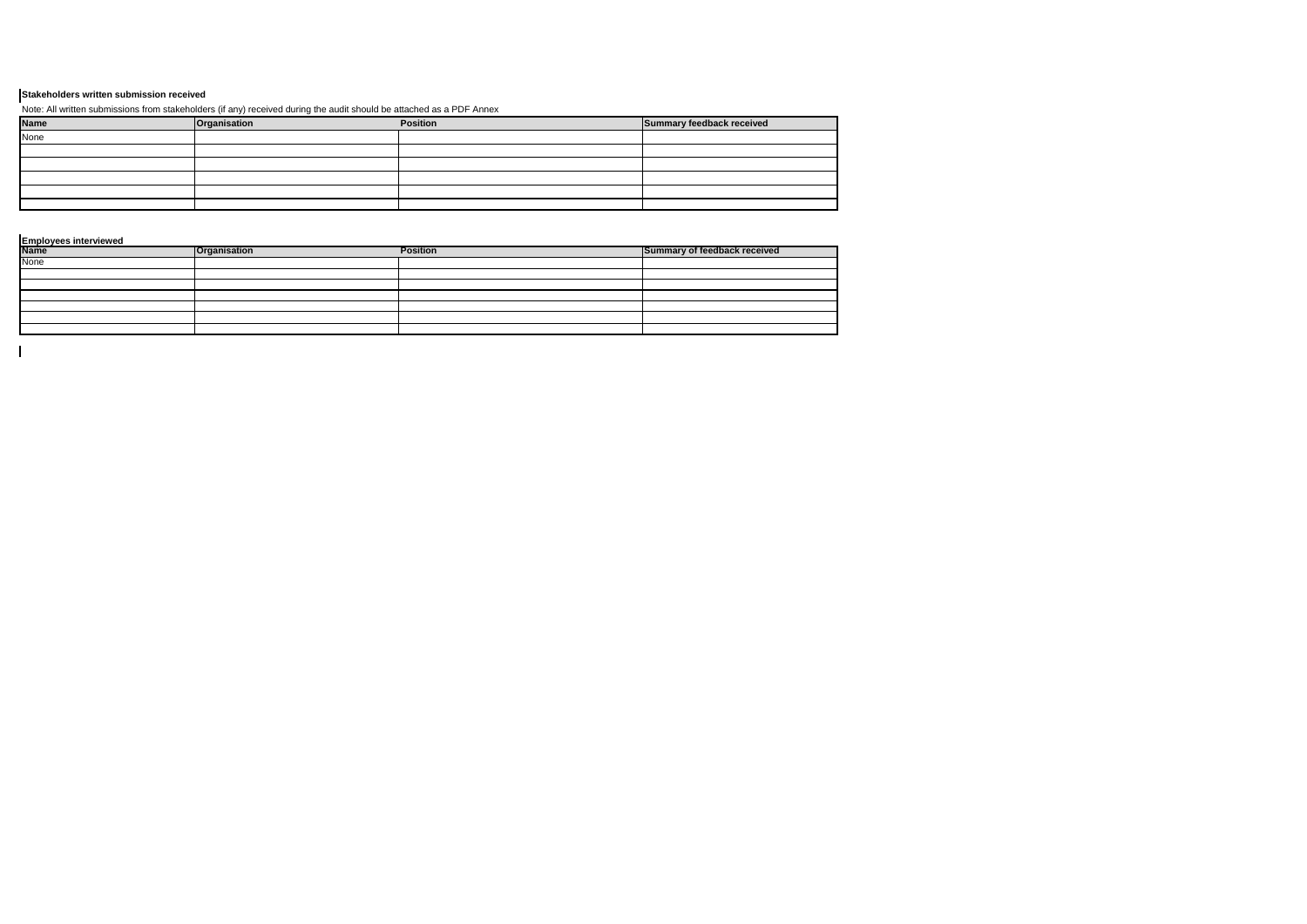| <b>Name</b> | Organisation | <b>Position</b> | Summary feedback received |
|-------------|--------------|-----------------|---------------------------|
| None        |              |                 |                           |
|             |              |                 |                           |
|             |              |                 |                           |
|             |              |                 |                           |
|             |              |                 |                           |
|             |              |                 |                           |

| <b>Name</b> | <b>Organisation</b> | <b>Position</b> | Summary of feedback received |
|-------------|---------------------|-----------------|------------------------------|
| None        |                     |                 |                              |
|             |                     |                 |                              |
|             |                     |                 |                              |
|             |                     |                 |                              |
|             |                     |                 |                              |
|             |                     |                 |                              |
|             |                     |                 |                              |

 $\mathbf{I}$ 

# **Stakeholders written submission received**

Note: All written submissions from stakeholders (if any) received during the audit should be attached as a PDF Annex

**Employees interviewed**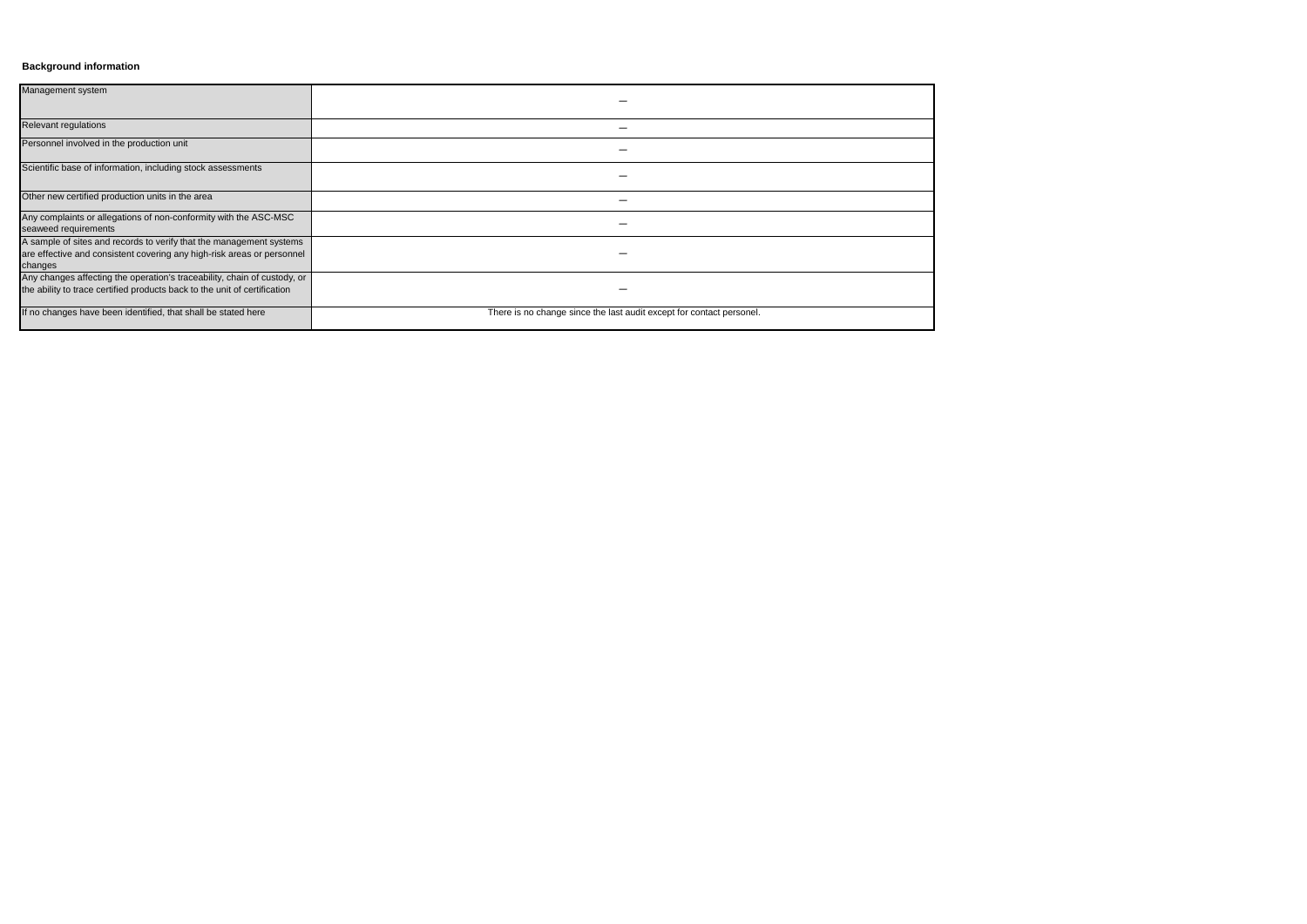# **Background information**

| Management system                                                                                                                                        |                                                                      |
|----------------------------------------------------------------------------------------------------------------------------------------------------------|----------------------------------------------------------------------|
| Relevant regulations                                                                                                                                     |                                                                      |
| Personnel involved in the production unit                                                                                                                |                                                                      |
| Scientific base of information, including stock assessments                                                                                              |                                                                      |
| Other new certified production units in the area                                                                                                         |                                                                      |
| Any complaints or allegations of non-conformity with the ASC-MSC<br>seaweed requirements                                                                 |                                                                      |
| A sample of sites and records to verify that the management systems<br>are effective and consistent covering any high-risk areas or personnel<br>changes |                                                                      |
| Any changes affecting the operation's traceability, chain of custody, or<br>the ability to trace certified products back to the unit of certification    |                                                                      |
| If no changes have been identified, that shall be stated here                                                                                            | There is no change since the last audit except for contact personel. |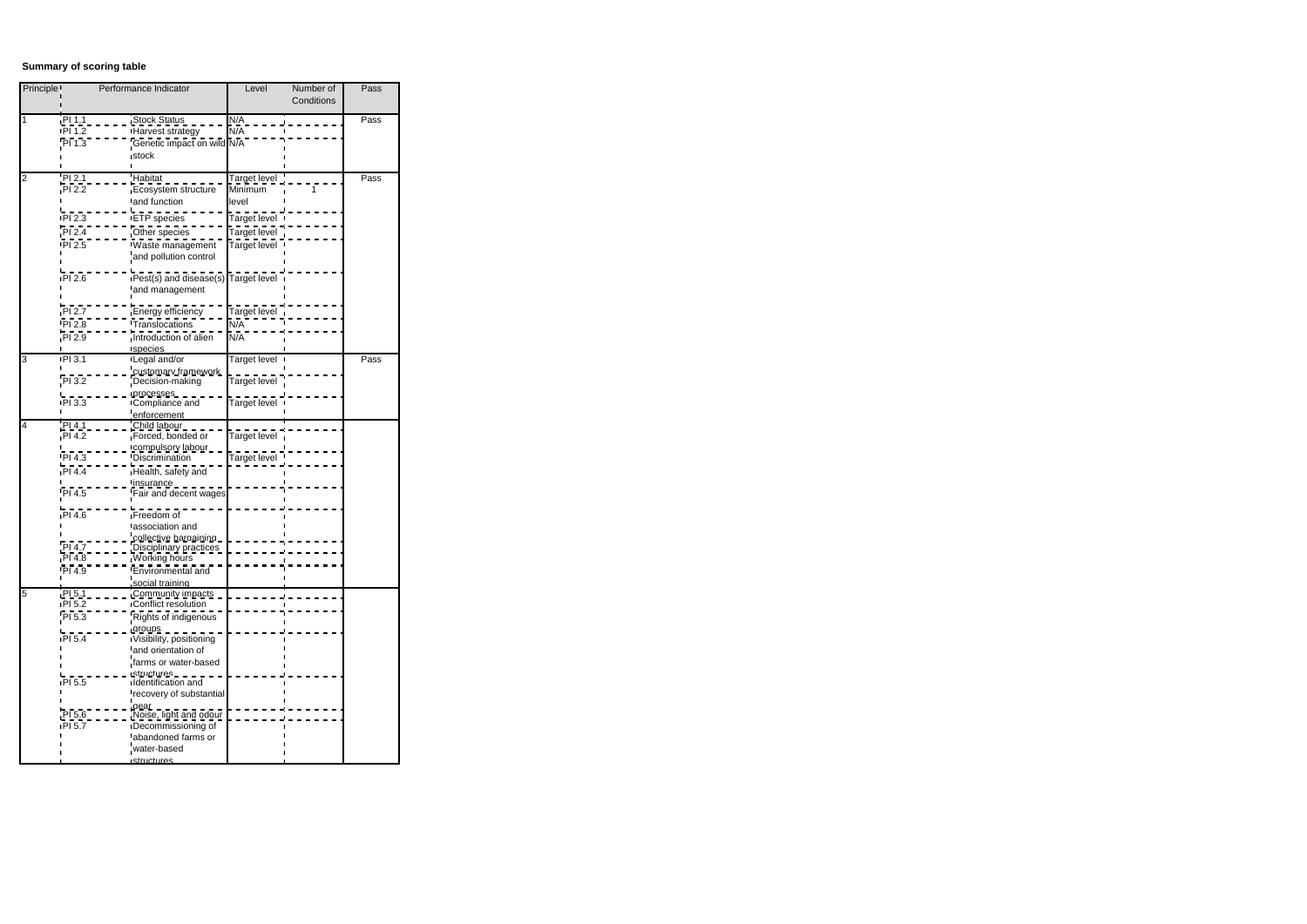# **Summary of scoring table**

| Principle <sup>1</sup> | Performance Indicator                                | Level               | Number of  | Pass |
|------------------------|------------------------------------------------------|---------------------|------------|------|
|                        |                                                      |                     | Conditions |      |
| $\mathbf{1}$           | PI 1.1<br><b>Stock Status</b>                        | N/A                 |            | Pass |
|                        | <b>PI 1.2</b><br>Harvest strategy                    | N/A                 |            |      |
|                        | PI1.3<br>Genetic impact on wild N/A                  |                     |            |      |
|                        | stock                                                |                     |            |      |
|                        |                                                      |                     |            |      |
| $\overline{c}$         | Habitat<br>PI 2.1                                    | <u>Target level</u> |            | Pass |
|                        | PI 2.2<br>Ecosystem structure                        | Minimum             | 1          |      |
|                        | and function                                         | level               |            |      |
|                        | PI <sub>2.3</sub><br>∎ETP species                    | Target level        |            |      |
|                        |                                                      |                     |            |      |
|                        | PI 2.4<br>Other species                              | Target level        |            |      |
|                        | PI 2.5<br>Waste management                           | Target level        |            |      |
|                        | and pollution control                                |                     |            |      |
|                        | PI 2.6<br>Pest(s) and disease(s) Target level        |                     |            |      |
|                        | land management                                      |                     |            |      |
|                        |                                                      |                     |            |      |
|                        | PI 2.7<br>Energy efficiency                          | Target level        |            |      |
|                        | PI 2.8<br>Translocations                             | N/A                 |            |      |
|                        | PI <sub>2.9</sub><br>Introduction of alien           | N/A                 |            |      |
|                        | species                                              |                     |            |      |
| 3                      | <b>PI3.1</b><br>Legal and/or                         | Target level        |            | Pass |
|                        | customary framework                                  |                     |            |      |
|                        | $PI$ 3.2<br>Decision-making                          | Target level        |            |      |
|                        | processes                                            |                     |            |      |
|                        | PI 3.3<br>Compliance and                             | Target level        |            |      |
|                        | enforcement                                          |                     |            |      |
| 4                      | PI 4.1<br>Child labour                               |                     |            |      |
|                        | PI4.2<br>Forced, bonded or                           | Target level        |            |      |
|                        | compulsory labour<br><b>Discrimination</b><br>PI 4.3 | Target level        |            |      |
|                        | PI 4.4<br>Health, safety and                         |                     |            |      |
|                        | <u>insurance</u>                                     |                     |            |      |
|                        | PI 4.5<br>Fair and decent wages                      |                     |            |      |
|                        |                                                      |                     |            |      |
|                        | PI4.6<br>Freedom of                                  |                     |            |      |
|                        | association and                                      |                     |            |      |
|                        | collective bargaining                                |                     |            |      |
|                        | PI 4.7<br>D <u>isciplinary practices</u>             |                     |            |      |
|                        | PI4.8<br>Working hours                               |                     |            |      |
|                        | <b>PI4.9</b><br><b>Fnvironmental and</b>             |                     |            |      |
|                        | social training                                      |                     |            |      |
| 5                      | PI 5.1<br>Community impacts<br>Conflict resolution   |                     |            |      |
|                        | <b>PI 5.2</b>                                        |                     |            |      |
|                        | Rights of indigenous<br>PI 5.3                       |                     |            |      |
|                        | groups<br>PI 5.4<br>Visibility, positioning          |                     |            |      |
|                        | and orientation of                                   |                     |            |      |
|                        | farms or water-based                                 |                     |            |      |
|                        | structures                                           |                     |            |      |
|                        | PI 5.5<br>Identification and                         |                     |            |      |
|                        | recovery of substantial                              |                     |            |      |
|                        | $q$ ear                                              |                     |            |      |
|                        | PI 5.6<br>Noise, light and odour                     |                     |            |      |
|                        | Decommissioning of<br>PI 5.7                         |                     |            |      |
|                        | abandoned farms or                                   |                     |            |      |
|                        | water-based                                          |                     |            |      |
|                        | structures                                           |                     |            |      |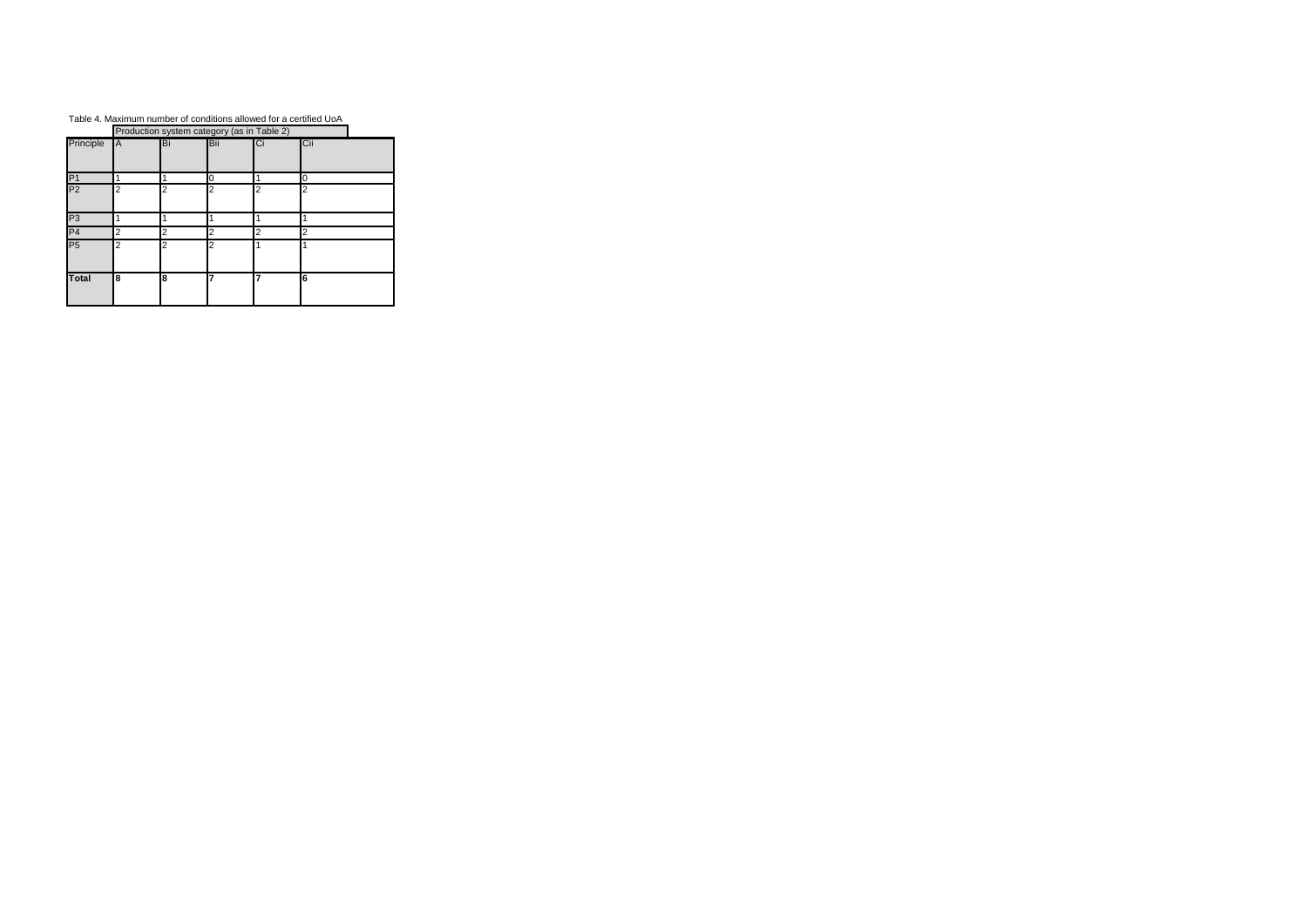# Table 4. Maximum number of conditions allowed for a certified UoA

|                | Production system category (as in Table 2) |                |                |    |     |  |  |  |  |
|----------------|--------------------------------------------|----------------|----------------|----|-----|--|--|--|--|
| Principle      | A                                          | ΙBi            | Bii            | Ci | Cii |  |  |  |  |
| P <sub>1</sub> |                                            |                | U              |    | U   |  |  |  |  |
| P <sub>2</sub> | 2                                          | 2              | 2              | 2  | 2   |  |  |  |  |
| P <sub>3</sub> |                                            |                |                |    |     |  |  |  |  |
| P <sub>4</sub> | 2                                          | $\overline{2}$ | 2              | 2  | 2   |  |  |  |  |
| P <sub>5</sub> | 2                                          | $\overline{2}$ | $\overline{2}$ |    |     |  |  |  |  |
| <b>Total</b>   | 8                                          | 8              | 7              | 7  | 6   |  |  |  |  |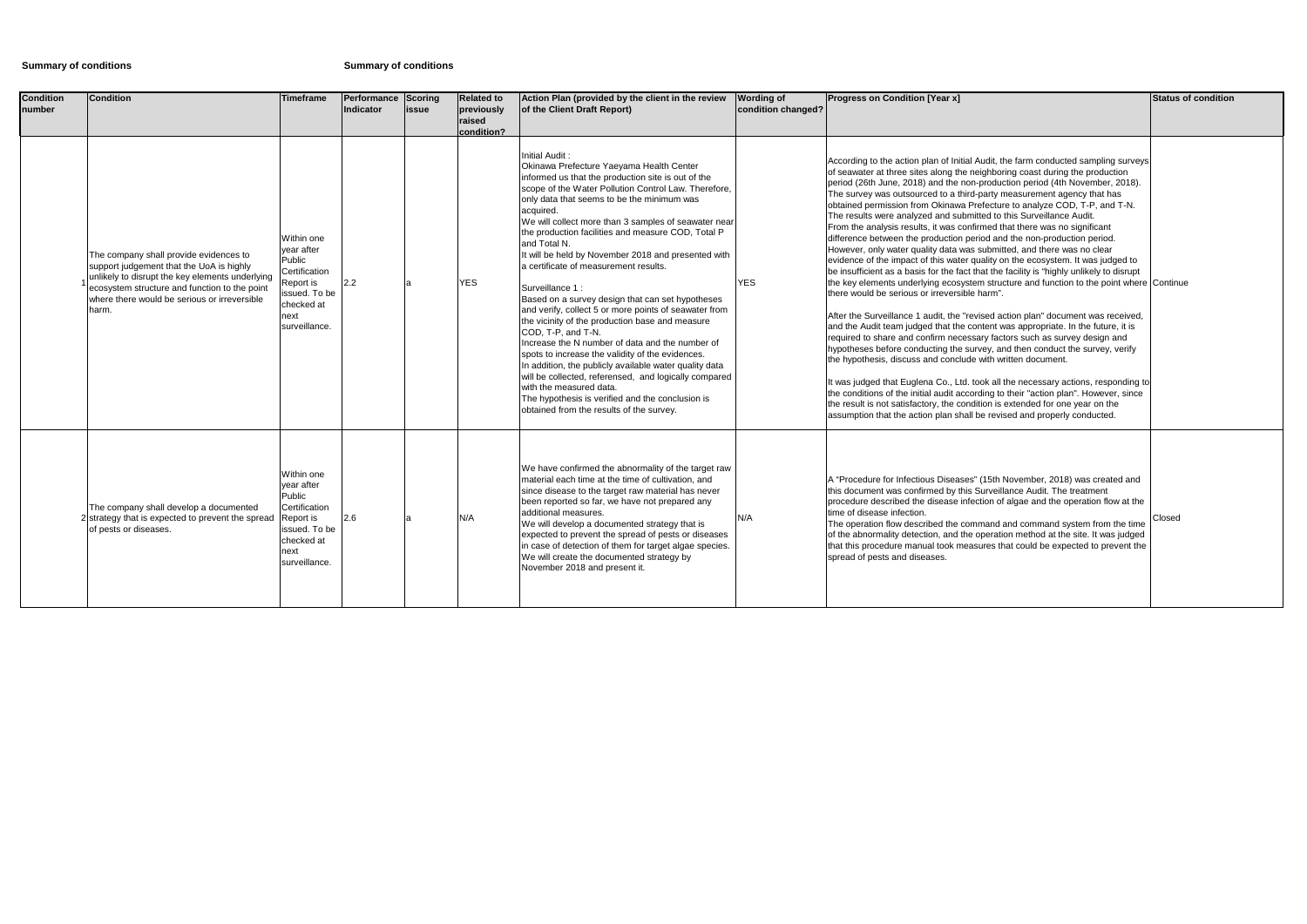# **Summary of conditions Summary of conditions**

| <b>Condition</b><br>number | <b>Condition</b>                                                                                                                                                                                                                                | <b>Timeframe</b>                                                                                                         | Performance<br>Indicator | Scoring<br>issue | <b>Related to</b><br>previously<br>raised<br>condition? | Action Plan (provided by the client in the review<br>of the Client Draft Report)                                                                                                                                                                                                                                                                                                                                                                                                                                                                                                                                                                                                                                                                                                                                                                                                                                                                                                                                                      | <b>Wording of</b><br>condition changed? | <b>Progress on Condition [Year x]</b>                                                                                                                                                                                                                                                                                                                                                                                                                                                                                                                                                                                                                                                                                                                                                                                                                                                                                                                                                                                                                                                                                                                                                                                                                                                                                                                                                                                                                                                                                                                                                                                                                                                                                                                                                         | <b>Status of condition</b> |
|----------------------------|-------------------------------------------------------------------------------------------------------------------------------------------------------------------------------------------------------------------------------------------------|--------------------------------------------------------------------------------------------------------------------------|--------------------------|------------------|---------------------------------------------------------|---------------------------------------------------------------------------------------------------------------------------------------------------------------------------------------------------------------------------------------------------------------------------------------------------------------------------------------------------------------------------------------------------------------------------------------------------------------------------------------------------------------------------------------------------------------------------------------------------------------------------------------------------------------------------------------------------------------------------------------------------------------------------------------------------------------------------------------------------------------------------------------------------------------------------------------------------------------------------------------------------------------------------------------|-----------------------------------------|-----------------------------------------------------------------------------------------------------------------------------------------------------------------------------------------------------------------------------------------------------------------------------------------------------------------------------------------------------------------------------------------------------------------------------------------------------------------------------------------------------------------------------------------------------------------------------------------------------------------------------------------------------------------------------------------------------------------------------------------------------------------------------------------------------------------------------------------------------------------------------------------------------------------------------------------------------------------------------------------------------------------------------------------------------------------------------------------------------------------------------------------------------------------------------------------------------------------------------------------------------------------------------------------------------------------------------------------------------------------------------------------------------------------------------------------------------------------------------------------------------------------------------------------------------------------------------------------------------------------------------------------------------------------------------------------------------------------------------------------------------------------------------------------------|----------------------------|
|                            | The company shall provide evidences to<br>support judgement that the UoA is highly<br>unlikely to disrupt the key elements underlying<br>ecosystem structure and function to the point<br>where there would be serious or irreversible<br>harm. | Within one<br>vear after<br>Public<br>Certification<br>Report is<br>issued. To be<br>checked at<br>next<br>surveillance. | 2.2                      |                  | <b>YES</b>                                              | <b>Initial Audit</b><br>Okinawa Prefecture Yaeyama Health Center<br>informed us that the production site is out of the<br>scope of the Water Pollution Control Law. Therefore,<br>only data that seems to be the minimum was<br>acquired.<br>We will collect more than 3 samples of seawater near<br>the production facilities and measure COD, Total P<br>and Total N.<br>It will be held by November 2018 and presented with<br>a certificate of measurement results.<br>Surveillance 1:<br>Based on a survey design that can set hypotheses<br>and verify, collect 5 or more points of seawater from<br>the vicinity of the production base and measure<br>COD, T-P, and T-N.<br>Increase the N number of data and the number of<br>spots to increase the validity of the evidences.<br>In addition, the publicly available water quality data<br>will be collected, referensed, and logically compared<br>with the measured data.<br>The hypothesis is verified and the conclusion is<br>obtained from the results of the survey. | <b>YES</b>                              | According to the action plan of Initial Audit, the farm conducted sampling surveys<br>of seawater at three sites along the neighboring coast during the production<br>period (26th June, 2018) and the non-production period (4th November, 2018).<br>The survey was outsourced to a third-party measurement agency that has<br>obtained permission from Okinawa Prefecture to analyze COD, T-P, and T-N.<br>The results were analyzed and submitted to this Surveillance Audit.<br>From the analysis results, it was confirmed that there was no significant<br>difference between the production period and the non-production period.<br>However, only water quality data was submitted, and there was no clear<br>evidence of the impact of this water quality on the ecosystem. It was judged to<br>be insufficient as a basis for the fact that the facility is "highly unlikely to disrupt<br>the key elements underlying ecosystem structure and function to the point where Continue<br>there would be serious or irreversible harm".<br>After the Surveillance 1 audit, the "revised action plan" document was received,<br>and the Audit team judged that the content was appropriate. In the future, it is<br>required to share and confirm necessary factors such as survey design and<br>hypotheses before conducting the survey, and then conduct the survey, verify<br>the hypothesis, discuss and conclude with written document.<br>It was judged that Euglena Co., Ltd. took all the necessary actions, responding to<br>the conditions of the initial audit according to their "action plan". However, since<br>the result is not satisfactory, the condition is extended for one year on the<br>assumption that the action plan shall be revised and properly conducted. |                            |
|                            | The company shall develop a documented<br>2 strategy that is expected to prevent the spread<br>of pests or diseases.                                                                                                                            | Within one<br>year after<br>Public<br>Certification<br>Report is<br>issued. To be<br>checked at<br>next<br>surveillance. | 2.6                      |                  | N/A                                                     | We have confirmed the abnormality of the target raw<br>material each time at the time of cultivation, and<br>since disease to the target raw material has never<br>been reported so far, we have not prepared any<br>additional measures.<br>We will develop a documented strategy that is<br>expected to prevent the spread of pests or diseases<br>in case of detection of them for target algae species.<br>We will create the documented strategy by<br>November 2018 and present it.                                                                                                                                                                                                                                                                                                                                                                                                                                                                                                                                             | N/A                                     | A "Procedure for Infectious Diseases" (15th November, 2018) was created and<br>this document was confirmed by this Surveillance Audit. The treatment<br>procedure described the disease infection of algae and the operation flow at the<br>time of disease infection.<br>The operation flow described the command and command system from the time<br>of the abnormality detection, and the operation method at the site. It was judged<br>that this procedure manual took measures that could be expected to prevent the<br>spread of pests and diseases.                                                                                                                                                                                                                                                                                                                                                                                                                                                                                                                                                                                                                                                                                                                                                                                                                                                                                                                                                                                                                                                                                                                                                                                                                                   | Closed                     |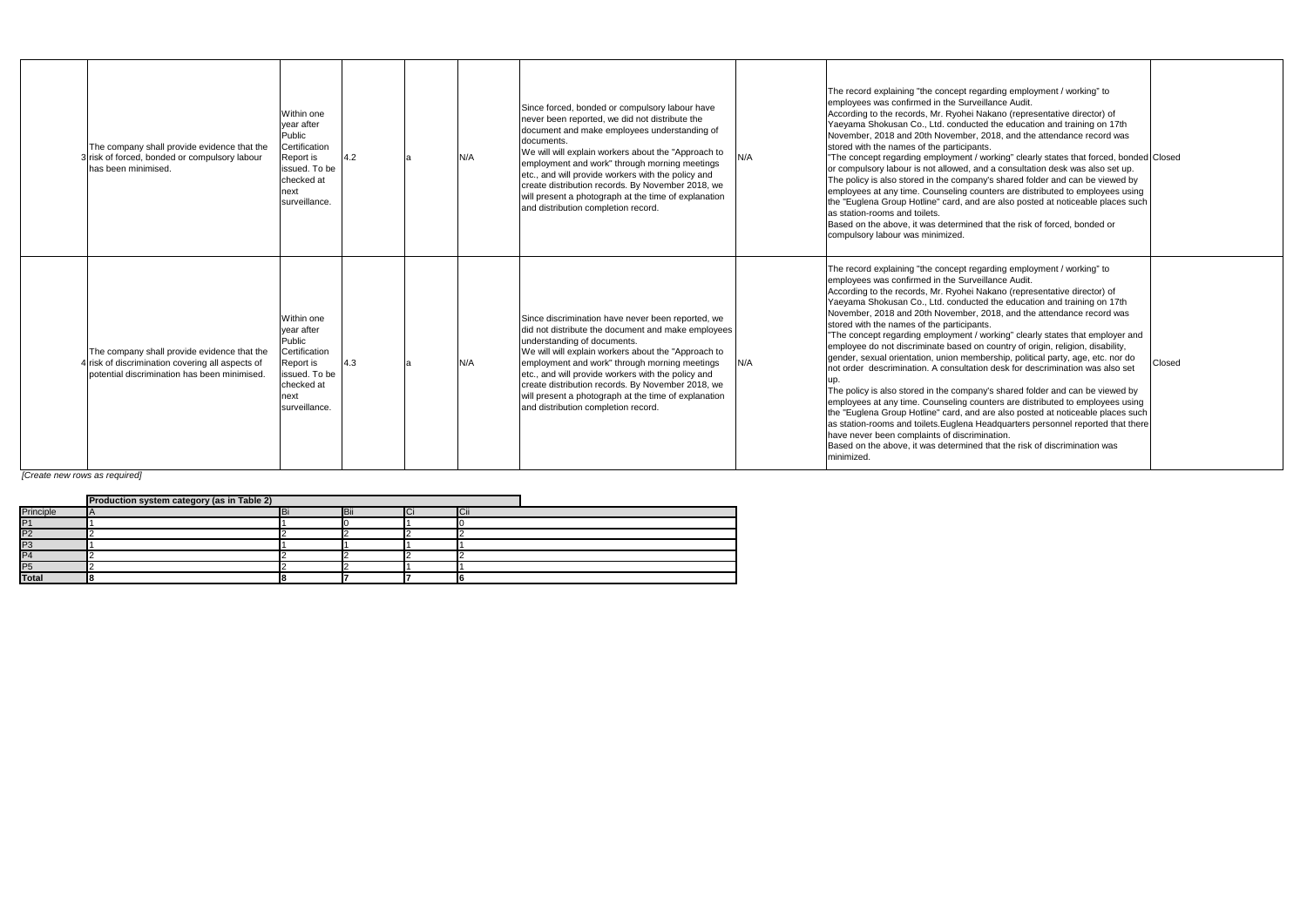| The company shall provide evidence that the<br>3 risk of forced, bonded or compulsory labour<br>has been minimised.                           | Within one<br>vear after<br>Public<br>Certification<br>Report is<br>issued. To be<br>checked at<br>next<br>surveillance. | 4.2 | N/A | Since forced, bonded or compulsory labour have<br>never been reported, we did not distribute the<br>document and make employees understanding of<br>documents.<br>We will will explain workers about the "Approach to<br>employment and work" through morning meetings<br>etc., and will provide workers with the policy and<br>create distribution records. By November 2018, we<br>will present a photograph at the time of explanation<br>and distribution completion record. | N/A | The record explaining "the concept regarding employment / working" to<br>employees was confirmed in the Surveillance Audit.<br>According to the records, Mr. Ryohei Nakano (representative director) of<br>Yaeyama Shokusan Co., Ltd. conducted the education and training on 17th<br>November, 2018 and 20th November, 2018, and the attendance record was<br>stored with the names of the participants.<br>'The concept regarding employment / working" clearly states that forced, bonded<br>or compulsory labour is not allowed, and a consultation desk was also set up.<br>The policy is also stored in the company's shared folder and can be viewed by<br>employees at any time. Counseling counters are distributed to employees using<br>the "Euglena Group Hotline" card, and are also posted at noticeable places such<br>as station-rooms and toilets.<br>Based on the above, it was determined that the risk of forced, bonded or<br>compulsory labour was minimized.                                                                                                                                                                                                                                                  |
|-----------------------------------------------------------------------------------------------------------------------------------------------|--------------------------------------------------------------------------------------------------------------------------|-----|-----|----------------------------------------------------------------------------------------------------------------------------------------------------------------------------------------------------------------------------------------------------------------------------------------------------------------------------------------------------------------------------------------------------------------------------------------------------------------------------------|-----|--------------------------------------------------------------------------------------------------------------------------------------------------------------------------------------------------------------------------------------------------------------------------------------------------------------------------------------------------------------------------------------------------------------------------------------------------------------------------------------------------------------------------------------------------------------------------------------------------------------------------------------------------------------------------------------------------------------------------------------------------------------------------------------------------------------------------------------------------------------------------------------------------------------------------------------------------------------------------------------------------------------------------------------------------------------------------------------------------------------------------------------------------------------------------------------------------------------------------------------|
| The company shall provide evidence that the<br>risk of discrimination covering all aspects of<br>potential discrimination has been minimised. | Within one<br>vear after<br>Public<br>Certification<br>Report is<br>issued. To be<br>checked at<br>next<br>surveillance. | 4.3 | N/A | Since discrimination have never been reported, we<br>did not distribute the document and make employees<br>understanding of documents.<br>We will will explain workers about the "Approach to<br>employment and work" through morning meetings<br>etc., and will provide workers with the policy and<br>create distribution records. By November 2018, we<br>will present a photograph at the time of explanation<br>and distribution completion record.                         | N/A | The record explaining "the concept regarding employment / working" to<br>employees was confirmed in the Surveillance Audit.<br>According to the records, Mr. Ryohei Nakano (representative director) of<br>Yaeyama Shokusan Co., Ltd. conducted the education and training on 17th<br>November, 2018 and 20th November, 2018, and the attendance record was<br>stored with the names of the participants.<br>The concept regarding employment / working" clearly states that employer and<br>employee do not discriminate based on country of origin, religion, disability,<br>gender, sexual orientation, union membership, political party, age, etc. nor do<br>not order descrimination. A consultation desk for descrimination was also set<br>The policy is also stored in the company's shared folder and can be viewed by<br>employees at any time. Counseling counters are distributed to employees using<br>the "Euglena Group Hotline" card, and are also posted at noticeable places such<br>as station-rooms and toilets. Euglena Headquarters personnel reported that there<br>have never been complaints of discrimination.<br>Based on the above, it was determined that the risk of discrimination was<br>minimized. |

| The record explaining "the concept regarding employment / working" to<br>employees was confirmed in the Surveillance Audit.<br>According to the records, Mr. Ryohei Nakano (representative director) of<br>Yaeyama Shokusan Co., Ltd. conducted the education and training on 17th<br>November, 2018 and 20th November, 2018, and the attendance record was<br>stored with the names of the participants.<br>"The concept regarding employment / working" clearly states that forced, bonded Closed<br>or compulsory labour is not allowed, and a consultation desk was also set up.<br>The policy is also stored in the company's shared folder and can be viewed by<br>employees at any time. Counseling counters are distributed to employees using<br>the "Euglena Group Hotline" card, and are also posted at noticeable places such<br>as station-rooms and toilets.<br>Based on the above, it was determined that the risk of forced, bonded or<br>compulsory labour was minimized.                                                                                                                                                                                                                                                   |        |
|----------------------------------------------------------------------------------------------------------------------------------------------------------------------------------------------------------------------------------------------------------------------------------------------------------------------------------------------------------------------------------------------------------------------------------------------------------------------------------------------------------------------------------------------------------------------------------------------------------------------------------------------------------------------------------------------------------------------------------------------------------------------------------------------------------------------------------------------------------------------------------------------------------------------------------------------------------------------------------------------------------------------------------------------------------------------------------------------------------------------------------------------------------------------------------------------------------------------------------------------|--------|
| The record explaining "the concept regarding employment / working" to<br>employees was confirmed in the Surveillance Audit.<br>According to the records, Mr. Ryohei Nakano (representative director) of<br>Yaeyama Shokusan Co., Ltd. conducted the education and training on 17th<br>November, 2018 and 20th November, 2018, and the attendance record was<br>stored with the names of the participants.<br>"The concept regarding employment / working" clearly states that employer and<br>employee do not discriminate based on country of origin, religion, disability,<br>gender, sexual orientation, union membership, political party, age, etc. nor do<br>not order descrimination. A consultation desk for descrimination was also set<br>up.<br>The policy is also stored in the company's shared folder and can be viewed by<br>employees at any time. Counseling counters are distributed to employees using<br>the "Euglena Group Hotline" card, and are also posted at noticeable places such<br>as station-rooms and toilets. Euglena Headquarters personnel reported that there<br>have never been complaints of discrimination.<br>Based on the above, it was determined that the risk of discrimination was<br>minimized. | Closed |

*[Create new rows as required]*

|                | <b>Production system category (as in Table 2)</b> |            |        |
|----------------|---------------------------------------------------|------------|--------|
| Principle      |                                                   | <b>Bii</b> | $\sim$ |
| P'             |                                                   |            |        |
| P <sub>2</sub> |                                                   |            |        |
| P <sub>3</sub> |                                                   |            |        |
| P4             |                                                   |            |        |
| P5             |                                                   |            |        |
| Total          |                                                   |            |        |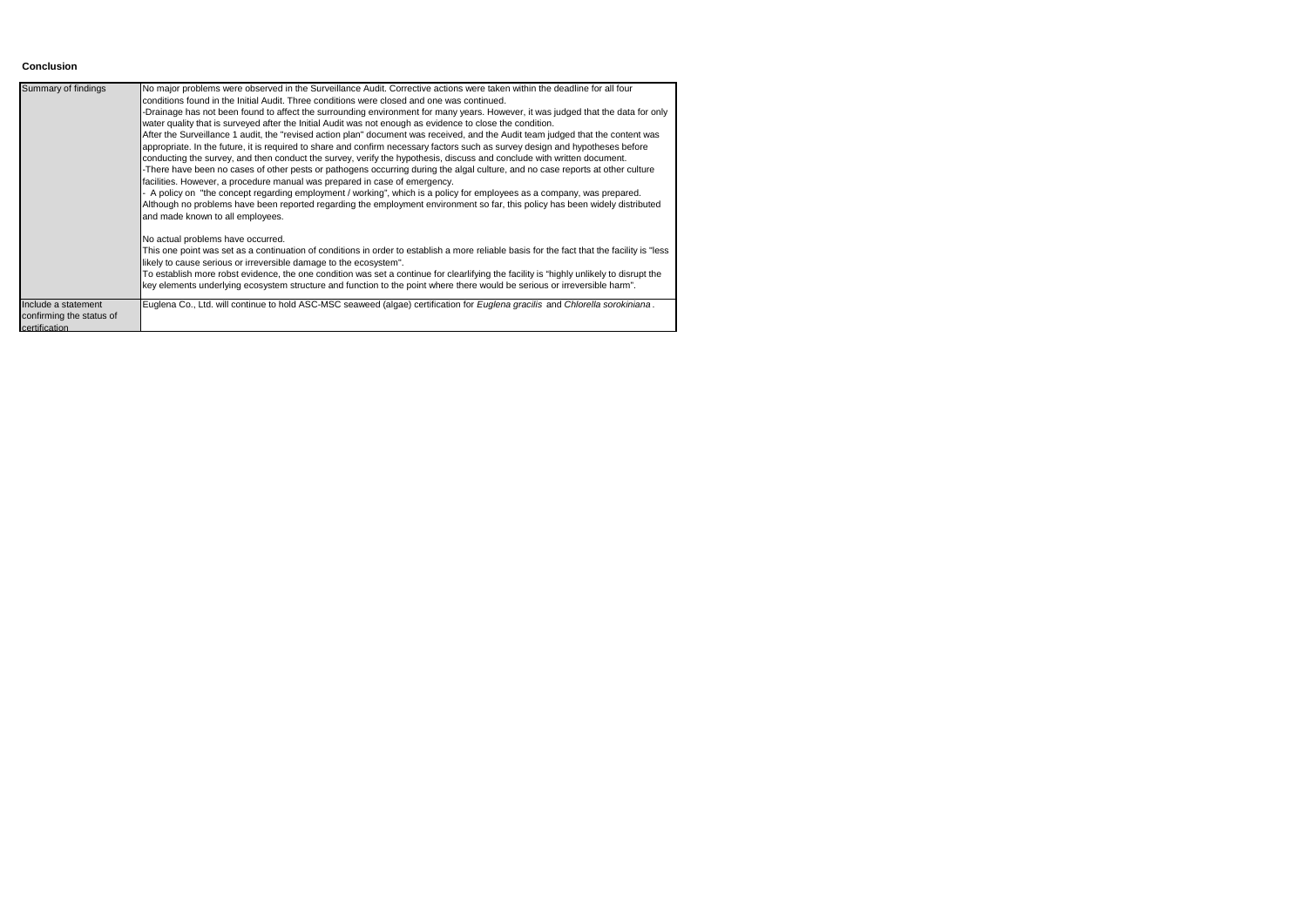### **Conclusion**

| Summary of findings                                              | No major problems were observed in the Surveillance Audit. Corrective actions were taken within the deadline for all four<br>conditions found in the Initial Audit. Three conditions were closed and one was continued.<br>-Drainage has not been found to affect the surrounding environment for many years. However, it was judged that the data for only<br>water quality that is surveyed after the Initial Audit was not enough as evidence to close the condition.<br>After the Surveillance 1 audit, the "revised action plan" document was received, and the Audit team judged that the content was<br>appropriate. In the future, it is required to share and confirm necessary factors such as survey design and hypotheses before<br>conducting the survey, and then conduct the survey, verify the hypothesis, discuss and conclude with written document.<br>-There have been no cases of other pests or pathogens occurring during the algal culture, and no case reports at other culture<br>facilities. However, a procedure manual was prepared in case of emergency.<br>- A policy on "the concept regarding employment / working", which is a policy for employees as a company, was prepared.<br>Although no problems have been reported regarding the employment environment so far, this policy has been widely distributed<br>and made known to all employees.<br>No actual problems have occurred.<br>This one point was set as a continuation of conditions in order to establish a more reliable basis for the fact that the facility is "less"<br>likely to cause serious or irreversible damage to the ecosystem".<br>To establish more robst evidence, the one condition was set a continue for clearlifying the facility is "highly unlikely to disrupt the<br>key elements underlying ecosystem structure and function to the point where there would be serious or irreversible harm". |
|------------------------------------------------------------------|------------------------------------------------------------------------------------------------------------------------------------------------------------------------------------------------------------------------------------------------------------------------------------------------------------------------------------------------------------------------------------------------------------------------------------------------------------------------------------------------------------------------------------------------------------------------------------------------------------------------------------------------------------------------------------------------------------------------------------------------------------------------------------------------------------------------------------------------------------------------------------------------------------------------------------------------------------------------------------------------------------------------------------------------------------------------------------------------------------------------------------------------------------------------------------------------------------------------------------------------------------------------------------------------------------------------------------------------------------------------------------------------------------------------------------------------------------------------------------------------------------------------------------------------------------------------------------------------------------------------------------------------------------------------------------------------------------------------------------------------------------------------------------------------------------------------------------------------------------------------------------------------------------------------|
| Include a statement<br>confirming the status of<br>certification | Euglena Co., Ltd. will continue to hold ASC-MSC seaweed (algae) certification for Euglena gracilis and Chlorella sorokiniana.                                                                                                                                                                                                                                                                                                                                                                                                                                                                                                                                                                                                                                                                                                                                                                                                                                                                                                                                                                                                                                                                                                                                                                                                                                                                                                                                                                                                                                                                                                                                                                                                                                                                                                                                                                                          |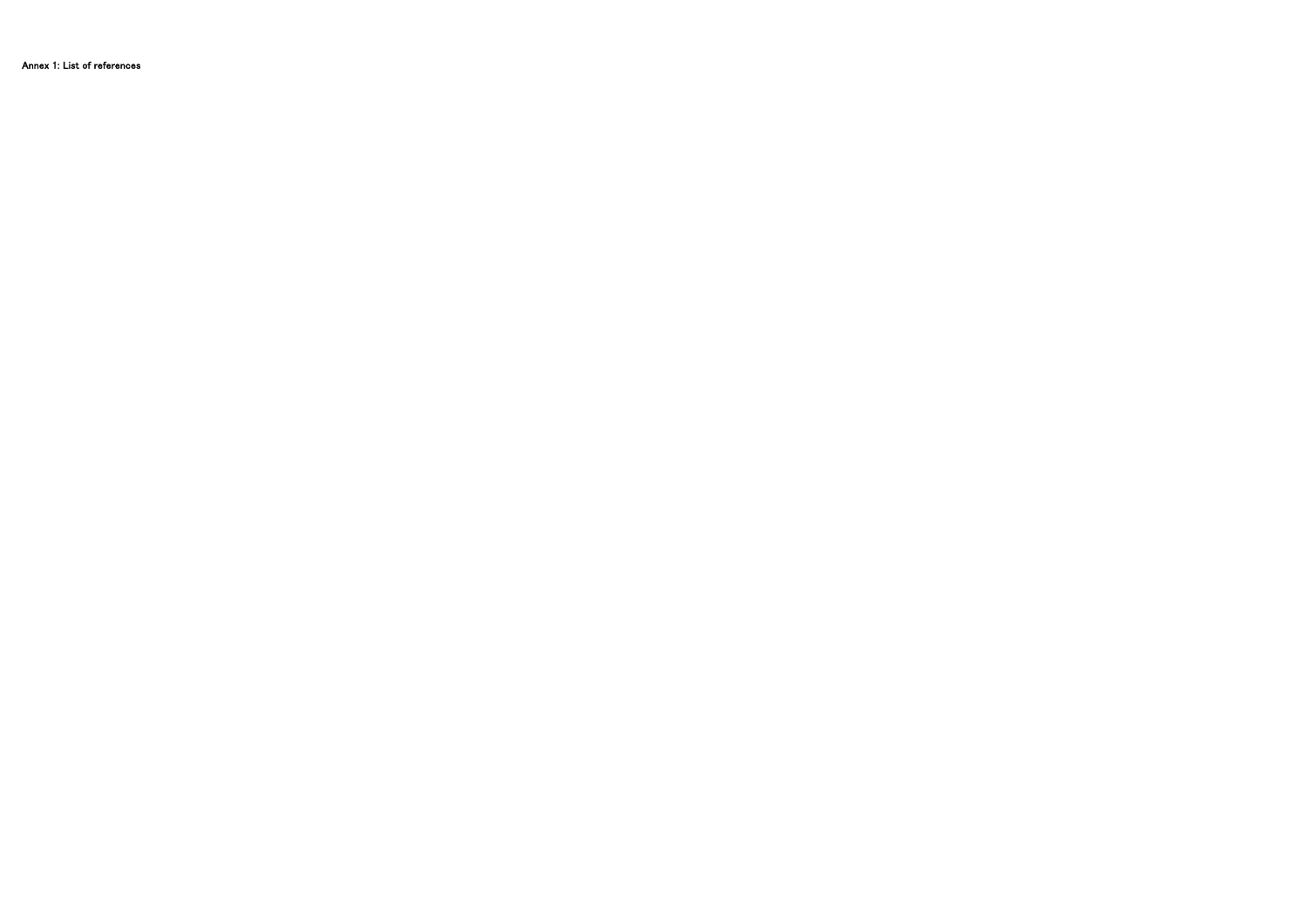Annex 1: List of references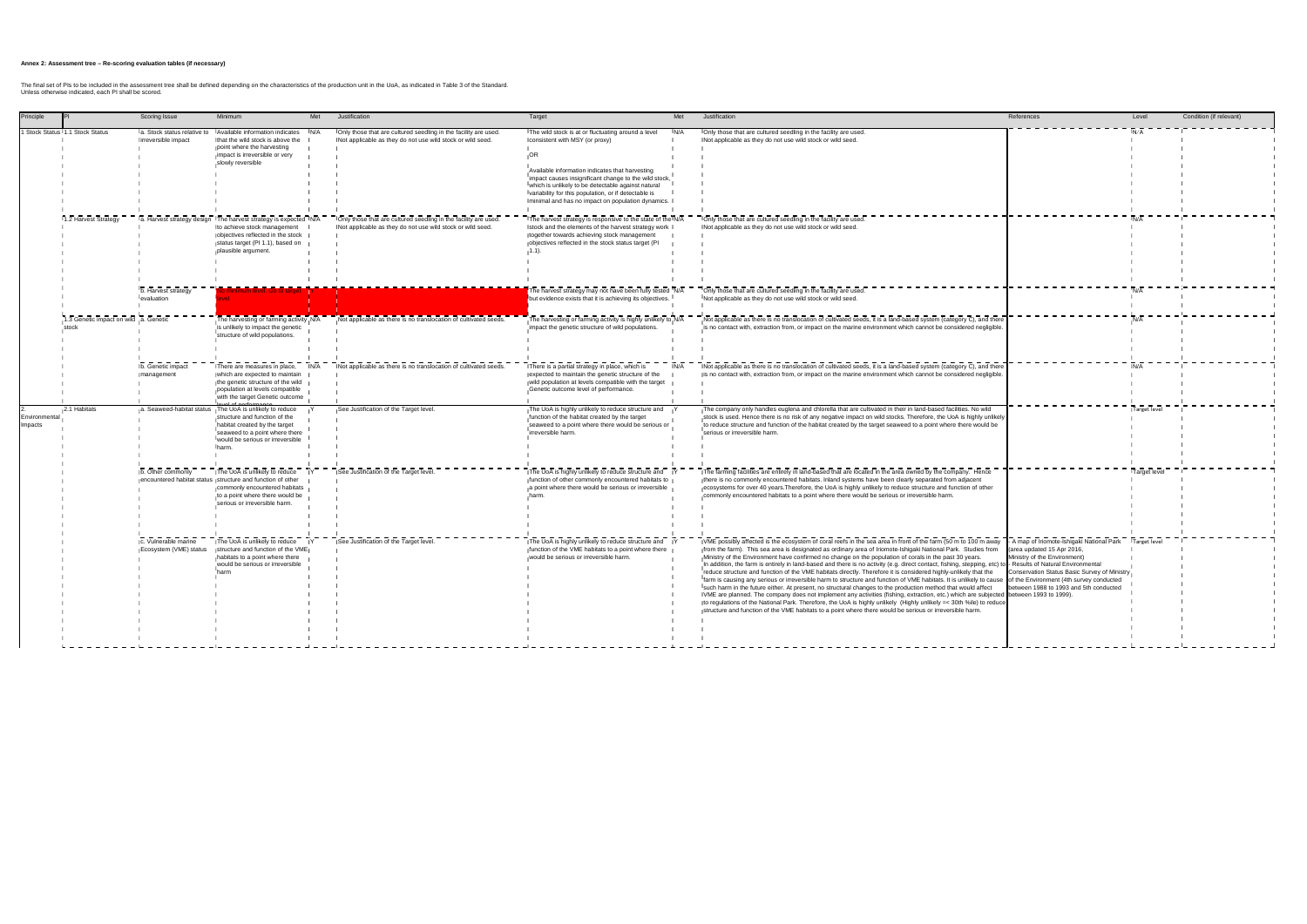|                                 |                                                | Scoring Issue                                                 | Met<br>Minimum                                                                                                                                                                                    | Justification                                                                                                                 | Target                                                                                                                                                                                                                                                                                                                                                                       | Met | Justification                                                                                                                                                                                                                                                                                                                                                                                                                                                                                                                                                                                                                                                                                                                                                                                                                                                                                                                                                                                                                                                                                                                                                                                                                                                                             | References                                                                                                                                                                                        | Level        | Condition (if relevant) |
|---------------------------------|------------------------------------------------|---------------------------------------------------------------|---------------------------------------------------------------------------------------------------------------------------------------------------------------------------------------------------|-------------------------------------------------------------------------------------------------------------------------------|------------------------------------------------------------------------------------------------------------------------------------------------------------------------------------------------------------------------------------------------------------------------------------------------------------------------------------------------------------------------------|-----|-------------------------------------------------------------------------------------------------------------------------------------------------------------------------------------------------------------------------------------------------------------------------------------------------------------------------------------------------------------------------------------------------------------------------------------------------------------------------------------------------------------------------------------------------------------------------------------------------------------------------------------------------------------------------------------------------------------------------------------------------------------------------------------------------------------------------------------------------------------------------------------------------------------------------------------------------------------------------------------------------------------------------------------------------------------------------------------------------------------------------------------------------------------------------------------------------------------------------------------------------------------------------------------------|---------------------------------------------------------------------------------------------------------------------------------------------------------------------------------------------------|--------------|-------------------------|
|                                 | Stock Status 1.1 Stock Status                  | la. Stock status relative to<br>lirreversible impact          | Available information indicates<br>N/A<br>Ithat the wild stock is above the<br>point where the harvesting<br>impact is irreversible or very<br>slowly reversible                                  | Only those that are cultured seedling in the facility are used.<br>Not applicable as they do not use wild stock or wild seed. | The wild stock is at or fluctuating around a level<br>I consistent with MSY (or proxy)<br>,OR<br>Available information indicates that harvesting<br>impact causes insignificant change to the wild stock,<br>which is unlikely to be detectable against natural<br>variability for this population, or if detectable is<br>minimal and has no impact on population dynamics. | N/A | Only those that are cultured seedling in the facility are used.<br>Not applicable as they do not use wild stock or wild seed.                                                                                                                                                                                                                                                                                                                                                                                                                                                                                                                                                                                                                                                                                                                                                                                                                                                                                                                                                                                                                                                                                                                                                             |                                                                                                                                                                                                   |              |                         |
|                                 | 1.2 Harvest Strategy                           | b. Harvest strategy                                           | Ia. Harvest strategy design The harvest strategy is expected IN/A<br>Ito achieve stock management<br>objectives reflected in the stock<br>status target (PI 1.1), based on<br>plausible argument. | Only those that are cultured seedling in the facility are used.<br>Not applicable as they do not use wild stock or wild seed. | The harvest strategy is responsive to the state of the N/A<br>Istock and the elements of the harvest strategy work<br>together towards achieving stock management<br>objectives reflected in the stock status target (PI<br>11)<br>The harvest strategy may not have been fully tested N/A                                                                                   |     | Only those that are cultured seedling in the facility are used.<br>Not applicable as they do not use wild stock or wild seed.<br>Only those that are cultured seedling in the facility are used.                                                                                                                                                                                                                                                                                                                                                                                                                                                                                                                                                                                                                                                                                                                                                                                                                                                                                                                                                                                                                                                                                          |                                                                                                                                                                                                   |              |                         |
|                                 |                                                | evaluation                                                    |                                                                                                                                                                                                   |                                                                                                                               | but evidence exists that it is achieving its objectives.                                                                                                                                                                                                                                                                                                                     |     | Not applicable as they do not use wild stock or wild seed.                                                                                                                                                                                                                                                                                                                                                                                                                                                                                                                                                                                                                                                                                                                                                                                                                                                                                                                                                                                                                                                                                                                                                                                                                                |                                                                                                                                                                                                   |              |                         |
|                                 | 1.3 Genetic impact on wild a. Genetic<br>stocl |                                                               | The harvesting or farming activity N/A<br>is unlikely to impact the genetic<br>structure of wild populations.                                                                                     | Not applicable as there is no translocation of cultivated seeds.                                                              | The harvesting or farming activity is highly unlikely to N/A<br>impact the genetic structure of wild populations.                                                                                                                                                                                                                                                            |     | Not applicable as there is no translocation of cultivated seeds, it is a land-based system (category C), and there<br>is no contact with, extraction from, or impact on the marine environment which cannot be considered negligible.                                                                                                                                                                                                                                                                                                                                                                                                                                                                                                                                                                                                                                                                                                                                                                                                                                                                                                                                                                                                                                                     |                                                                                                                                                                                                   |              |                         |
|                                 |                                                | b. Genetic impact<br>management                               | There are measures in place,<br>which are expected to maintain<br>the genetic structure of the wild<br>population at levels compatible<br>with the target Genetic outcome                         | Not applicable as there is no translocation of cultivated seeds.                                                              | There is a partial strategy in place, which is<br>expected to maintain the genetic structure of the<br>wild population at levels compatible with the target<br>Genetic outcome level of performance.                                                                                                                                                                         | N/A | Not applicable as there is no translocation of cultivated seeds, it is a land-based system (category C), and there<br>is no contact with, extraction from, or impact on the marine environment which cannot be considered negligible.                                                                                                                                                                                                                                                                                                                                                                                                                                                                                                                                                                                                                                                                                                                                                                                                                                                                                                                                                                                                                                                     |                                                                                                                                                                                                   |              |                         |
| Environmental<br><b>Impacts</b> | 2.1 Habitats                                   | a. Seaweed-habitat status                                     | The UoA is unlikely to reduce<br>structure and function of the<br>habitat created by the target<br>seaweed to a point where there<br>would be serious or irreversible<br><b>Iharm</b>             | See Justification of the Target level                                                                                         | The UoA is highly unlikely to reduce structure and<br>function of the habitat created by the target<br>seaweed to a point where there would be serious or<br>irreversible harm.                                                                                                                                                                                              |     | The company only handles euglena and chlorella that are cultivated in their in land-based facilities. No wild<br>stock is used. Hence there is no risk of any negative impact on wild stocks. Therefore, the UoA is highly unlikely<br>to reduce structure and function of the habitat created by the target seaweed to a point where there would be<br>serious or irreversible harm.                                                                                                                                                                                                                                                                                                                                                                                                                                                                                                                                                                                                                                                                                                                                                                                                                                                                                                     |                                                                                                                                                                                                   | Target level |                         |
|                                 |                                                | b. Other commonly                                             | The UoA is unlikely to reduce<br>encountered habitat status structure and function of other<br>commonly encountered habitats<br>to a point where there would be<br>serious or irreversible harm.  | See Justification of the Target level                                                                                         | The UoA is highly unlikely to reduce structure and<br>function of other commonly encountered habitats to<br>a point where there would be serious or irreversible                                                                                                                                                                                                             |     | The farming facilities are entirely in land-based that are located in the area owned by the company. Hence<br>there is no commonly encountered habitats. Inland systems have been clearly separated from adjacent<br>ecosystems for over 40 years. Therefore, the UoA is highly unlikely to reduce structure and function of other<br>commonly encountered habitats to a point where there would be serious or irreversible harm.                                                                                                                                                                                                                                                                                                                                                                                                                                                                                                                                                                                                                                                                                                                                                                                                                                                         |                                                                                                                                                                                                   | Target level |                         |
|                                 |                                                | - - - - - -<br>c. Vulnerable marine<br>Ecosystem (VME) status | The UoA is unlikely to reduce<br>structure and function of the VME<br>habitats to a point where there<br>would be serious or irreversible                                                         | See Justification of the Target level.                                                                                        | The UoA is highly unlikely to reduce structure and<br>function of the VME habitats to a point where there<br>would be serious or irreversible harm.                                                                                                                                                                                                                          |     | VME possibly affected is the ecosystem of coral reefs in the sea area in front of the farm (50 m to 100 m away<br>from the farm). This sea area is designated as ordinary area of Iriomote-Ishigaki National Park. Studies from<br>Ministry of the Environment have confirmed no change on the population of corals in the past 30 years.<br>In addition, the farm is entirely in land-based and there is no activity (e.g. direct contact, fishing, stepping, etc) to - Results of Natural Environmental<br>reduce structure and function of the VME habitats directly. Therefore it is considered highly-unlikely that the<br>farm is causing any serious or irreversible harm to structure and function of VME habitats. It is unlikely to cause of the Environment (4th survey conducted<br>such harm in the future either. At present, no structural changes to the production method that would affect<br>VME are planned. The company does not implement any activities (fishing, extraction, etc.) which are subjected between 1993 to 1999).<br>to regulations of the National Park. Therefore, the UoA is highly unlikely (Highly unlikely = < 30th %ile) to reduce<br>structure and function of the VME habitats to a point where there would be serious or irreversible harm. | - A map of Iriomote-Ishigaki National Park<br>(area updated 15 Apr 2016,<br>Ministry of the Environment)<br>Conservation Status Basic Survey of Ministry<br>etween 1988 to 1993 and 5th conducted | Target leve  |                         |

#### **Annex 2: Assessment tree – Re-scoring evaluation tables (if necessary)**

The final set of Pls to be included in the assessment tree shall be defined depending on the characteristics of the production unit in the UoA, as indicated in Table 3 of the Standard.<br>Unless otherwise indicated, each PI s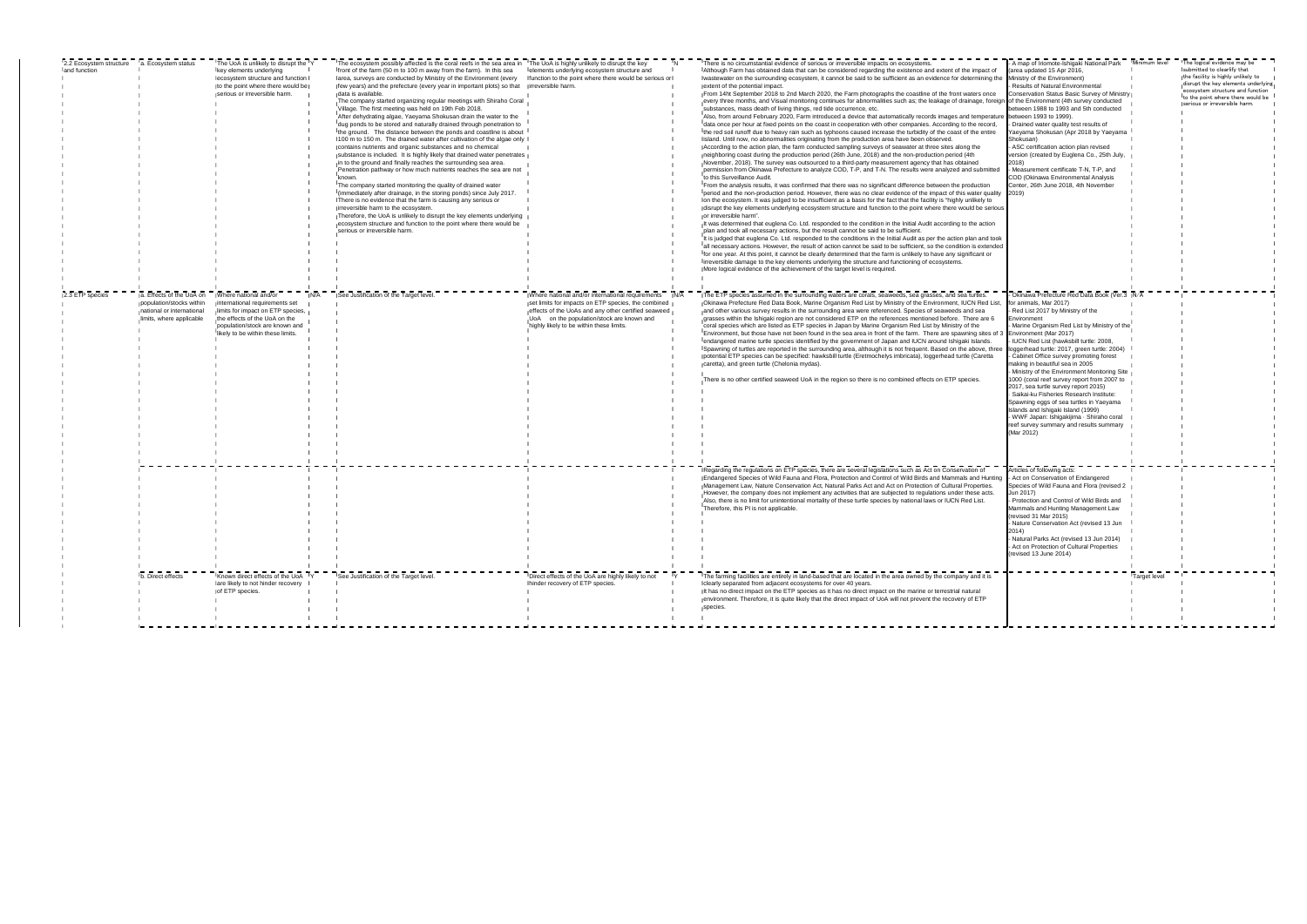| 2.2 Ecosystem structure a. Ecosystem status |                           | The UoA is unlikely to disrupt the 'Y                               | The ecosystem possibly affected is the coral reefs in the sea area in The UoA is highly unlikely to disrupt the key                  |                                                      | There is no circumstantial evidence of serious or irreversible impacts on ecosystems.                                                                                                                                                  | A map of Iriomote-Ishigaki National Park Minimum level                |              | The logical evidence may be                                             |
|---------------------------------------------|---------------------------|---------------------------------------------------------------------|--------------------------------------------------------------------------------------------------------------------------------------|------------------------------------------------------|----------------------------------------------------------------------------------------------------------------------------------------------------------------------------------------------------------------------------------------|-----------------------------------------------------------------------|--------------|-------------------------------------------------------------------------|
| and function                                |                           | key elements underlying                                             | front of the farm (50 m to 100 m away from the farm). In this sea lelements underlying ecosystem structure and                       |                                                      | Although Farm has obtained data that can be considered regarding the existence and extent of the impact of                                                                                                                             | (area updated 15 Apr 2016,                                            |              | submitted to clearlify that                                             |
|                                             |                           | lecosystem structure and function I                                 | area, surveys are conducted by Ministry of the Environment (every function to the point where there would be serious or              |                                                      | wastewater on the surrounding ecosystem, it cannot be said to be sufficient as an evidence for determining the                                                                                                                         | Ministry of the Environment)                                          |              | the facility is highly unlikely to                                      |
|                                             |                           | to the point where there would be                                   | few years) and the prefecture (every year in important plots) so that irreversible harm.                                             |                                                      | extent of the potential impact.                                                                                                                                                                                                        | Results of Natural Environmental                                      |              | disrupt the key elements underlying<br>ecosystem structure and function |
|                                             |                           | serious or irreversible harm.                                       | data is available.                                                                                                                   |                                                      | From 14ht September 2018 to 2nd March 2020, the Farm photographs the coastline of the front waters once                                                                                                                                | Conservation Status Basic Survey of Ministry                          |              | to the point where there would be                                       |
|                                             |                           |                                                                     | The company started organizing regular meetings with Shiraho Coral<br>Village. The first meeting was held on 19th Feb 2018.          |                                                      | every three months, and Visual monitoring continues for abnormalities such as; the leakage of drainage, foreign of the Environment (4th survey conducted<br>substances, mass death of living things, red tide occurrence, etc.         | between 1988 to 1993 and 5th conducted                                |              | serious or irreversible harm.                                           |
|                                             |                           |                                                                     | After dehydrating algae, Yaeyama Shokusan drain the water to the                                                                     |                                                      | Also, from around February 2020, Farm introduced a device that automatically records images and temperature                                                                                                                            | between 1993 to 1999).                                                |              |                                                                         |
|                                             |                           |                                                                     | dug ponds to be stored and naturally drained through penetration to                                                                  |                                                      | data once per hour at fixed points on the coast in cooperation with other companies. According to the record,                                                                                                                          | - Drained water quality test results of                               |              |                                                                         |
|                                             |                           |                                                                     | the ground. The distance between the ponds and coastline is about                                                                    |                                                      | the red soil runoff due to heavy rain such as typhoons caused increase the turbidity of the coast of the entire                                                                                                                        | Yaeyama Shokusan (Apr 2018 by Yaeyama                                 |              |                                                                         |
|                                             |                           |                                                                     | 100 m to 150 m. The drained water after cultivation of the algae only                                                                |                                                      | lisland. Until now, no abnormalities originating from the production area have been observed.                                                                                                                                          | Shokusan)                                                             |              |                                                                         |
|                                             |                           |                                                                     | contains nutrients and organic substances and no chemical                                                                            |                                                      | According to the action plan, the farm conducted sampling surveys of seawater at three sites along the                                                                                                                                 | ASC certification action plan revised                                 |              |                                                                         |
|                                             |                           |                                                                     | substance is included. It is highly likely that drained water penetrates                                                             |                                                      | neighboring coast during the production period (26th June, 2018) and the non-production period (4th                                                                                                                                    | version (created by Euglena Co., 25th July,                           |              |                                                                         |
|                                             |                           |                                                                     | in to the ground and finally reaches the surrounding sea area.                                                                       |                                                      | November, 2018). The survey was outsourced to a third-party measurement agency that has obtained                                                                                                                                       | 2018)                                                                 |              |                                                                         |
|                                             |                           |                                                                     | Penetration pathway or how much nutrients reaches the sea are not                                                                    |                                                      | permission from Okinawa Prefecture to analyze COD, T-P, and T-N. The results were analyzed and submitted                                                                                                                               | Measurement certificate T-N, T-P, and                                 |              |                                                                         |
|                                             |                           |                                                                     | known                                                                                                                                |                                                      | to this Surveillance Audit.                                                                                                                                                                                                            | COD (Okinawa Environmental Analysis                                   |              |                                                                         |
|                                             |                           |                                                                     | The company started monitoring the quality of drained water                                                                          |                                                      | From the analysis results, it was confirmed that there was no significant difference between the production                                                                                                                            | Center, 26th June 2018, 4th November                                  |              |                                                                         |
|                                             |                           |                                                                     | I(immediately after drainage, in the storing ponds) since July 2017.<br>There is no evidence that the farm is causing any serious or |                                                      | Iperiod and the non-production period. However, there was no clear evidence of the impact of this water quality<br>on the ecosystem. It was judged to be insufficient as a basis for the fact that the facility is "highly unlikely to | 2019)                                                                 |              |                                                                         |
|                                             |                           |                                                                     | irreversible harm to the ecosystem.                                                                                                  |                                                      | disrupt the key elements underlying ecosystem structure and function to the point where there would be serious                                                                                                                         |                                                                       |              |                                                                         |
|                                             |                           |                                                                     | Therefore, the UoA is unlikely to disrupt the key elements underlying                                                                |                                                      | or irreversible harm".                                                                                                                                                                                                                 |                                                                       |              |                                                                         |
|                                             |                           |                                                                     | ecosystem structure and function to the point where there would be                                                                   |                                                      | It was determined that euglena Co. Ltd. responded to the condition in the Initial Audit according to the action                                                                                                                        |                                                                       |              |                                                                         |
|                                             |                           |                                                                     | serious or irreversible harm.                                                                                                        |                                                      | plan and took all necessary actions, but the result cannot be said to be sufficient.                                                                                                                                                   |                                                                       |              |                                                                         |
|                                             |                           |                                                                     |                                                                                                                                      |                                                      | It is judged that euglena Co. Ltd. responded to the conditions in the Initial Audit as per the action plan and took                                                                                                                    |                                                                       |              |                                                                         |
|                                             |                           |                                                                     |                                                                                                                                      |                                                      | all necessary actions. However, the result of action cannot be said to be sufficient, so the condition is extended                                                                                                                     |                                                                       |              |                                                                         |
|                                             |                           |                                                                     |                                                                                                                                      |                                                      | for one year. At this point, it cannot be clearly determined that the farm is unlikely to have any significant or                                                                                                                      |                                                                       |              |                                                                         |
|                                             |                           |                                                                     |                                                                                                                                      |                                                      | irreversible damage to the key elements underlying the structure and functioning of ecosystems.                                                                                                                                        |                                                                       |              |                                                                         |
|                                             |                           |                                                                     |                                                                                                                                      |                                                      | More logical evidence of the achievement of the target level is required.                                                                                                                                                              |                                                                       |              |                                                                         |
|                                             |                           |                                                                     |                                                                                                                                      |                                                      |                                                                                                                                                                                                                                        |                                                                       |              |                                                                         |
|                                             |                           |                                                                     |                                                                                                                                      |                                                      |                                                                                                                                                                                                                                        |                                                                       |              |                                                                         |
| 2.3 ETP species                             | a. Effects of the UoA on  | Where national and/or                                               | See Justification of the Target level.                                                                                               | Where national and/or international requirements N/A | The ETP species assumed in the surrounding waters are corals, seaweeds, sea grasses, and sea turtles.                                                                                                                                  | Okinawa Prefecture Red Data Book (Ver.3 N/A                           |              |                                                                         |
|                                             | population/stocks within  | international requirements set                                      |                                                                                                                                      | set limits for impacts on ETP species, the combined  | Okinawa Prefecture Red Data Book, Marine Organism Red List by Ministry of the Environment, IUCN Red List,                                                                                                                              | for animals, Mar 2017)                                                |              |                                                                         |
|                                             | national or international | limits for impact on ETP species,                                   |                                                                                                                                      | effects of the UoAs and any other certified seaweed  | and other various survey results in the surrounding area were referenced. Species of seaweeds and sea                                                                                                                                  | Red List 2017 by Ministry of the                                      |              |                                                                         |
|                                             | limits, where applicable  | the effects of the UoA on the                                       |                                                                                                                                      | UoA on the population/stock are known and            | grasses within the Ishigaki region are not considered ETP on the references mentioned before. There are 6                                                                                                                              | Environment                                                           |              |                                                                         |
|                                             |                           | population/stock are known and<br>likely to be within these limits. |                                                                                                                                      | highly likely to be within these limits.             | coral species which are listed as ETP species in Japan by Marine Organism Red List by Ministry of the<br>IEnvironment, but those have not been found in the sea area in front of the farm. There are spawning sites of 3               | Marine Organism Red List by Ministry of the<br>Environment (Mar 2017) |              |                                                                         |
|                                             |                           |                                                                     |                                                                                                                                      |                                                      | jendangered marine turtle species identified by the government of Japan and IUCN around Ishigaki Islands.                                                                                                                              | IUCN Red List (hawksbill turtle: 2008,                                |              |                                                                         |
|                                             |                           |                                                                     |                                                                                                                                      |                                                      | Spawning of turtles are reported in the surrounding area, although it is not frequent. Based on the above, three                                                                                                                       | loggerhead turtle: 2017, green turtle: 2004)                          |              |                                                                         |
|                                             |                           |                                                                     |                                                                                                                                      |                                                      | potential ETP species can be specified: hawksbill turtle (Eretmochelys imbricata), loggerhead turtle (Caretta                                                                                                                          | Cabinet Office survey promoting forest                                |              |                                                                         |
|                                             |                           |                                                                     |                                                                                                                                      |                                                      | caretta), and green turtle (Chelonia mydas).                                                                                                                                                                                           | making in beautiful sea in 2005                                       |              |                                                                         |
|                                             |                           |                                                                     |                                                                                                                                      |                                                      |                                                                                                                                                                                                                                        | Ministry of the Environment Monitoring Site                           |              |                                                                         |
|                                             |                           |                                                                     |                                                                                                                                      |                                                      | There is no other certified seaweed UoA in the region so there is no combined effects on ETP species.                                                                                                                                  | 1000 (coral reef survey report from 2007 to                           |              |                                                                         |
|                                             |                           |                                                                     |                                                                                                                                      |                                                      |                                                                                                                                                                                                                                        | 2017, sea turtle survey report 2015)                                  |              |                                                                         |
|                                             |                           |                                                                     |                                                                                                                                      |                                                      |                                                                                                                                                                                                                                        | Saikai-ku Fisheries Research Institute:                               |              |                                                                         |
|                                             |                           |                                                                     |                                                                                                                                      |                                                      |                                                                                                                                                                                                                                        | Spawning eggs of sea turtles in Yaeyama                               |              |                                                                         |
|                                             |                           |                                                                     |                                                                                                                                      |                                                      |                                                                                                                                                                                                                                        | Islands and Ishigaki Island (1999)                                    |              |                                                                         |
|                                             |                           |                                                                     |                                                                                                                                      |                                                      |                                                                                                                                                                                                                                        | WWF Japan: Ishigakijima · Shiraho coral                               |              |                                                                         |
|                                             |                           |                                                                     |                                                                                                                                      |                                                      |                                                                                                                                                                                                                                        | reef survey summary and results summary                               |              |                                                                         |
|                                             |                           |                                                                     |                                                                                                                                      |                                                      |                                                                                                                                                                                                                                        | (Mar 2012)                                                            |              |                                                                         |
|                                             |                           |                                                                     |                                                                                                                                      |                                                      |                                                                                                                                                                                                                                        |                                                                       |              |                                                                         |
|                                             |                           |                                                                     |                                                                                                                                      |                                                      |                                                                                                                                                                                                                                        |                                                                       |              |                                                                         |
|                                             |                           |                                                                     |                                                                                                                                      |                                                      |                                                                                                                                                                                                                                        |                                                                       |              |                                                                         |
|                                             |                           |                                                                     |                                                                                                                                      |                                                      | Regarding the regulations on ETP species, there are several legislations such as Act on Conservation of                                                                                                                                | Articles of following acts:                                           |              |                                                                         |
|                                             |                           |                                                                     |                                                                                                                                      |                                                      | Endangered Species of Wild Fauna and Flora, Protection and Control of Wild Birds and Mammals and Hunting                                                                                                                               | - Act on Conservation of Endangered                                   |              |                                                                         |
|                                             |                           |                                                                     |                                                                                                                                      |                                                      | Management Law, Nature Conservation Act, Natural Parks Act and Act on Protection of Cultural Properties.                                                                                                                               | Species of Wild Fauna and Flora (revised 2                            |              |                                                                         |
|                                             |                           |                                                                     |                                                                                                                                      |                                                      | However, the company does not implement any activities that are subjected to regulations under these acts.<br>Also, there is no limit for unintentional mortality of these turtle species by national laws or IUCN Red List.           | Jun 2017)<br>Protection and Control of Wild Birds and                 |              |                                                                         |
|                                             |                           |                                                                     |                                                                                                                                      |                                                      | Therefore, this PI is not applicable.                                                                                                                                                                                                  | Mammals and Hunting Management Law                                    |              |                                                                         |
|                                             |                           |                                                                     |                                                                                                                                      |                                                      |                                                                                                                                                                                                                                        | revised 31 Mar 2015)                                                  |              |                                                                         |
|                                             |                           |                                                                     |                                                                                                                                      |                                                      |                                                                                                                                                                                                                                        | Nature Conservation Act (revised 13 Jun                               |              |                                                                         |
|                                             |                           |                                                                     |                                                                                                                                      |                                                      |                                                                                                                                                                                                                                        | 2014)                                                                 |              |                                                                         |
|                                             |                           |                                                                     |                                                                                                                                      |                                                      |                                                                                                                                                                                                                                        | Natural Parks Act (revised 13 Jun 2014)                               |              |                                                                         |
|                                             |                           |                                                                     |                                                                                                                                      |                                                      |                                                                                                                                                                                                                                        | Act on Protection of Cultural Properties                              |              |                                                                         |
|                                             |                           |                                                                     |                                                                                                                                      |                                                      |                                                                                                                                                                                                                                        | revised 13 June 2014)                                                 |              |                                                                         |
|                                             |                           |                                                                     |                                                                                                                                      |                                                      |                                                                                                                                                                                                                                        |                                                                       |              |                                                                         |
|                                             | b. Direct effects         | Known direct effects of the UoA                                     | See Justification of the Target level.                                                                                               | Direct effects of the UoA are highly likely to not   | The farming facilities are entirely in land-based that are located in the area owned by the company and it is                                                                                                                          |                                                                       |              |                                                                         |
|                                             |                           | are likely to not hinder recovery                                   |                                                                                                                                      | hinder recovery of ETP species.                      | clearly separated from adjacent ecosystems for over 40 years.                                                                                                                                                                          |                                                                       | Target level |                                                                         |
|                                             |                           | of ETP species.                                                     |                                                                                                                                      |                                                      | It has no direct impact on the ETP species as it has no direct impact on the marine or terrestrial natural                                                                                                                             |                                                                       |              |                                                                         |
|                                             |                           |                                                                     |                                                                                                                                      |                                                      | environment. Therefore, it is quite likely that the direct impact of UoA will not prevent the recovery of ETP                                                                                                                          |                                                                       |              |                                                                         |
|                                             |                           |                                                                     |                                                                                                                                      |                                                      | species                                                                                                                                                                                                                                |                                                                       |              |                                                                         |
|                                             |                           |                                                                     |                                                                                                                                      |                                                      |                                                                                                                                                                                                                                        |                                                                       |              |                                                                         |
|                                             |                           |                                                                     |                                                                                                                                      |                                                      |                                                                                                                                                                                                                                        |                                                                       |              |                                                                         |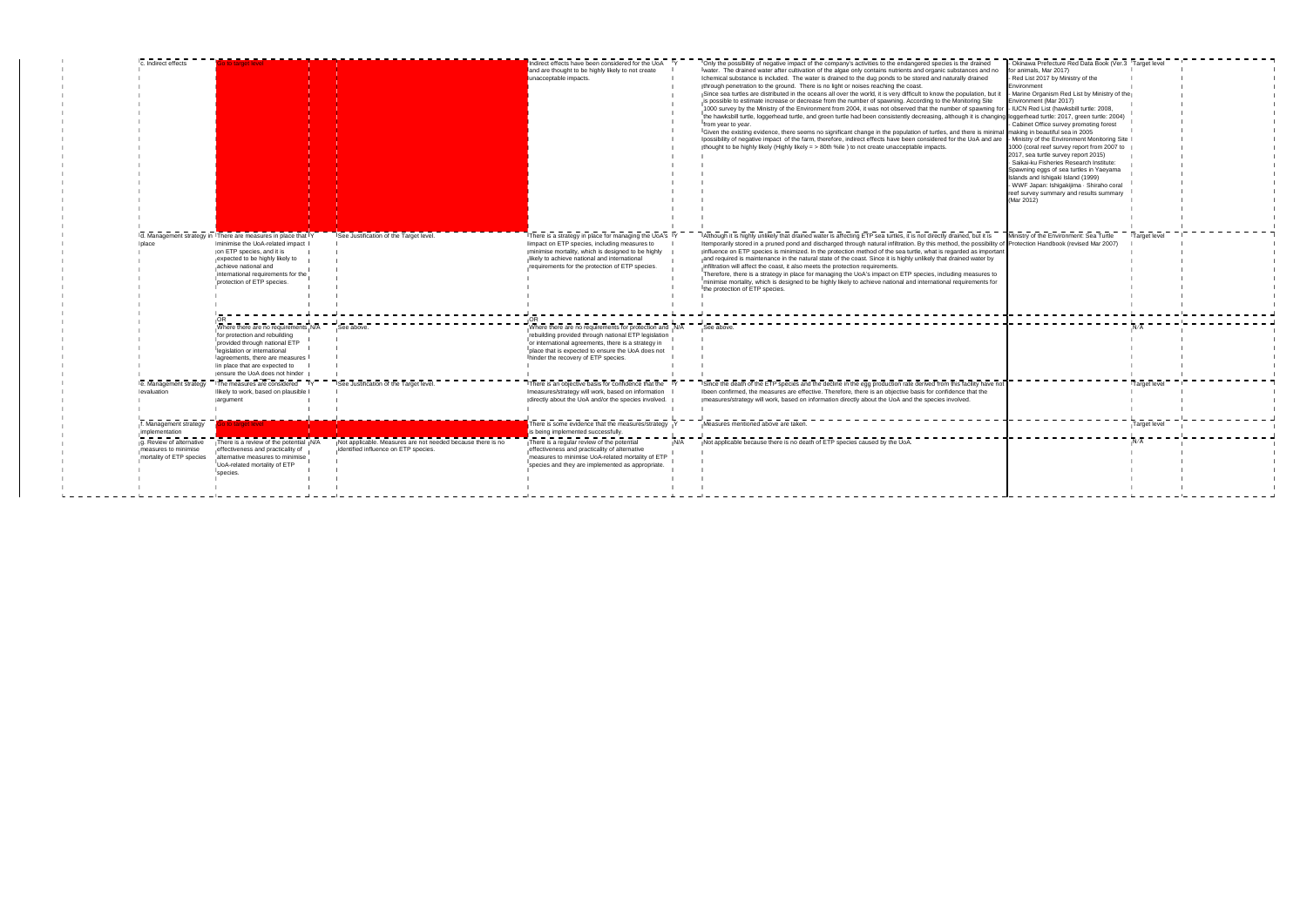| Indirect effects                                                                                                         | to target level                                                                                                                                                                                                                                             |                                                                                                     | Indirect effects have been considered for the UoA<br>and are thought to be highly likely to not create<br>unacceptable impacts.                                                                                                                                                                         | - Okinawa Prefecture Red Data Book (Ver.3 Target leve<br>Only the possibility of negative impact of the company's activities to the endangered species is the drained<br>water. The drained water after cultivation of the algae only contains nutrients and organic substances and no<br>for animals, Mar 2017)<br>Ichemical substance is included. The water is drained to the dug ponds to be stored and naturally drained<br>- Red List 2017 by Ministry of the<br>through penetration to the ground. There is no light or noises reaching the coast.<br>Environment<br>Since sea turtles are distributed in the oceans all over the world, it is very difficult to know the population, but it<br>- Marine Organism Red List by Ministry of the<br>is possible to estimate increase or decrease from the number of spawning. According to the Monitoring Site<br>Environment (Mar 2017)<br>1000 survey by the Ministry of the Environment from 2004, it was not observed that the number of spawning for<br>- IUCN Red List (hawksbill turtle: 2008)<br>the hawksbill turtle, loggerhead turtle, and green turtle had been consistently decreasing, although it is changing loggerhead turtle: 2017, green turtle: 2004)<br>from year to year.<br>- Cabinet Office survey promoting forest<br>IGiven the existing evidence, there seems no significant change in the population of turtles, and there is minimal<br>making in beautiful sea in 2005<br>- Ministry of the Environment Monitoring Site<br>possibility of negative impact of the farm, therefore, indirect effects have been considered for the UoA and are<br>thought to be highly likely (Highly likely = $> 80$ th %ile) to not create unacceptable impacts.<br>1000 (coral reef survey report from 2007 to<br>2017, sea turtle survey report 2015)<br>· Saikai-ku Fisheries Research Institute:<br>Spawning eggs of sea turtles in Yaeyama<br>Islands and Ishigaki Island (1999)<br>- WWF Japan: Ishigakijima · Shiraho coral<br>reef survey summary and results summary<br>(Mar 2012) |              |
|--------------------------------------------------------------------------------------------------------------------------|-------------------------------------------------------------------------------------------------------------------------------------------------------------------------------------------------------------------------------------------------------------|-----------------------------------------------------------------------------------------------------|---------------------------------------------------------------------------------------------------------------------------------------------------------------------------------------------------------------------------------------------------------------------------------------------------------|--------------------------------------------------------------------------------------------------------------------------------------------------------------------------------------------------------------------------------------------------------------------------------------------------------------------------------------------------------------------------------------------------------------------------------------------------------------------------------------------------------------------------------------------------------------------------------------------------------------------------------------------------------------------------------------------------------------------------------------------------------------------------------------------------------------------------------------------------------------------------------------------------------------------------------------------------------------------------------------------------------------------------------------------------------------------------------------------------------------------------------------------------------------------------------------------------------------------------------------------------------------------------------------------------------------------------------------------------------------------------------------------------------------------------------------------------------------------------------------------------------------------------------------------------------------------------------------------------------------------------------------------------------------------------------------------------------------------------------------------------------------------------------------------------------------------------------------------------------------------------------------------------------------------------------------------------------------------------------------------------------------------------------------------------------------|--------------|
| place                                                                                                                    | d. Management strategy in There are measures in place that Y<br>minimise the UoA-related impact<br>on ETP species, and it is<br>expected to be highly likely to<br>achieve national and<br>international requirements for the<br>protection of ETP species. | See Justification of the Target level.                                                              | There is a strategy in place for managing the UoA's Y<br>impact on ETP species, including measures to<br>minimise mortality, which is designed to be highly<br>likely to achieve national and international<br>requirements for the protection of ETP species.                                          | Although it is highly unlikely that drained water is affecting ETP sea turtles, it is not directly drained, but it is<br>Ministry of the Environment: Sea Turtle<br>temporarily stored in a pruned pond and discharged through natural infiltration. By this method, the possibility of<br>Protection Handbook (revised Mar 2007)<br>influence on ETP species is minimized. In the protection method of the sea turtle, what is regarded as important<br>and required is maintenance in the natural state of the coast. Since it is highly unlikely that drained water by<br>infiltration will affect the coast, it also meets the protection requirements.<br>Therefore, there is a strategy in place for managing the UoA's impact on ETP species, including measures to<br>Iminimise mortality, which is designed to be highly likely to achieve national and international requirements for<br>the protection of ETP species.                                                                                                                                                                                                                                                                                                                                                                                                                                                                                                                                                                                                                                                                                                                                                                                                                                                                                                                                                                                                                                                                                                                            | Target level |
|                                                                                                                          | Where there are no requirements $N/\overline{A}$<br>for protection and rebuilding<br>provided through national ETP<br>Ilegislation or international<br>agreements, there are measures<br>in place that are expected to<br>ensure the UoA does not hinder    | See above                                                                                           | Where there are no requirements for protection and N/A<br>rebuilding provided through national ETP legislation<br>or international agreements, there is a strategy in<br>I place that is expected to ensure the UoA does not<br>hinder the recovery of ETP species.                                     | See above                                                                                                                                                                                                                                                                                                                                                                                                                                                                                                                                                                                                                                                                                                                                                                                                                                                                                                                                                                                                                                                                                                                                                                                                                                                                                                                                                                                                                                                                                                                                                                                                                                                                                                                                                                                                                                                                                                                                                                                                                                                    |              |
| e. Management strategy<br>evaluation                                                                                     | The measures are considered<br>likely to work, based on plausible<br>argument                                                                                                                                                                               | See Justification of the Target level.                                                              | There is an objective basis for confidence that the Y<br>measures/strategy will work, based on information<br>directly about the UoA and/or the species involved.                                                                                                                                       | Since the death of the ETP species and the decline in the egg production rate derived from this facility have not<br>been confirmed, the measures are effective. Therefore, there is an objective basis for confidence that the<br>measures/strategy will work, based on information directly about the UoA and the species involved.                                                                                                                                                                                                                                                                                                                                                                                                                                                                                                                                                                                                                                                                                                                                                                                                                                                                                                                                                                                                                                                                                                                                                                                                                                                                                                                                                                                                                                                                                                                                                                                                                                                                                                                        | Target level |
| f. Management strategy<br>implementation<br>g. Review of alternative<br>measures to minimise<br>mortality of ETP species | o to target level<br>There is a review of the potential N/A<br>effectiveness and practicality of<br>alternative measures to minimise<br>IUoA-related mortality of ETP<br>species.                                                                           | Not applicable. Measures are not needed because there is no<br>identified influence on ETP species. | There is some evidence that the measures/strategy<br>is being implemented successfully.<br>There is a regular review of the potential<br>N/A<br>effectiveness and practicality of alternative<br>measures to minimise UoA-related mortality of ETP<br>Ispecies and they are implemented as appropriate. | Measures mentioned above are taken.<br>Not applicable because there is no death of ETP species caused by the UoA.                                                                                                                                                                                                                                                                                                                                                                                                                                                                                                                                                                                                                                                                                                                                                                                                                                                                                                                                                                                                                                                                                                                                                                                                                                                                                                                                                                                                                                                                                                                                                                                                                                                                                                                                                                                                                                                                                                                                            | Target leve  |
|                                                                                                                          |                                                                                                                                                                                                                                                             |                                                                                                     |                                                                                                                                                                                                                                                                                                         |                                                                                                                                                                                                                                                                                                                                                                                                                                                                                                                                                                                                                                                                                                                                                                                                                                                                                                                                                                                                                                                                                                                                                                                                                                                                                                                                                                                                                                                                                                                                                                                                                                                                                                                                                                                                                                                                                                                                                                                                                                                              |              |

| q<br>on b<br>but it<br>te<br>ng for<br>anging<br>inimal<br>d are | - Okinawa Prefecture Red Data Book (Ver.3 Target level<br>for animals, Mar 2017)<br>- Red List 2017 by Ministry of the<br>Environment<br>- Marine Organism Red List by Ministry of the<br>Environment (Mar 2017)<br>- IUCN Red List (hawksbill turtle: 2008,<br>loggerhead turtle: 2017, green turtle: 2004)<br>- Cabinet Office survey promoting forest<br>making in beautiful sea in 2005<br>- Ministry of the Environment Monitoring Site<br>1000 (coral reef survey report from 2007 to<br>2017, sea turtle survey report 2015)<br>Saikai-ku Fisheries Research Institute:<br>Spawning eggs of sea turtles in Yaeyama<br>Islands and Ishigaki Island (1999)<br>- WWF Japan: Ishigakijima · Shiraho coral<br>reef survey summary and results summary<br>(Mar 2012) |                            |  |
|------------------------------------------------------------------|-----------------------------------------------------------------------------------------------------------------------------------------------------------------------------------------------------------------------------------------------------------------------------------------------------------------------------------------------------------------------------------------------------------------------------------------------------------------------------------------------------------------------------------------------------------------------------------------------------------------------------------------------------------------------------------------------------------------------------------------------------------------------|----------------------------|--|
| is<br>ility of<br>ortant<br>by<br>s to<br>: for                  | Ministry of the Environment: Sea Turtle<br>Protection Handbook (revised Mar 2007)                                                                                                                                                                                                                                                                                                                                                                                                                                                                                                                                                                                                                                                                                     | Target level               |  |
|                                                                  |                                                                                                                                                                                                                                                                                                                                                                                                                                                                                                                                                                                                                                                                                                                                                                       | N/A                        |  |
| ve not                                                           |                                                                                                                                                                                                                                                                                                                                                                                                                                                                                                                                                                                                                                                                                                                                                                       | Target level               |  |
|                                                                  |                                                                                                                                                                                                                                                                                                                                                                                                                                                                                                                                                                                                                                                                                                                                                                       | <b>Target level</b><br>N/A |  |
|                                                                  |                                                                                                                                                                                                                                                                                                                                                                                                                                                                                                                                                                                                                                                                                                                                                                       |                            |  |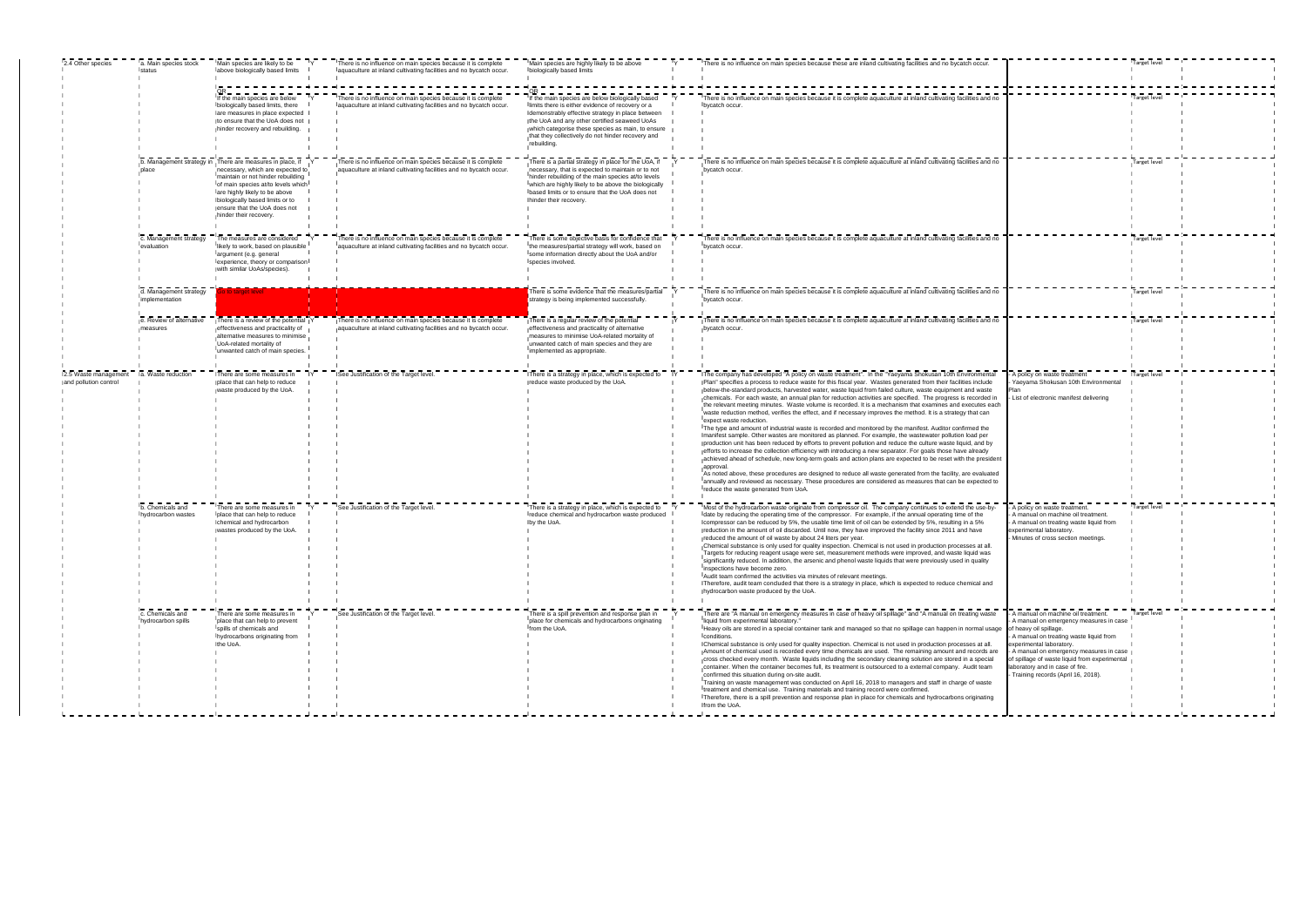| 2.4 Other species                             | a. Main species stock<br>status          | Main species are likely to be<br>labove biologically based limits                                                                                                                                                                                                                                      | There is no influence on main species because it is complete<br>aquaculture at inland cultivating facilities and no bycatch occur.  | Main species are highly likely to be above<br>biologically based limits                                                                                                                                                                                                                                                            | There is no influence on main species because these are inland cultivating facilities and no bycatch occur.                                                                                                                                                                                                                                                                                                                                                                                                                                                                                                                                                                                                                                                                                                                                                                                                                                                                                                                                                                                                                                                                                                                                                                                                                                                                                                                                                                                                                                                        |                                                                                                                                                                                                                                                                                                                                                  | Target level |  |
|-----------------------------------------------|------------------------------------------|--------------------------------------------------------------------------------------------------------------------------------------------------------------------------------------------------------------------------------------------------------------------------------------------------------|-------------------------------------------------------------------------------------------------------------------------------------|------------------------------------------------------------------------------------------------------------------------------------------------------------------------------------------------------------------------------------------------------------------------------------------------------------------------------------|--------------------------------------------------------------------------------------------------------------------------------------------------------------------------------------------------------------------------------------------------------------------------------------------------------------------------------------------------------------------------------------------------------------------------------------------------------------------------------------------------------------------------------------------------------------------------------------------------------------------------------------------------------------------------------------------------------------------------------------------------------------------------------------------------------------------------------------------------------------------------------------------------------------------------------------------------------------------------------------------------------------------------------------------------------------------------------------------------------------------------------------------------------------------------------------------------------------------------------------------------------------------------------------------------------------------------------------------------------------------------------------------------------------------------------------------------------------------------------------------------------------------------------------------------------------------|--------------------------------------------------------------------------------------------------------------------------------------------------------------------------------------------------------------------------------------------------------------------------------------------------------------------------------------------------|--------------|--|
|                                               |                                          | If the main species are below<br>Ibiologically based limits, there<br>are measures in place expected<br>to ensure that the UoA does not<br>hinder recovery and rebuilding.                                                                                                                             | There is no influence on main species because it is complete<br>laquaculture at inland cultivating facilities and no bycatch occur. | If the main species are below biologically based<br>Ilimits there is either evidence of recovery or a<br>demonstrably effective strategy in place between<br>the UoA and any other certified seaweed UoAs<br>which categorise these species as main, to ensure<br>that they collectively do not hinder recovery and<br>rebuilding. | There is no influence on main species because it is complete aquaculture at inland cultivating facilities and no<br>bycatch occur.                                                                                                                                                                                                                                                                                                                                                                                                                                                                                                                                                                                                                                                                                                                                                                                                                                                                                                                                                                                                                                                                                                                                                                                                                                                                                                                                                                                                                                 |                                                                                                                                                                                                                                                                                                                                                  | Target level |  |
|                                               |                                          | b. Management strategy in There are measures in place, if<br>necessary, which are expected to<br>maintain or not hinder rebuilding<br>of main species at/to levels which<br>are highly likely to be above<br>biologically based limits or to<br>ensure that the UoA does not<br>hinder their recovery. | There is no influence on main species because it is complete<br>aquaculture at inland cultivating facilities and no bycatch occur.  | There is a partial strategy in place for the UoA, if<br>necessary, that is expected to maintain or to not<br>hinder rebuilding of the main species at/to levels<br>which are highly likely to be above the biologically<br>based limits or to ensure that the UoA does not<br>hinder their recovery                                | There is no influence on main species because it is complete aquaculture at inland cultivating facilities and no<br>bycatch occur                                                                                                                                                                                                                                                                                                                                                                                                                                                                                                                                                                                                                                                                                                                                                                                                                                                                                                                                                                                                                                                                                                                                                                                                                                                                                                                                                                                                                                  |                                                                                                                                                                                                                                                                                                                                                  | Target level |  |
|                                               | c. Management strategy<br>evaluation     | The measures are considered<br>likely to work, based on plausible<br>largument (e.g. general<br>experience, theory or comparison<br>with similar UoAs/species).                                                                                                                                        | There is no influence on main species because it is complete<br>aquaculture at inland cultivating facilities and no bycatch occur.  | There is some objective basis for confidence that<br>the measures/partial strategy will work, based on<br>Isome information directly about the UoA and/or<br>species involved.                                                                                                                                                     | There is no influence on main species because it is complete aquaculture at inland cultivating facilities and no<br>bycatch occur.                                                                                                                                                                                                                                                                                                                                                                                                                                                                                                                                                                                                                                                                                                                                                                                                                                                                                                                                                                                                                                                                                                                                                                                                                                                                                                                                                                                                                                 |                                                                                                                                                                                                                                                                                                                                                  | Target level |  |
|                                               | d. Management strategy<br>implementation | o to target level                                                                                                                                                                                                                                                                                      |                                                                                                                                     | There is some evidence that the measures/partial<br>strategy is being implemented successfully.                                                                                                                                                                                                                                    | There is no influence on main species because it is complete aquaculture at inland cultivating facilities and no<br>bycatch occur.                                                                                                                                                                                                                                                                                                                                                                                                                                                                                                                                                                                                                                                                                                                                                                                                                                                                                                                                                                                                                                                                                                                                                                                                                                                                                                                                                                                                                                 |                                                                                                                                                                                                                                                                                                                                                  | Target level |  |
|                                               | e. Review of alternative<br>easures      | There is a review of the potential<br>effectiveness and practicality of<br>alternative measures to minimise<br>UoA-related mortality of<br>lunwanted catch of main species.                                                                                                                            | There is no influence on main species because it is complete<br>aquaculture at inland cultivating facilities and no bycatch occur.  | There is a regular review of the potential<br>effectiveness and practicality of alternative<br>measures to minimise UoA-related mortality of<br>unwanted catch of main species and they are<br>limplemented as appropriate.                                                                                                        | There is no influence on main species because it is complete aquaculture at inland cultivating facilities and no<br>bycatch occur.                                                                                                                                                                                                                                                                                                                                                                                                                                                                                                                                                                                                                                                                                                                                                                                                                                                                                                                                                                                                                                                                                                                                                                                                                                                                                                                                                                                                                                 |                                                                                                                                                                                                                                                                                                                                                  | Target level |  |
| 2.5 Waste management<br>and pollution control | a. Waste reduction                       | There are some measures in<br>place that can help to reduce<br>waste produced by the UoA.                                                                                                                                                                                                              | See Justification of the Target level                                                                                               | There is a strategy in place, which is expected to<br>reduce waste produced by the UoA.                                                                                                                                                                                                                                            | The company has developed "A policy on waste treatment". In the "Yaeyama Shokusan 10th Environmental<br>Plan" specifies a process to reduce waste for this fiscal year. Wastes generated from their facilities include<br>below-the-standard products, harvested water, waste liquid from failed culture, waste equipment and waste<br>chemicals. For each waste, an annual plan for reduction activities are specified. The progress is recorded in<br>the relevant meeting minutes. Waste volume is recorded. It is a mechanism that examines and executes each<br>waste reduction method, verifies the effect, and if necessary improves the method. It is a strategy that can<br>expect waste reduction.<br>The type and amount of industrial waste is recorded and monitored by the manifest. Auditor confirmed the<br>manifest sample. Other wastes are monitored as planned. For example, the wastewater pollution load per<br>production unit has been reduced by efforts to prevent pollution and reduce the culture waste liquid, and by<br>efforts to increase the collection efficiency with introducing a new separator. For goals those have already<br>achieved ahead of schedule, new long-term goals and action plans are expected to be reset with the president<br>approval.<br>As noted above, these procedures are designed to reduce all waste generated from the facility, are evaluated<br>annually and reviewed as necessary. These procedures are considered as measures that can be expected to<br>reduce the waste generated from UoA. | A policy on waste treatment<br>Yaeyama Shokusan 10th Environmental<br>List of electronic manifest delivering                                                                                                                                                                                                                                     | Target level |  |
|                                               | b. Chemicals and<br>hydrocarbon wastes   | There are some measures in<br>place that can help to reduce<br>chemical and hydrocarbon<br>wastes produced by the UoA.                                                                                                                                                                                 | See Justification of the Target level                                                                                               | There is a strategy in place, which is expected to<br>reduce chemical and hydrocarbon waste produced<br>by the UoA.                                                                                                                                                                                                                | Most of the hydrocarbon waste originate from compressor oil. The company continues to extend the use-by-<br>date by reducing the operating time of the compressor. For example, if the annual operating time of the<br>compressor can be reduced by 5%, the usable time limit of oil can be extended by 5%, resulting in a 5%<br>reduction in the amount of oil discarded. Until now, they have improved the facility since 2011 and have<br>reduced the amount of oil waste by about 24 liters per year.<br>Chemical substance is only used for quality inspection. Chemical is not used in production processes at all.<br>Targets for reducing reagent usage were set, measurement methods were improved, and waste liquid was<br>significantly reduced. In addition, the arsenic and phenol waste liquids that were previously used in quality<br>inspections have become zero.<br>Audit team confirmed the activities via minutes of relevant meetings.<br>Therefore, audit team concluded that there is a strategy in place, which is expected to reduce chemical and<br>hydrocarbon waste produced by the UoA.                                                                                                                                                                                                                                                                                                                                                                                                                                              | A policy on waste treatment.<br>A manual on machine oil treatment.<br>A manual on treating waste liquid from<br>experimental laboratory.<br>Minutes of cross section meetings.                                                                                                                                                                   | Target level |  |
|                                               | c. Chemicals and<br>hydrocarbon spills   | There are some measures in<br>place that can help to prevent<br>spills of chemicals and<br>hydrocarbons originating from<br>the UoA.                                                                                                                                                                   | ISee Justification of the Target level.                                                                                             | There is a spill prevention and response plan in<br>place for chemicals and hydrocarbons originating<br>from the UoA.                                                                                                                                                                                                              | There are "A manual on emergency measures in case of heavy oil spillage" and "A manual on treating waste<br>liquid from experimental laboratory."<br>Heavy oils are stored in a special container tank and managed so that no spillage can happen in normal usage<br>conditions.<br>Chemical substance is only used for quality inspection. Chemical is not used in production processes at all.<br>Amount of chemical used is recorded every time chemicals are used. The remaining amount and records are<br>cross checked every month. Waste liquids including the secondary cleaning solution are stored in a special<br>Icontainer. When the container becomes full, its treatment is outsourced to a external company. Audit team<br>confirmed this situation during on-site audit.<br>Training on waste management was conducted on April 16, 2018 to managers and staff in charge of waste<br>treatment and chemical use. Training materials and training record were confirmed.<br>Therefore, there is a spill prevention and response plan in place for chemicals and hydrocarbons originating<br>from the UoA.                                                                                                                                                                                                                                                                                                                                                                                                                                          | A manual on machine oil treatment.<br>A manual on emergency measures in case<br>of heavy oil spillage.<br>A manual on treating waste liquid from<br>experimental laboratory.<br>A manual on emergency measures in case<br>of spillage of waste liquid from experimental<br>laboratory and in case of fire.<br>Training records (April 16, 2018). | Target level |  |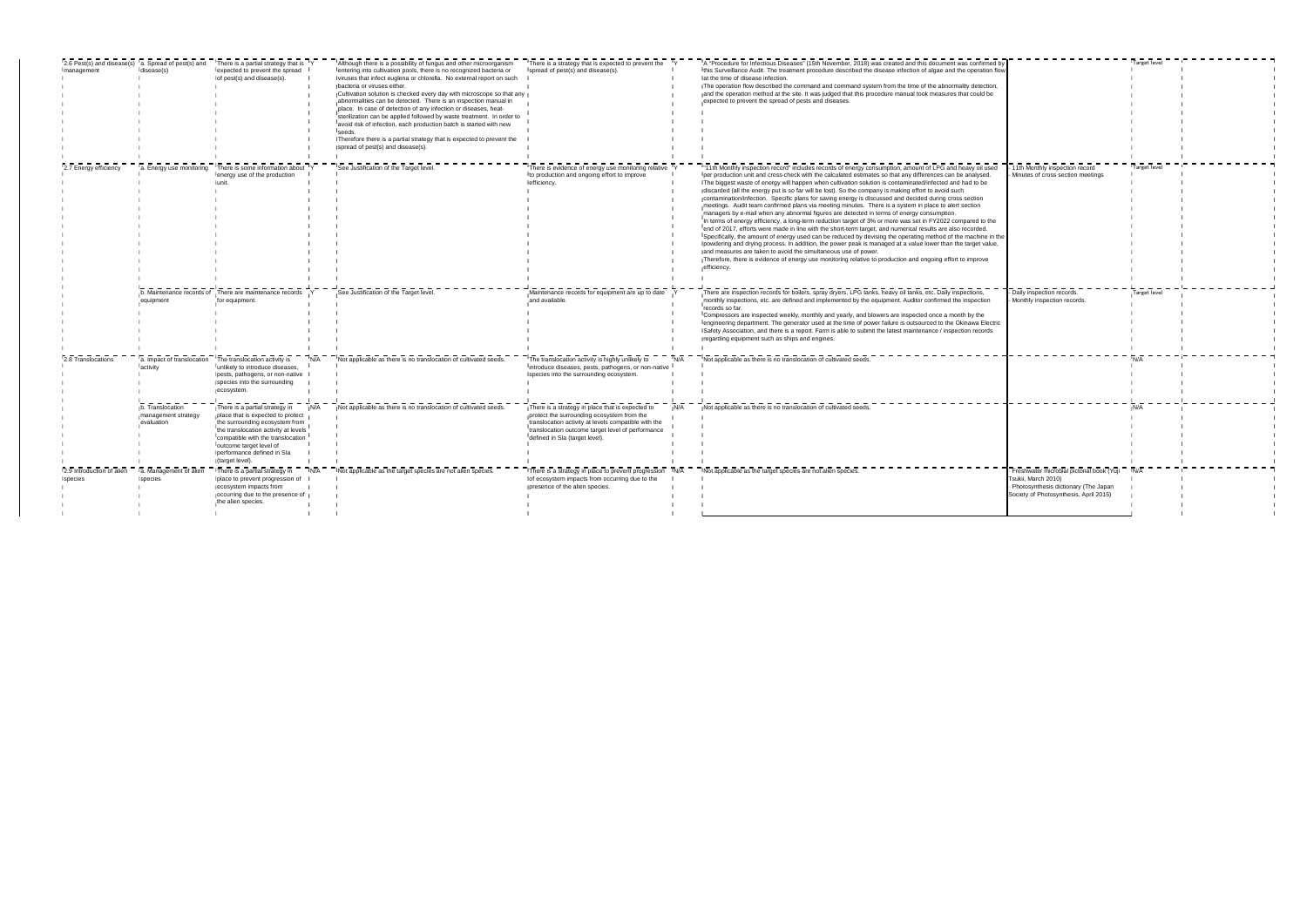| management                           | disease(s)                                            | 2.6 Pest(s) and disease(s) a. Spread of pest(s) and There is a partial strategy that is TY<br>expected to prevent the spread<br>of pest(s) and disease(s).                                                                                                     | Although there is a possibility of fungus and other microorganism<br>entering into cultivation pools, there is no recognized bacteria or<br>viruses that infect euglena or chlorella. No external report on such<br>bacteria or viruses either.<br>Cultivation solution is checked every day with microscope so that any<br>abnormalities can be detected. There is an inspection manual in<br>place. In case of detection of any infection or diseases, heat-<br>sterilization can be applied followed by waste treatment. In order to<br>avoid risk of infection, each production batch is started with new<br>seeds. | There is a strategy that is expected to prevent the Y<br>spread of pest(s) and disease(s).                                                                                                                                                     |     | A "Procedure for Infectious Diseases" (15th November, 2018) was created and this document was confirmed by<br>Ithis Surveillance Audit. The treatment procedure described the disease infection of algae and the operation flow<br>at the time of disease infection.<br>The operation flow described the command and command system from the time of the abnormality detection.<br>and the operation method at the site. It was judged that this procedure manual took measures that could be<br>expected to prevent the spread of pests and diseases.                                                                                                                                                                                                                                                                                                                                                                                                                                                                                                                                                                                                                                                                                                                                                                                                                                                                       |                                                                                                                                                    | Target level |  |
|--------------------------------------|-------------------------------------------------------|----------------------------------------------------------------------------------------------------------------------------------------------------------------------------------------------------------------------------------------------------------------|-------------------------------------------------------------------------------------------------------------------------------------------------------------------------------------------------------------------------------------------------------------------------------------------------------------------------------------------------------------------------------------------------------------------------------------------------------------------------------------------------------------------------------------------------------------------------------------------------------------------------|------------------------------------------------------------------------------------------------------------------------------------------------------------------------------------------------------------------------------------------------|-----|------------------------------------------------------------------------------------------------------------------------------------------------------------------------------------------------------------------------------------------------------------------------------------------------------------------------------------------------------------------------------------------------------------------------------------------------------------------------------------------------------------------------------------------------------------------------------------------------------------------------------------------------------------------------------------------------------------------------------------------------------------------------------------------------------------------------------------------------------------------------------------------------------------------------------------------------------------------------------------------------------------------------------------------------------------------------------------------------------------------------------------------------------------------------------------------------------------------------------------------------------------------------------------------------------------------------------------------------------------------------------------------------------------------------------|----------------------------------------------------------------------------------------------------------------------------------------------------|--------------|--|
|                                      |                                                       |                                                                                                                                                                                                                                                                | Therefore there is a partial strategy that is expected to prevent the<br>spread of pest(s) and disease(s).                                                                                                                                                                                                                                                                                                                                                                                                                                                                                                              |                                                                                                                                                                                                                                                |     |                                                                                                                                                                                                                                                                                                                                                                                                                                                                                                                                                                                                                                                                                                                                                                                                                                                                                                                                                                                                                                                                                                                                                                                                                                                                                                                                                                                                                              |                                                                                                                                                    |              |  |
| 2.7 Energy efficiency                |                                                       | a. Energy use monitoring There is some information about TY<br>lenergy use of the production                                                                                                                                                                   | See Justification of the Target level.                                                                                                                                                                                                                                                                                                                                                                                                                                                                                                                                                                                  | There is evidence of energy use monitoring relative Y<br>Ito production and ongoing effort to improve<br>efficiency.                                                                                                                           |     | "11th Monthly inspection record" includes records of energy consumption, amount of LPG and heavy oil used<br>Ther production unit and cross-check with the calculated estimates so that any differences can be analysed.<br>The biggest waste of energy will happen when cultivation solution is contaminated/infected and had to be<br>discarded (all the energy put is so far will be lost). So the company is making effort to avoid such<br>contamination/infection. Specific plans for saving energy is discussed and decided during cross section<br>meetings. Audit team confirmed plans via meeting minutes. There is a system in place to alert section<br>managers by e-mail when any abnormal figures are detected in terms of energy consumption.<br>In terms of energy efficiency, a long-term reduction target of 3% or more was set in FY2022 compared to the<br>lend of 2017, efforts were made in line with the short-term target, and numerical results are also recorded.<br>Specifically, the amount of energy used can be reduced by devising the operating method of the machine in the<br>powdering and drying process. In addition, the power peak is managed at a value lower than the target value,<br>and measures are taken to avoid the simultaneous use of power.<br>Therefore, there is evidence of energy use monitoring relative to production and ongoing effort to improve<br>efficiency. | - 11th Monthly inspection record<br>Minutes of cross section meetings                                                                              | Target level |  |
|                                      | equipment                                             | b. Maintenance records of There are maintenance records<br>for equipment.                                                                                                                                                                                      | See Justification of the Target level.                                                                                                                                                                                                                                                                                                                                                                                                                                                                                                                                                                                  | Maintenance records for equipment are up to date<br>and available.                                                                                                                                                                             |     | There are inspection records for boilers, spray dryers, LPG tanks, heavy oil tanks, etc. Daily inspections,<br>monthly inspections, etc. are defined and implemented by the equipment. Auditor confirmed the inspection<br>records so far.<br>Compressors are inspected weekly, monthly and yearly, and blowers are inspected once a month by the<br>jengineering department. The generator used at the time of power failure is outsourced to the Okinawa Electric<br>Safety Association, and there is a report. Farm is able to submit the latest maintenance / inspection records<br>regarding equipment such as ships and engines.                                                                                                                                                                                                                                                                                                                                                                                                                                                                                                                                                                                                                                                                                                                                                                                       | - Daily inspection records.<br>- Monthly inspection records.                                                                                       | Target level |  |
| 12.8 Translocations                  | activity                                              | Ia. Impact of translocation IThe translocation activity is<br>IN/A<br>unlikely to introduce diseases,<br>pests, pathogens, or non-native<br>species into the surrounding<br>ecosystem.                                                                         | Not applicable as there is no translocation of cultivated seeds.                                                                                                                                                                                                                                                                                                                                                                                                                                                                                                                                                        | I The translocation activity is highly unlikely to<br>introduce diseases, pests, pathogens, or non-native<br>species into the surrounding ecosystem                                                                                            |     | Not applicable as there is no translocation of cultivated seeds.                                                                                                                                                                                                                                                                                                                                                                                                                                                                                                                                                                                                                                                                                                                                                                                                                                                                                                                                                                                                                                                                                                                                                                                                                                                                                                                                                             |                                                                                                                                                    |              |  |
|                                      | o. Translocation<br>management strategy<br>evaluation | There is a partial strategy in<br>place that is expected to protect<br>the surrounding ecosystem from<br>the translocation activity at levels<br>compatible with the translocation<br>outcome target level of<br>performance defined in Sla<br>(target level). | Not applicable as there is no translocation of cultivated seeds.                                                                                                                                                                                                                                                                                                                                                                                                                                                                                                                                                        | There is a strategy in place that is expected to<br>protect the surrounding ecosystem from the<br>translocation activity at levels compatible with the<br>Itranslocation outcome target level of performance<br>defined in Sla (target level). |     | Not applicable as there is no translocation of cultivated seeds.                                                                                                                                                                                                                                                                                                                                                                                                                                                                                                                                                                                                                                                                                                                                                                                                                                                                                                                                                                                                                                                                                                                                                                                                                                                                                                                                                             |                                                                                                                                                    |              |  |
| 2.9 Introduction of alien<br>species | a. Management of alien<br>species                     | There is a partial strategy in<br>place to prevent progression of<br>ecosystem impacts from<br>occurring due to the presence of<br>the alien species.                                                                                                          | Not applicable as the target species are not alien species.                                                                                                                                                                                                                                                                                                                                                                                                                                                                                                                                                             | There is a strategy in place to prevent progression<br>of ecosystem impacts from occurring due to the<br>presence of the alien species.                                                                                                        | N/A | Not applicable as the target species are not alien species                                                                                                                                                                                                                                                                                                                                                                                                                                                                                                                                                                                                                                                                                                                                                                                                                                                                                                                                                                                                                                                                                                                                                                                                                                                                                                                                                                   | Freshwater microbial pictorial book (Yuji<br>Tsukii, March 2010)<br>Photosynthesis dictionary (The Japan<br>Society of Photosynthesis, April 2015) |              |  |

 $\mathbf{I}$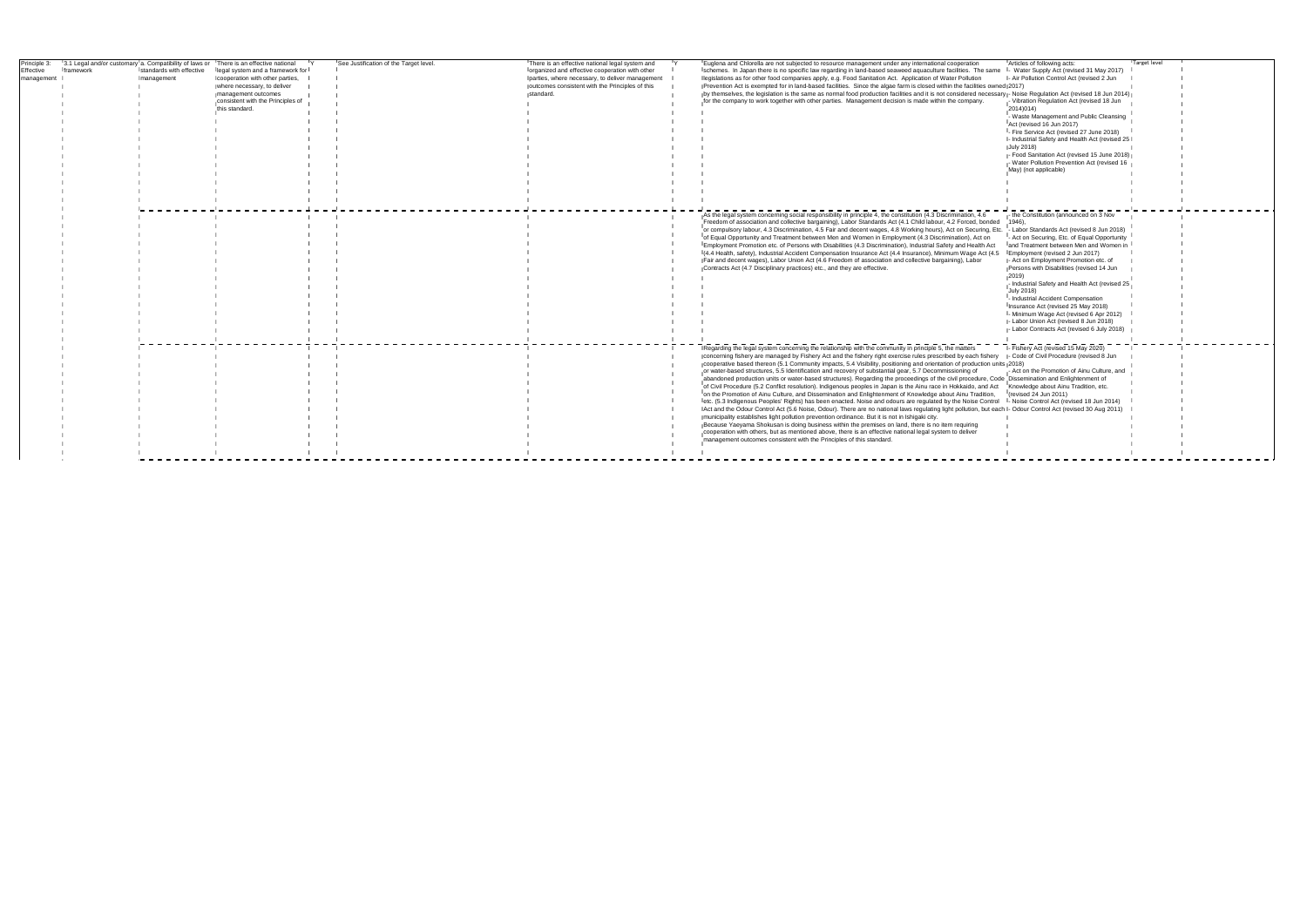| Principle 3: |           |                          | 3.1 Legal and/or customary a. Compatibility of laws or There is an effective national | See Justification of the Target level. | There is an effective national legal system and | Euglena and Chlorella are not subjected to resource management under any international cooperation                                                              | Articles of following acts:                     | Target level |
|--------------|-----------|--------------------------|---------------------------------------------------------------------------------------|----------------------------------------|-------------------------------------------------|-----------------------------------------------------------------------------------------------------------------------------------------------------------------|-------------------------------------------------|--------------|
| ffective     | framework | standards with effective | legal system and a framework for                                                      |                                        | organized and effective cooperation with other  | Ischemes. In Japan there is no specific law regarding in land-based seaweed aquaculture facilities. The same I- Water Supply Act (revised 31 May 2017)          |                                                 |              |
| management   |           | management               | cooperation with other parties,                                                       |                                        | parties, where necessary, to deliver management | Ilegislations as for other food companies apply, e.g. Food Sanitation Act. Application of Water Pollution                                                       | - Air Pollution Control Act (revised 2 Jun      |              |
|              |           |                          | where necessary, to deliver                                                           |                                        | outcomes consistent with the Principles of this | Prevention Act is exempted for in land-based facilities. Since the algae farm is closed within the facilities owned (2017)                                      |                                                 |              |
|              |           |                          | management outcomes                                                                   |                                        | standard.                                       | by themselves, the legislation is the same as normal food production facilities and it is not considered necessary - Noise Regulation Act (revised 18 Jun 2014) |                                                 |              |
|              |           |                          | consistent with the Principles of                                                     |                                        |                                                 | for the company to work together with other parties. Management decision is made within the company.                                                            | Vibration Regulation Act (revised 18 Jun        |              |
|              |           |                          | this standard.                                                                        |                                        |                                                 |                                                                                                                                                                 | 2014)014)                                       |              |
|              |           |                          |                                                                                       |                                        |                                                 |                                                                                                                                                                 | - Waste Management and Public Cleansing         |              |
|              |           |                          |                                                                                       |                                        |                                                 |                                                                                                                                                                 | Act (revised 16 Jun 2017)                       |              |
|              |           |                          |                                                                                       |                                        |                                                 |                                                                                                                                                                 | I- Fire Service Act (revised 27 June 2018)      |              |
|              |           |                          |                                                                                       |                                        |                                                 |                                                                                                                                                                 | - Industrial Safety and Health Act (revised 25) |              |
|              |           |                          |                                                                                       |                                        |                                                 |                                                                                                                                                                 | July 2018)                                      |              |
|              |           |                          |                                                                                       |                                        |                                                 |                                                                                                                                                                 | - Food Sanitation Act (revised 15 June 2018)    |              |
|              |           |                          |                                                                                       |                                        |                                                 |                                                                                                                                                                 | - Water Pollution Prevention Act (revised 16    |              |
|              |           |                          |                                                                                       |                                        |                                                 |                                                                                                                                                                 | May) (not applicable)                           |              |
|              |           |                          |                                                                                       |                                        |                                                 |                                                                                                                                                                 |                                                 |              |
|              |           |                          |                                                                                       |                                        |                                                 |                                                                                                                                                                 |                                                 |              |
|              |           |                          |                                                                                       |                                        |                                                 |                                                                                                                                                                 |                                                 |              |
|              |           |                          |                                                                                       |                                        |                                                 |                                                                                                                                                                 |                                                 |              |
|              |           |                          |                                                                                       |                                        |                                                 |                                                                                                                                                                 |                                                 |              |
|              |           |                          |                                                                                       |                                        |                                                 | As the legal system concerning social responsibility in principle 4, the constitution (4.3 Discrimination, 4.6                                                  | the Constitution (announced on 3 Nov            |              |
|              |           |                          |                                                                                       |                                        |                                                 | Freedom of association and collective bargaining), Labor Standards Act (4.1 Child labour, 4.2 Forced, bonded                                                    | 1946)                                           |              |
|              |           |                          |                                                                                       |                                        |                                                 | or compulsory labour, 4.3 Discrimination, 4.5 Fair and decent wages, 4.8 Working hours), Act on Securing, Etc. - Labor Standards Act (revised 8 Jun 2018)       |                                                 |              |
|              |           |                          |                                                                                       |                                        |                                                 | of Equal Opportunity and Treatment between Men and Women in Employment (4.3 Discrimination), Act on                                                             | - Act on Securing, Etc. of Equal Opportunity    |              |
|              |           |                          |                                                                                       |                                        |                                                 | IEmployment Promotion etc. of Persons with Disabilities (4.3 Discrimination), Industrial Safety and Health Act                                                  | land Treatment between Men and Women in         |              |
|              |           |                          |                                                                                       |                                        |                                                 | (4.4 Health, safety), Industrial Accident Compensation Insurance Act (4.4 Insurance), Minimum Wage Act (4.5 Employment (revised 2 Jun 2017)                     |                                                 |              |
|              |           |                          |                                                                                       |                                        |                                                 | Fair and decent wages), Labor Union Act (4.6 Freedom of association and collective bargaining), Labor                                                           | - Act on Employment Promotion etc. of           |              |
|              |           |                          |                                                                                       |                                        |                                                 | Contracts Act (4.7 Disciplinary practices) etc., and they are effective.                                                                                        | Persons with Disabilities (revised 14 Jun       |              |
|              |           |                          |                                                                                       |                                        |                                                 |                                                                                                                                                                 |                                                 |              |
|              |           |                          |                                                                                       |                                        |                                                 |                                                                                                                                                                 | Industrial Safety and Health Act (revised 25    |              |
|              |           |                          |                                                                                       |                                        |                                                 |                                                                                                                                                                 | July 2018)                                      |              |
|              |           |                          |                                                                                       |                                        |                                                 |                                                                                                                                                                 | - Industrial Accident Compensation              |              |
|              |           |                          |                                                                                       |                                        |                                                 |                                                                                                                                                                 | Insurance Act (revised 25 May 2018)             |              |
|              |           |                          |                                                                                       |                                        |                                                 |                                                                                                                                                                 | - Minimum Wage Act (revised 6 Apr 2012)         |              |
|              |           |                          |                                                                                       |                                        |                                                 |                                                                                                                                                                 | - Labor Union Act (revised 8 Jun 2018)          |              |
|              |           |                          |                                                                                       |                                        |                                                 |                                                                                                                                                                 | Labor Contracts Act (revised 6 July 2018)       |              |
|              |           |                          |                                                                                       |                                        |                                                 |                                                                                                                                                                 |                                                 |              |
|              |           |                          |                                                                                       |                                        |                                                 |                                                                                                                                                                 |                                                 |              |
|              |           |                          |                                                                                       |                                        |                                                 | Regarding the legal system concerning the relationship with the community in principle 5, the matters                                                           | - Fishery Act (revised 15 May 2020)             |              |
|              |           |                          |                                                                                       |                                        |                                                 | concerning fishery are managed by Fishery Act and the fishery right exercise rules prescribed by each fishery                                                   | - Code of Civil Procedure (revised 8 Jun        |              |
|              |           |                          |                                                                                       |                                        |                                                 | cooperative based thereon (5.1 Community impacts, 5.4 Visibility, positioning and orientation of production units 2018)                                         |                                                 |              |
|              |           |                          |                                                                                       |                                        |                                                 | or water-based structures, 5.5 Identification and recovery of substantial gear, 5.7 Decommissioning of                                                          | - Act on the Promotion of Ainu Culture, and     |              |
|              |           |                          |                                                                                       |                                        |                                                 | abandoned production units or water-based structures). Regarding the proceedings of the civil procedure, Code Dissemination and Enlightenment of                |                                                 |              |
|              |           |                          |                                                                                       |                                        |                                                 | Tof Civil Procedure (5.2 Conflict resolution). Indigenous peoples in Japan is the Ainu race in Hokkaido, and Act Knowledge about Ainu Tradition, etc            |                                                 |              |
|              |           |                          |                                                                                       |                                        |                                                 | Ton the Promotion of Ainu Culture, and Dissemination and Enlightenment of Knowledge about Ainu Tradition,                                                       | (revised 24 Jun 2011)                           |              |
|              |           |                          |                                                                                       |                                        |                                                 | etc. (5.3 Indigenous Peoples' Rights) has been enacted. Noise and odours are regulated by the Noise Control - Noise Control Act (revised 18 Jun 2014)           |                                                 |              |
|              |           |                          |                                                                                       |                                        |                                                 | Act and the Odour Control Act (5.6 Noise, Odour). There are no national laws regulating light pollution, but each - Odour Control Act (revised 30 Aug 2011)     |                                                 |              |
|              |           |                          |                                                                                       |                                        |                                                 | municipality establishes light pollution prevention ordinance. But it is not in Ishigaki city.                                                                  |                                                 |              |
|              |           |                          |                                                                                       |                                        |                                                 | Because Yaeyama Shokusan is doing business within the premises on land, there is no item requiring                                                              |                                                 |              |
|              |           |                          |                                                                                       |                                        |                                                 | cooperation with others, but as mentioned above, there is an effective national legal system to deliver                                                         |                                                 |              |
|              |           |                          |                                                                                       |                                        |                                                 | management outcomes consistent with the Principles of this standard.                                                                                            |                                                 |              |
|              |           |                          |                                                                                       |                                        |                                                 |                                                                                                                                                                 |                                                 |              |
|              |           |                          |                                                                                       |                                        |                                                 |                                                                                                                                                                 |                                                 |              |
|              |           |                          |                                                                                       |                                        |                                                 |                                                                                                                                                                 |                                                 |              |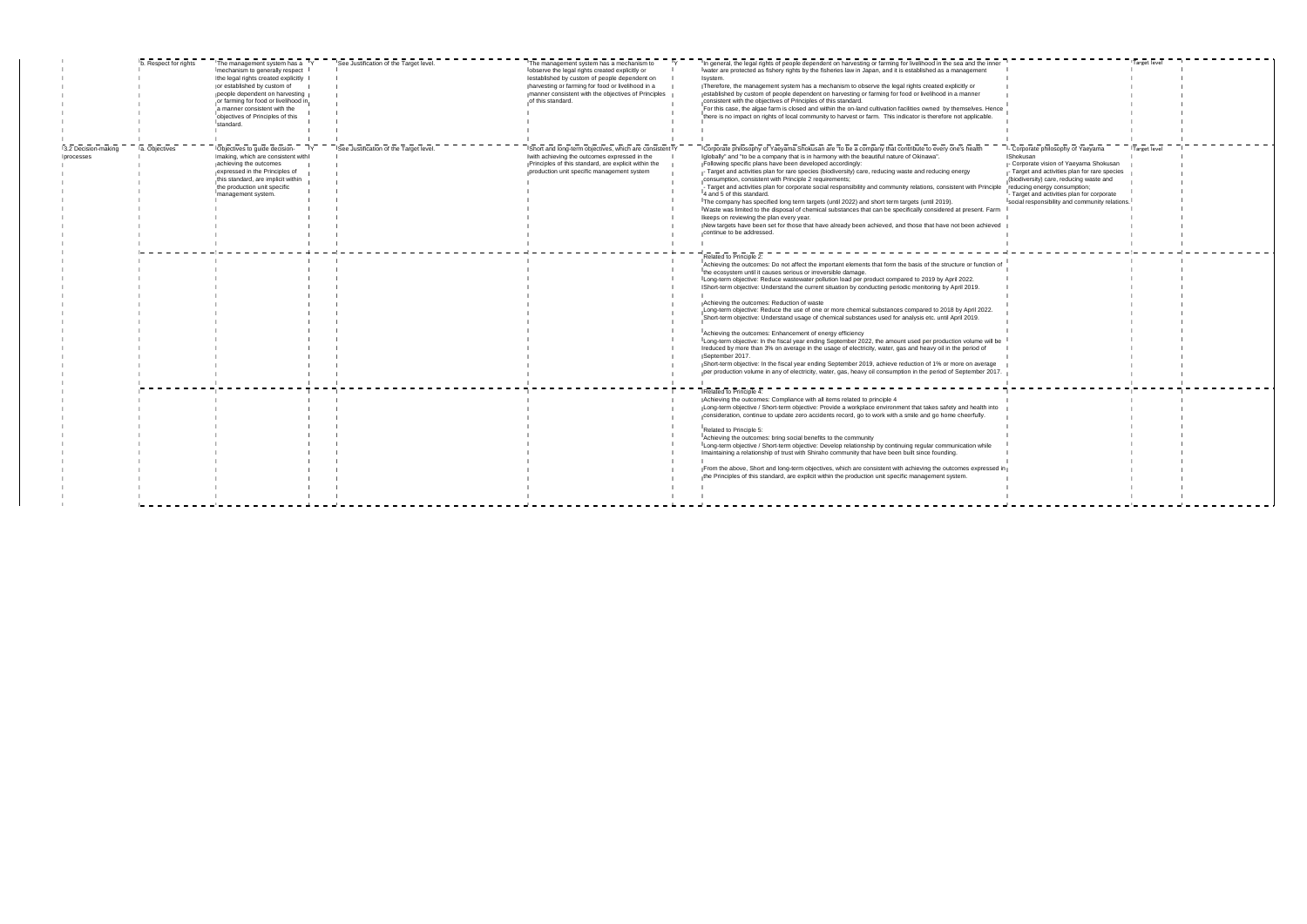| inner                  |                                                                                                                                                                                                                                                                                                                             | Target level |  |
|------------------------|-----------------------------------------------------------------------------------------------------------------------------------------------------------------------------------------------------------------------------------------------------------------------------------------------------------------------------|--------------|--|
| lence<br>ė.            |                                                                                                                                                                                                                                                                                                                             |              |  |
| iciple<br>Farm<br>eved | - Corporate philosophy of Yaeyama<br>Shokusan<br>- Corporate vision of Yaeyama Shokusan<br>- Target and activities plan for rare species<br>(biodiversity) care, reducing waste and<br>reducing energy consumption;<br>- Target and activities plan for corporate<br>Isocial responsibility and community relations. I<br>ī | Target level |  |
| ion of                 |                                                                                                                                                                                                                                                                                                                             |              |  |
| 2.                     |                                                                                                                                                                                                                                                                                                                             |              |  |
| ill be                 |                                                                                                                                                                                                                                                                                                                             |              |  |
| age<br>2017.           |                                                                                                                                                                                                                                                                                                                             |              |  |
| into                   |                                                                                                                                                                                                                                                                                                                             |              |  |
| e                      |                                                                                                                                                                                                                                                                                                                             |              |  |
| ssed in                | I                                                                                                                                                                                                                                                                                                                           |              |  |
|                        |                                                                                                                                                                                                                                                                                                                             |              |  |

| mechanism to generally respect<br>water are protected as fishery rights by the fisheries law in Japan, and it is established as a management<br>lobserve the legal rights created explicitly or<br>the legal rights created explicitly<br>lestablished by custom of people dependent on<br>system.<br>or established by custom of<br>Therefore, the management system has a mechanism to observe the legal rights created explicitly or<br>harvesting or farming for food or livelihood in a<br>manner consistent with the objectives of Principles<br>established by custom of people dependent on harvesting or farming for food or livelihood in a manner<br>people dependent on harvesting<br>or farming for food or livelihood in<br>of this standard.<br>consistent with the objectives of Principles of this standard.<br>For this case, the algae farm is closed and within the on-land cultivation facilities owned by themselves. Hence<br>a manner consistent with the<br>there is no impact on rights of local community to harvest or farm. This indicator is therefore not applicable.<br>objectives of Principles of this<br>standard.<br>See Justification of the Target level<br>a. Objectives<br>Corporate philosophy of Yaeyama Shokusan are "to be a company that contribute to every one's health<br>3.2 Decision-making<br>Objectives to guide decision-<br>Short and long-term objectives, which are consistent Y<br>globally" and "to be a company that is in harmony with the beautiful nature of Okinawa".<br>Sh<br>making, which are consistent with<br>with achieving the outcomes expressed in the<br>processes<br>Following specific plans have been developed accordingly:<br>achieving the outcomes<br>Principles of this standard, are explicit within the<br>expressed in the Principles of<br>production unit specific management system<br>- Target and activities plan for rare species (biodiversity) care, reducing waste and reducing energy<br>this standard, are implicit within<br>consumption, consistent with Principle 2 requirements;<br>- Target and activities plan for corporate social responsibility and community relations, consistent with Principle<br>the production unit specific<br>4 and 5 of this standard.<br>management system.<br>The company has specified long term targets (until 2022) and short term targets (until 2019).<br>IWaste was limited to the disposal of chemical substances that can be specifically considered at present. Farm<br>keeps on reviewing the plan every year.<br>New targets have been set for those that have already been achieved, and those that have not been achieved<br>continue to be addressed.<br>Related to Principle 2:<br>Achieving the outcomes: Do not affect the important elements that form the basis of the structure or function of<br>the ecosystem until it causes serious or irreversible damage.<br>Long-term objective: Reduce wastewater pollution load per product compared to 2019 by April 2022.<br>Short-term objective: Understand the current situation by conducting periodic monitoring by April 2019.<br>Achieving the outcomes: Reduction of waste<br>Long-term objective: Reduce the use of one or more chemical substances compared to 2018 by April 2022.<br>Short-term objective: Understand usage of chemical substances used for analysis etc. until April 2019.<br>Achieving the outcomes: Enhancement of energy efficiency<br>Long-term objective: In the fiscal year ending September 2022, the amount used per production volume will be<br>reduced by more than 3% on average in the usage of electricity, water, gas and heavy oil in the period of<br>September 2017.<br>Short-term objective: In the fiscal year ending September 2019, achieve reduction of 1% or more on average<br>per production volume in any of electricity, water, gas, heavy oil consumption in the period of September 2017.<br>Related to Principle 4:<br>Achieving the outcomes: Compliance with all items related to principle 4<br>Long-term objective / Short-term objective: Provide a workplace environment that takes safety and health into<br>consideration, continue to update zero accidents record, go to work with a smile and go home cheerfully.<br>Related to Principle 5:<br>Achieving the outcomes: bring social benefits to the community<br>Long-term objective / Short-term objective: Develop relationship by continuing regular communication while<br>maintaining a relationship of trust with Shiraho community that have been built since founding.<br>From the above, Short and long-term objectives, which are consistent with achieving the outcomes expressed in<br>the Principles of this standard, are explicit within the production unit specific management system. | b. Respect for rights | The management system has a TY | See Justification of the Target level | The management system has a mechanism to | In general, the legal rights of people dependent on harvesting or farming for livelihood in the sea and the inner |  |
|-----------------------------------------------------------------------------------------------------------------------------------------------------------------------------------------------------------------------------------------------------------------------------------------------------------------------------------------------------------------------------------------------------------------------------------------------------------------------------------------------------------------------------------------------------------------------------------------------------------------------------------------------------------------------------------------------------------------------------------------------------------------------------------------------------------------------------------------------------------------------------------------------------------------------------------------------------------------------------------------------------------------------------------------------------------------------------------------------------------------------------------------------------------------------------------------------------------------------------------------------------------------------------------------------------------------------------------------------------------------------------------------------------------------------------------------------------------------------------------------------------------------------------------------------------------------------------------------------------------------------------------------------------------------------------------------------------------------------------------------------------------------------------------------------------------------------------------------------------------------------------------------------------------------------------------------------------------------------------------------------------------------------------------------------------------------------------------------------------------------------------------------------------------------------------------------------------------------------------------------------------------------------------------------------------------------------------------------------------------------------------------------------------------------------------------------------------------------------------------------------------------------------------------------------------------------------------------------------------------------------------------------------------------------------------------------------------------------------------------------------------------------------------------------------------------------------------------------------------------------------------------------------------------------------------------------------------------------------------------------------------------------------------------------------------------------------------------------------------------------------------------------------------------------------------------------------------------------------------------------------------------------------------------------------------------------------------------------------------------------------------------------------------------------------------------------------------------------------------------------------------------------------------------------------------------------------------------------------------------------------------------------------------------------------------------------------------------------------------------------------------------------------------------------------------------------------------------------------------------------------------------------------------------------------------------------------------------------------------------------------------------------------------------------------------------------------------------------------------------------------------------------------------------------------------------------------------------------------------------------------------------------------------------------------------------------------------------------------------------------------------------------------------------------------------------------------------------------------------------------------------------------------------------------------------------------------------------------------------------------------------------------------------------------------------------------------------------------------------------------------------------------------------------------------------------------------------------|-----------------------|--------------------------------|---------------------------------------|------------------------------------------|-------------------------------------------------------------------------------------------------------------------|--|
|                                                                                                                                                                                                                                                                                                                                                                                                                                                                                                                                                                                                                                                                                                                                                                                                                                                                                                                                                                                                                                                                                                                                                                                                                                                                                                                                                                                                                                                                                                                                                                                                                                                                                                                                                                                                                                                                                                                                                                                                                                                                                                                                                                                                                                                                                                                                                                                                                                                                                                                                                                                                                                                                                                                                                                                                                                                                                                                                                                                                                                                                                                                                                                                                                                                                                                                                                                                                                                                                                                                                                                                                                                                                                                                                                                                                                                                                                                                                                                                                                                                                                                                                                                                                                                                                                                                                                                                                                                                                                                                                                                                                                                                                                                                                                                                                                                   |                       |                                |                                       |                                          |                                                                                                                   |  |
|                                                                                                                                                                                                                                                                                                                                                                                                                                                                                                                                                                                                                                                                                                                                                                                                                                                                                                                                                                                                                                                                                                                                                                                                                                                                                                                                                                                                                                                                                                                                                                                                                                                                                                                                                                                                                                                                                                                                                                                                                                                                                                                                                                                                                                                                                                                                                                                                                                                                                                                                                                                                                                                                                                                                                                                                                                                                                                                                                                                                                                                                                                                                                                                                                                                                                                                                                                                                                                                                                                                                                                                                                                                                                                                                                                                                                                                                                                                                                                                                                                                                                                                                                                                                                                                                                                                                                                                                                                                                                                                                                                                                                                                                                                                                                                                                                                   |                       |                                |                                       |                                          |                                                                                                                   |  |
|                                                                                                                                                                                                                                                                                                                                                                                                                                                                                                                                                                                                                                                                                                                                                                                                                                                                                                                                                                                                                                                                                                                                                                                                                                                                                                                                                                                                                                                                                                                                                                                                                                                                                                                                                                                                                                                                                                                                                                                                                                                                                                                                                                                                                                                                                                                                                                                                                                                                                                                                                                                                                                                                                                                                                                                                                                                                                                                                                                                                                                                                                                                                                                                                                                                                                                                                                                                                                                                                                                                                                                                                                                                                                                                                                                                                                                                                                                                                                                                                                                                                                                                                                                                                                                                                                                                                                                                                                                                                                                                                                                                                                                                                                                                                                                                                                                   |                       |                                |                                       |                                          |                                                                                                                   |  |
|                                                                                                                                                                                                                                                                                                                                                                                                                                                                                                                                                                                                                                                                                                                                                                                                                                                                                                                                                                                                                                                                                                                                                                                                                                                                                                                                                                                                                                                                                                                                                                                                                                                                                                                                                                                                                                                                                                                                                                                                                                                                                                                                                                                                                                                                                                                                                                                                                                                                                                                                                                                                                                                                                                                                                                                                                                                                                                                                                                                                                                                                                                                                                                                                                                                                                                                                                                                                                                                                                                                                                                                                                                                                                                                                                                                                                                                                                                                                                                                                                                                                                                                                                                                                                                                                                                                                                                                                                                                                                                                                                                                                                                                                                                                                                                                                                                   |                       |                                |                                       |                                          |                                                                                                                   |  |
|                                                                                                                                                                                                                                                                                                                                                                                                                                                                                                                                                                                                                                                                                                                                                                                                                                                                                                                                                                                                                                                                                                                                                                                                                                                                                                                                                                                                                                                                                                                                                                                                                                                                                                                                                                                                                                                                                                                                                                                                                                                                                                                                                                                                                                                                                                                                                                                                                                                                                                                                                                                                                                                                                                                                                                                                                                                                                                                                                                                                                                                                                                                                                                                                                                                                                                                                                                                                                                                                                                                                                                                                                                                                                                                                                                                                                                                                                                                                                                                                                                                                                                                                                                                                                                                                                                                                                                                                                                                                                                                                                                                                                                                                                                                                                                                                                                   |                       |                                |                                       |                                          |                                                                                                                   |  |
|                                                                                                                                                                                                                                                                                                                                                                                                                                                                                                                                                                                                                                                                                                                                                                                                                                                                                                                                                                                                                                                                                                                                                                                                                                                                                                                                                                                                                                                                                                                                                                                                                                                                                                                                                                                                                                                                                                                                                                                                                                                                                                                                                                                                                                                                                                                                                                                                                                                                                                                                                                                                                                                                                                                                                                                                                                                                                                                                                                                                                                                                                                                                                                                                                                                                                                                                                                                                                                                                                                                                                                                                                                                                                                                                                                                                                                                                                                                                                                                                                                                                                                                                                                                                                                                                                                                                                                                                                                                                                                                                                                                                                                                                                                                                                                                                                                   |                       |                                |                                       |                                          |                                                                                                                   |  |
|                                                                                                                                                                                                                                                                                                                                                                                                                                                                                                                                                                                                                                                                                                                                                                                                                                                                                                                                                                                                                                                                                                                                                                                                                                                                                                                                                                                                                                                                                                                                                                                                                                                                                                                                                                                                                                                                                                                                                                                                                                                                                                                                                                                                                                                                                                                                                                                                                                                                                                                                                                                                                                                                                                                                                                                                                                                                                                                                                                                                                                                                                                                                                                                                                                                                                                                                                                                                                                                                                                                                                                                                                                                                                                                                                                                                                                                                                                                                                                                                                                                                                                                                                                                                                                                                                                                                                                                                                                                                                                                                                                                                                                                                                                                                                                                                                                   |                       |                                |                                       |                                          |                                                                                                                   |  |
|                                                                                                                                                                                                                                                                                                                                                                                                                                                                                                                                                                                                                                                                                                                                                                                                                                                                                                                                                                                                                                                                                                                                                                                                                                                                                                                                                                                                                                                                                                                                                                                                                                                                                                                                                                                                                                                                                                                                                                                                                                                                                                                                                                                                                                                                                                                                                                                                                                                                                                                                                                                                                                                                                                                                                                                                                                                                                                                                                                                                                                                                                                                                                                                                                                                                                                                                                                                                                                                                                                                                                                                                                                                                                                                                                                                                                                                                                                                                                                                                                                                                                                                                                                                                                                                                                                                                                                                                                                                                                                                                                                                                                                                                                                                                                                                                                                   |                       |                                |                                       |                                          |                                                                                                                   |  |
|                                                                                                                                                                                                                                                                                                                                                                                                                                                                                                                                                                                                                                                                                                                                                                                                                                                                                                                                                                                                                                                                                                                                                                                                                                                                                                                                                                                                                                                                                                                                                                                                                                                                                                                                                                                                                                                                                                                                                                                                                                                                                                                                                                                                                                                                                                                                                                                                                                                                                                                                                                                                                                                                                                                                                                                                                                                                                                                                                                                                                                                                                                                                                                                                                                                                                                                                                                                                                                                                                                                                                                                                                                                                                                                                                                                                                                                                                                                                                                                                                                                                                                                                                                                                                                                                                                                                                                                                                                                                                                                                                                                                                                                                                                                                                                                                                                   |                       |                                |                                       |                                          |                                                                                                                   |  |
|                                                                                                                                                                                                                                                                                                                                                                                                                                                                                                                                                                                                                                                                                                                                                                                                                                                                                                                                                                                                                                                                                                                                                                                                                                                                                                                                                                                                                                                                                                                                                                                                                                                                                                                                                                                                                                                                                                                                                                                                                                                                                                                                                                                                                                                                                                                                                                                                                                                                                                                                                                                                                                                                                                                                                                                                                                                                                                                                                                                                                                                                                                                                                                                                                                                                                                                                                                                                                                                                                                                                                                                                                                                                                                                                                                                                                                                                                                                                                                                                                                                                                                                                                                                                                                                                                                                                                                                                                                                                                                                                                                                                                                                                                                                                                                                                                                   |                       |                                |                                       |                                          |                                                                                                                   |  |
|                                                                                                                                                                                                                                                                                                                                                                                                                                                                                                                                                                                                                                                                                                                                                                                                                                                                                                                                                                                                                                                                                                                                                                                                                                                                                                                                                                                                                                                                                                                                                                                                                                                                                                                                                                                                                                                                                                                                                                                                                                                                                                                                                                                                                                                                                                                                                                                                                                                                                                                                                                                                                                                                                                                                                                                                                                                                                                                                                                                                                                                                                                                                                                                                                                                                                                                                                                                                                                                                                                                                                                                                                                                                                                                                                                                                                                                                                                                                                                                                                                                                                                                                                                                                                                                                                                                                                                                                                                                                                                                                                                                                                                                                                                                                                                                                                                   |                       |                                |                                       |                                          |                                                                                                                   |  |
|                                                                                                                                                                                                                                                                                                                                                                                                                                                                                                                                                                                                                                                                                                                                                                                                                                                                                                                                                                                                                                                                                                                                                                                                                                                                                                                                                                                                                                                                                                                                                                                                                                                                                                                                                                                                                                                                                                                                                                                                                                                                                                                                                                                                                                                                                                                                                                                                                                                                                                                                                                                                                                                                                                                                                                                                                                                                                                                                                                                                                                                                                                                                                                                                                                                                                                                                                                                                                                                                                                                                                                                                                                                                                                                                                                                                                                                                                                                                                                                                                                                                                                                                                                                                                                                                                                                                                                                                                                                                                                                                                                                                                                                                                                                                                                                                                                   |                       |                                |                                       |                                          |                                                                                                                   |  |
|                                                                                                                                                                                                                                                                                                                                                                                                                                                                                                                                                                                                                                                                                                                                                                                                                                                                                                                                                                                                                                                                                                                                                                                                                                                                                                                                                                                                                                                                                                                                                                                                                                                                                                                                                                                                                                                                                                                                                                                                                                                                                                                                                                                                                                                                                                                                                                                                                                                                                                                                                                                                                                                                                                                                                                                                                                                                                                                                                                                                                                                                                                                                                                                                                                                                                                                                                                                                                                                                                                                                                                                                                                                                                                                                                                                                                                                                                                                                                                                                                                                                                                                                                                                                                                                                                                                                                                                                                                                                                                                                                                                                                                                                                                                                                                                                                                   |                       |                                |                                       |                                          |                                                                                                                   |  |
|                                                                                                                                                                                                                                                                                                                                                                                                                                                                                                                                                                                                                                                                                                                                                                                                                                                                                                                                                                                                                                                                                                                                                                                                                                                                                                                                                                                                                                                                                                                                                                                                                                                                                                                                                                                                                                                                                                                                                                                                                                                                                                                                                                                                                                                                                                                                                                                                                                                                                                                                                                                                                                                                                                                                                                                                                                                                                                                                                                                                                                                                                                                                                                                                                                                                                                                                                                                                                                                                                                                                                                                                                                                                                                                                                                                                                                                                                                                                                                                                                                                                                                                                                                                                                                                                                                                                                                                                                                                                                                                                                                                                                                                                                                                                                                                                                                   |                       |                                |                                       |                                          |                                                                                                                   |  |
|                                                                                                                                                                                                                                                                                                                                                                                                                                                                                                                                                                                                                                                                                                                                                                                                                                                                                                                                                                                                                                                                                                                                                                                                                                                                                                                                                                                                                                                                                                                                                                                                                                                                                                                                                                                                                                                                                                                                                                                                                                                                                                                                                                                                                                                                                                                                                                                                                                                                                                                                                                                                                                                                                                                                                                                                                                                                                                                                                                                                                                                                                                                                                                                                                                                                                                                                                                                                                                                                                                                                                                                                                                                                                                                                                                                                                                                                                                                                                                                                                                                                                                                                                                                                                                                                                                                                                                                                                                                                                                                                                                                                                                                                                                                                                                                                                                   |                       |                                |                                       |                                          |                                                                                                                   |  |
|                                                                                                                                                                                                                                                                                                                                                                                                                                                                                                                                                                                                                                                                                                                                                                                                                                                                                                                                                                                                                                                                                                                                                                                                                                                                                                                                                                                                                                                                                                                                                                                                                                                                                                                                                                                                                                                                                                                                                                                                                                                                                                                                                                                                                                                                                                                                                                                                                                                                                                                                                                                                                                                                                                                                                                                                                                                                                                                                                                                                                                                                                                                                                                                                                                                                                                                                                                                                                                                                                                                                                                                                                                                                                                                                                                                                                                                                                                                                                                                                                                                                                                                                                                                                                                                                                                                                                                                                                                                                                                                                                                                                                                                                                                                                                                                                                                   |                       |                                |                                       |                                          |                                                                                                                   |  |
|                                                                                                                                                                                                                                                                                                                                                                                                                                                                                                                                                                                                                                                                                                                                                                                                                                                                                                                                                                                                                                                                                                                                                                                                                                                                                                                                                                                                                                                                                                                                                                                                                                                                                                                                                                                                                                                                                                                                                                                                                                                                                                                                                                                                                                                                                                                                                                                                                                                                                                                                                                                                                                                                                                                                                                                                                                                                                                                                                                                                                                                                                                                                                                                                                                                                                                                                                                                                                                                                                                                                                                                                                                                                                                                                                                                                                                                                                                                                                                                                                                                                                                                                                                                                                                                                                                                                                                                                                                                                                                                                                                                                                                                                                                                                                                                                                                   |                       |                                |                                       |                                          |                                                                                                                   |  |
|                                                                                                                                                                                                                                                                                                                                                                                                                                                                                                                                                                                                                                                                                                                                                                                                                                                                                                                                                                                                                                                                                                                                                                                                                                                                                                                                                                                                                                                                                                                                                                                                                                                                                                                                                                                                                                                                                                                                                                                                                                                                                                                                                                                                                                                                                                                                                                                                                                                                                                                                                                                                                                                                                                                                                                                                                                                                                                                                                                                                                                                                                                                                                                                                                                                                                                                                                                                                                                                                                                                                                                                                                                                                                                                                                                                                                                                                                                                                                                                                                                                                                                                                                                                                                                                                                                                                                                                                                                                                                                                                                                                                                                                                                                                                                                                                                                   |                       |                                |                                       |                                          |                                                                                                                   |  |
|                                                                                                                                                                                                                                                                                                                                                                                                                                                                                                                                                                                                                                                                                                                                                                                                                                                                                                                                                                                                                                                                                                                                                                                                                                                                                                                                                                                                                                                                                                                                                                                                                                                                                                                                                                                                                                                                                                                                                                                                                                                                                                                                                                                                                                                                                                                                                                                                                                                                                                                                                                                                                                                                                                                                                                                                                                                                                                                                                                                                                                                                                                                                                                                                                                                                                                                                                                                                                                                                                                                                                                                                                                                                                                                                                                                                                                                                                                                                                                                                                                                                                                                                                                                                                                                                                                                                                                                                                                                                                                                                                                                                                                                                                                                                                                                                                                   |                       |                                |                                       |                                          |                                                                                                                   |  |
|                                                                                                                                                                                                                                                                                                                                                                                                                                                                                                                                                                                                                                                                                                                                                                                                                                                                                                                                                                                                                                                                                                                                                                                                                                                                                                                                                                                                                                                                                                                                                                                                                                                                                                                                                                                                                                                                                                                                                                                                                                                                                                                                                                                                                                                                                                                                                                                                                                                                                                                                                                                                                                                                                                                                                                                                                                                                                                                                                                                                                                                                                                                                                                                                                                                                                                                                                                                                                                                                                                                                                                                                                                                                                                                                                                                                                                                                                                                                                                                                                                                                                                                                                                                                                                                                                                                                                                                                                                                                                                                                                                                                                                                                                                                                                                                                                                   |                       |                                |                                       |                                          |                                                                                                                   |  |
|                                                                                                                                                                                                                                                                                                                                                                                                                                                                                                                                                                                                                                                                                                                                                                                                                                                                                                                                                                                                                                                                                                                                                                                                                                                                                                                                                                                                                                                                                                                                                                                                                                                                                                                                                                                                                                                                                                                                                                                                                                                                                                                                                                                                                                                                                                                                                                                                                                                                                                                                                                                                                                                                                                                                                                                                                                                                                                                                                                                                                                                                                                                                                                                                                                                                                                                                                                                                                                                                                                                                                                                                                                                                                                                                                                                                                                                                                                                                                                                                                                                                                                                                                                                                                                                                                                                                                                                                                                                                                                                                                                                                                                                                                                                                                                                                                                   |                       |                                |                                       |                                          |                                                                                                                   |  |
|                                                                                                                                                                                                                                                                                                                                                                                                                                                                                                                                                                                                                                                                                                                                                                                                                                                                                                                                                                                                                                                                                                                                                                                                                                                                                                                                                                                                                                                                                                                                                                                                                                                                                                                                                                                                                                                                                                                                                                                                                                                                                                                                                                                                                                                                                                                                                                                                                                                                                                                                                                                                                                                                                                                                                                                                                                                                                                                                                                                                                                                                                                                                                                                                                                                                                                                                                                                                                                                                                                                                                                                                                                                                                                                                                                                                                                                                                                                                                                                                                                                                                                                                                                                                                                                                                                                                                                                                                                                                                                                                                                                                                                                                                                                                                                                                                                   |                       |                                |                                       |                                          |                                                                                                                   |  |
|                                                                                                                                                                                                                                                                                                                                                                                                                                                                                                                                                                                                                                                                                                                                                                                                                                                                                                                                                                                                                                                                                                                                                                                                                                                                                                                                                                                                                                                                                                                                                                                                                                                                                                                                                                                                                                                                                                                                                                                                                                                                                                                                                                                                                                                                                                                                                                                                                                                                                                                                                                                                                                                                                                                                                                                                                                                                                                                                                                                                                                                                                                                                                                                                                                                                                                                                                                                                                                                                                                                                                                                                                                                                                                                                                                                                                                                                                                                                                                                                                                                                                                                                                                                                                                                                                                                                                                                                                                                                                                                                                                                                                                                                                                                                                                                                                                   |                       |                                |                                       |                                          |                                                                                                                   |  |
|                                                                                                                                                                                                                                                                                                                                                                                                                                                                                                                                                                                                                                                                                                                                                                                                                                                                                                                                                                                                                                                                                                                                                                                                                                                                                                                                                                                                                                                                                                                                                                                                                                                                                                                                                                                                                                                                                                                                                                                                                                                                                                                                                                                                                                                                                                                                                                                                                                                                                                                                                                                                                                                                                                                                                                                                                                                                                                                                                                                                                                                                                                                                                                                                                                                                                                                                                                                                                                                                                                                                                                                                                                                                                                                                                                                                                                                                                                                                                                                                                                                                                                                                                                                                                                                                                                                                                                                                                                                                                                                                                                                                                                                                                                                                                                                                                                   |                       |                                |                                       |                                          |                                                                                                                   |  |
|                                                                                                                                                                                                                                                                                                                                                                                                                                                                                                                                                                                                                                                                                                                                                                                                                                                                                                                                                                                                                                                                                                                                                                                                                                                                                                                                                                                                                                                                                                                                                                                                                                                                                                                                                                                                                                                                                                                                                                                                                                                                                                                                                                                                                                                                                                                                                                                                                                                                                                                                                                                                                                                                                                                                                                                                                                                                                                                                                                                                                                                                                                                                                                                                                                                                                                                                                                                                                                                                                                                                                                                                                                                                                                                                                                                                                                                                                                                                                                                                                                                                                                                                                                                                                                                                                                                                                                                                                                                                                                                                                                                                                                                                                                                                                                                                                                   |                       |                                |                                       |                                          |                                                                                                                   |  |
|                                                                                                                                                                                                                                                                                                                                                                                                                                                                                                                                                                                                                                                                                                                                                                                                                                                                                                                                                                                                                                                                                                                                                                                                                                                                                                                                                                                                                                                                                                                                                                                                                                                                                                                                                                                                                                                                                                                                                                                                                                                                                                                                                                                                                                                                                                                                                                                                                                                                                                                                                                                                                                                                                                                                                                                                                                                                                                                                                                                                                                                                                                                                                                                                                                                                                                                                                                                                                                                                                                                                                                                                                                                                                                                                                                                                                                                                                                                                                                                                                                                                                                                                                                                                                                                                                                                                                                                                                                                                                                                                                                                                                                                                                                                                                                                                                                   |                       |                                |                                       |                                          |                                                                                                                   |  |
|                                                                                                                                                                                                                                                                                                                                                                                                                                                                                                                                                                                                                                                                                                                                                                                                                                                                                                                                                                                                                                                                                                                                                                                                                                                                                                                                                                                                                                                                                                                                                                                                                                                                                                                                                                                                                                                                                                                                                                                                                                                                                                                                                                                                                                                                                                                                                                                                                                                                                                                                                                                                                                                                                                                                                                                                                                                                                                                                                                                                                                                                                                                                                                                                                                                                                                                                                                                                                                                                                                                                                                                                                                                                                                                                                                                                                                                                                                                                                                                                                                                                                                                                                                                                                                                                                                                                                                                                                                                                                                                                                                                                                                                                                                                                                                                                                                   |                       |                                |                                       |                                          |                                                                                                                   |  |
|                                                                                                                                                                                                                                                                                                                                                                                                                                                                                                                                                                                                                                                                                                                                                                                                                                                                                                                                                                                                                                                                                                                                                                                                                                                                                                                                                                                                                                                                                                                                                                                                                                                                                                                                                                                                                                                                                                                                                                                                                                                                                                                                                                                                                                                                                                                                                                                                                                                                                                                                                                                                                                                                                                                                                                                                                                                                                                                                                                                                                                                                                                                                                                                                                                                                                                                                                                                                                                                                                                                                                                                                                                                                                                                                                                                                                                                                                                                                                                                                                                                                                                                                                                                                                                                                                                                                                                                                                                                                                                                                                                                                                                                                                                                                                                                                                                   |                       |                                |                                       |                                          |                                                                                                                   |  |
|                                                                                                                                                                                                                                                                                                                                                                                                                                                                                                                                                                                                                                                                                                                                                                                                                                                                                                                                                                                                                                                                                                                                                                                                                                                                                                                                                                                                                                                                                                                                                                                                                                                                                                                                                                                                                                                                                                                                                                                                                                                                                                                                                                                                                                                                                                                                                                                                                                                                                                                                                                                                                                                                                                                                                                                                                                                                                                                                                                                                                                                                                                                                                                                                                                                                                                                                                                                                                                                                                                                                                                                                                                                                                                                                                                                                                                                                                                                                                                                                                                                                                                                                                                                                                                                                                                                                                                                                                                                                                                                                                                                                                                                                                                                                                                                                                                   |                       |                                |                                       |                                          |                                                                                                                   |  |
|                                                                                                                                                                                                                                                                                                                                                                                                                                                                                                                                                                                                                                                                                                                                                                                                                                                                                                                                                                                                                                                                                                                                                                                                                                                                                                                                                                                                                                                                                                                                                                                                                                                                                                                                                                                                                                                                                                                                                                                                                                                                                                                                                                                                                                                                                                                                                                                                                                                                                                                                                                                                                                                                                                                                                                                                                                                                                                                                                                                                                                                                                                                                                                                                                                                                                                                                                                                                                                                                                                                                                                                                                                                                                                                                                                                                                                                                                                                                                                                                                                                                                                                                                                                                                                                                                                                                                                                                                                                                                                                                                                                                                                                                                                                                                                                                                                   |                       |                                |                                       |                                          |                                                                                                                   |  |
|                                                                                                                                                                                                                                                                                                                                                                                                                                                                                                                                                                                                                                                                                                                                                                                                                                                                                                                                                                                                                                                                                                                                                                                                                                                                                                                                                                                                                                                                                                                                                                                                                                                                                                                                                                                                                                                                                                                                                                                                                                                                                                                                                                                                                                                                                                                                                                                                                                                                                                                                                                                                                                                                                                                                                                                                                                                                                                                                                                                                                                                                                                                                                                                                                                                                                                                                                                                                                                                                                                                                                                                                                                                                                                                                                                                                                                                                                                                                                                                                                                                                                                                                                                                                                                                                                                                                                                                                                                                                                                                                                                                                                                                                                                                                                                                                                                   |                       |                                |                                       |                                          |                                                                                                                   |  |
|                                                                                                                                                                                                                                                                                                                                                                                                                                                                                                                                                                                                                                                                                                                                                                                                                                                                                                                                                                                                                                                                                                                                                                                                                                                                                                                                                                                                                                                                                                                                                                                                                                                                                                                                                                                                                                                                                                                                                                                                                                                                                                                                                                                                                                                                                                                                                                                                                                                                                                                                                                                                                                                                                                                                                                                                                                                                                                                                                                                                                                                                                                                                                                                                                                                                                                                                                                                                                                                                                                                                                                                                                                                                                                                                                                                                                                                                                                                                                                                                                                                                                                                                                                                                                                                                                                                                                                                                                                                                                                                                                                                                                                                                                                                                                                                                                                   |                       |                                |                                       |                                          |                                                                                                                   |  |
|                                                                                                                                                                                                                                                                                                                                                                                                                                                                                                                                                                                                                                                                                                                                                                                                                                                                                                                                                                                                                                                                                                                                                                                                                                                                                                                                                                                                                                                                                                                                                                                                                                                                                                                                                                                                                                                                                                                                                                                                                                                                                                                                                                                                                                                                                                                                                                                                                                                                                                                                                                                                                                                                                                                                                                                                                                                                                                                                                                                                                                                                                                                                                                                                                                                                                                                                                                                                                                                                                                                                                                                                                                                                                                                                                                                                                                                                                                                                                                                                                                                                                                                                                                                                                                                                                                                                                                                                                                                                                                                                                                                                                                                                                                                                                                                                                                   |                       |                                |                                       |                                          |                                                                                                                   |  |
|                                                                                                                                                                                                                                                                                                                                                                                                                                                                                                                                                                                                                                                                                                                                                                                                                                                                                                                                                                                                                                                                                                                                                                                                                                                                                                                                                                                                                                                                                                                                                                                                                                                                                                                                                                                                                                                                                                                                                                                                                                                                                                                                                                                                                                                                                                                                                                                                                                                                                                                                                                                                                                                                                                                                                                                                                                                                                                                                                                                                                                                                                                                                                                                                                                                                                                                                                                                                                                                                                                                                                                                                                                                                                                                                                                                                                                                                                                                                                                                                                                                                                                                                                                                                                                                                                                                                                                                                                                                                                                                                                                                                                                                                                                                                                                                                                                   |                       |                                |                                       |                                          |                                                                                                                   |  |
|                                                                                                                                                                                                                                                                                                                                                                                                                                                                                                                                                                                                                                                                                                                                                                                                                                                                                                                                                                                                                                                                                                                                                                                                                                                                                                                                                                                                                                                                                                                                                                                                                                                                                                                                                                                                                                                                                                                                                                                                                                                                                                                                                                                                                                                                                                                                                                                                                                                                                                                                                                                                                                                                                                                                                                                                                                                                                                                                                                                                                                                                                                                                                                                                                                                                                                                                                                                                                                                                                                                                                                                                                                                                                                                                                                                                                                                                                                                                                                                                                                                                                                                                                                                                                                                                                                                                                                                                                                                                                                                                                                                                                                                                                                                                                                                                                                   |                       |                                |                                       |                                          |                                                                                                                   |  |
|                                                                                                                                                                                                                                                                                                                                                                                                                                                                                                                                                                                                                                                                                                                                                                                                                                                                                                                                                                                                                                                                                                                                                                                                                                                                                                                                                                                                                                                                                                                                                                                                                                                                                                                                                                                                                                                                                                                                                                                                                                                                                                                                                                                                                                                                                                                                                                                                                                                                                                                                                                                                                                                                                                                                                                                                                                                                                                                                                                                                                                                                                                                                                                                                                                                                                                                                                                                                                                                                                                                                                                                                                                                                                                                                                                                                                                                                                                                                                                                                                                                                                                                                                                                                                                                                                                                                                                                                                                                                                                                                                                                                                                                                                                                                                                                                                                   |                       |                                |                                       |                                          |                                                                                                                   |  |
|                                                                                                                                                                                                                                                                                                                                                                                                                                                                                                                                                                                                                                                                                                                                                                                                                                                                                                                                                                                                                                                                                                                                                                                                                                                                                                                                                                                                                                                                                                                                                                                                                                                                                                                                                                                                                                                                                                                                                                                                                                                                                                                                                                                                                                                                                                                                                                                                                                                                                                                                                                                                                                                                                                                                                                                                                                                                                                                                                                                                                                                                                                                                                                                                                                                                                                                                                                                                                                                                                                                                                                                                                                                                                                                                                                                                                                                                                                                                                                                                                                                                                                                                                                                                                                                                                                                                                                                                                                                                                                                                                                                                                                                                                                                                                                                                                                   |                       |                                |                                       |                                          |                                                                                                                   |  |
|                                                                                                                                                                                                                                                                                                                                                                                                                                                                                                                                                                                                                                                                                                                                                                                                                                                                                                                                                                                                                                                                                                                                                                                                                                                                                                                                                                                                                                                                                                                                                                                                                                                                                                                                                                                                                                                                                                                                                                                                                                                                                                                                                                                                                                                                                                                                                                                                                                                                                                                                                                                                                                                                                                                                                                                                                                                                                                                                                                                                                                                                                                                                                                                                                                                                                                                                                                                                                                                                                                                                                                                                                                                                                                                                                                                                                                                                                                                                                                                                                                                                                                                                                                                                                                                                                                                                                                                                                                                                                                                                                                                                                                                                                                                                                                                                                                   |                       |                                |                                       |                                          |                                                                                                                   |  |
|                                                                                                                                                                                                                                                                                                                                                                                                                                                                                                                                                                                                                                                                                                                                                                                                                                                                                                                                                                                                                                                                                                                                                                                                                                                                                                                                                                                                                                                                                                                                                                                                                                                                                                                                                                                                                                                                                                                                                                                                                                                                                                                                                                                                                                                                                                                                                                                                                                                                                                                                                                                                                                                                                                                                                                                                                                                                                                                                                                                                                                                                                                                                                                                                                                                                                                                                                                                                                                                                                                                                                                                                                                                                                                                                                                                                                                                                                                                                                                                                                                                                                                                                                                                                                                                                                                                                                                                                                                                                                                                                                                                                                                                                                                                                                                                                                                   |                       |                                |                                       |                                          |                                                                                                                   |  |
|                                                                                                                                                                                                                                                                                                                                                                                                                                                                                                                                                                                                                                                                                                                                                                                                                                                                                                                                                                                                                                                                                                                                                                                                                                                                                                                                                                                                                                                                                                                                                                                                                                                                                                                                                                                                                                                                                                                                                                                                                                                                                                                                                                                                                                                                                                                                                                                                                                                                                                                                                                                                                                                                                                                                                                                                                                                                                                                                                                                                                                                                                                                                                                                                                                                                                                                                                                                                                                                                                                                                                                                                                                                                                                                                                                                                                                                                                                                                                                                                                                                                                                                                                                                                                                                                                                                                                                                                                                                                                                                                                                                                                                                                                                                                                                                                                                   |                       |                                |                                       |                                          |                                                                                                                   |  |
|                                                                                                                                                                                                                                                                                                                                                                                                                                                                                                                                                                                                                                                                                                                                                                                                                                                                                                                                                                                                                                                                                                                                                                                                                                                                                                                                                                                                                                                                                                                                                                                                                                                                                                                                                                                                                                                                                                                                                                                                                                                                                                                                                                                                                                                                                                                                                                                                                                                                                                                                                                                                                                                                                                                                                                                                                                                                                                                                                                                                                                                                                                                                                                                                                                                                                                                                                                                                                                                                                                                                                                                                                                                                                                                                                                                                                                                                                                                                                                                                                                                                                                                                                                                                                                                                                                                                                                                                                                                                                                                                                                                                                                                                                                                                                                                                                                   |                       |                                |                                       |                                          |                                                                                                                   |  |
|                                                                                                                                                                                                                                                                                                                                                                                                                                                                                                                                                                                                                                                                                                                                                                                                                                                                                                                                                                                                                                                                                                                                                                                                                                                                                                                                                                                                                                                                                                                                                                                                                                                                                                                                                                                                                                                                                                                                                                                                                                                                                                                                                                                                                                                                                                                                                                                                                                                                                                                                                                                                                                                                                                                                                                                                                                                                                                                                                                                                                                                                                                                                                                                                                                                                                                                                                                                                                                                                                                                                                                                                                                                                                                                                                                                                                                                                                                                                                                                                                                                                                                                                                                                                                                                                                                                                                                                                                                                                                                                                                                                                                                                                                                                                                                                                                                   |                       |                                |                                       |                                          |                                                                                                                   |  |
|                                                                                                                                                                                                                                                                                                                                                                                                                                                                                                                                                                                                                                                                                                                                                                                                                                                                                                                                                                                                                                                                                                                                                                                                                                                                                                                                                                                                                                                                                                                                                                                                                                                                                                                                                                                                                                                                                                                                                                                                                                                                                                                                                                                                                                                                                                                                                                                                                                                                                                                                                                                                                                                                                                                                                                                                                                                                                                                                                                                                                                                                                                                                                                                                                                                                                                                                                                                                                                                                                                                                                                                                                                                                                                                                                                                                                                                                                                                                                                                                                                                                                                                                                                                                                                                                                                                                                                                                                                                                                                                                                                                                                                                                                                                                                                                                                                   |                       |                                |                                       |                                          |                                                                                                                   |  |
|                                                                                                                                                                                                                                                                                                                                                                                                                                                                                                                                                                                                                                                                                                                                                                                                                                                                                                                                                                                                                                                                                                                                                                                                                                                                                                                                                                                                                                                                                                                                                                                                                                                                                                                                                                                                                                                                                                                                                                                                                                                                                                                                                                                                                                                                                                                                                                                                                                                                                                                                                                                                                                                                                                                                                                                                                                                                                                                                                                                                                                                                                                                                                                                                                                                                                                                                                                                                                                                                                                                                                                                                                                                                                                                                                                                                                                                                                                                                                                                                                                                                                                                                                                                                                                                                                                                                                                                                                                                                                                                                                                                                                                                                                                                                                                                                                                   |                       |                                |                                       |                                          |                                                                                                                   |  |
|                                                                                                                                                                                                                                                                                                                                                                                                                                                                                                                                                                                                                                                                                                                                                                                                                                                                                                                                                                                                                                                                                                                                                                                                                                                                                                                                                                                                                                                                                                                                                                                                                                                                                                                                                                                                                                                                                                                                                                                                                                                                                                                                                                                                                                                                                                                                                                                                                                                                                                                                                                                                                                                                                                                                                                                                                                                                                                                                                                                                                                                                                                                                                                                                                                                                                                                                                                                                                                                                                                                                                                                                                                                                                                                                                                                                                                                                                                                                                                                                                                                                                                                                                                                                                                                                                                                                                                                                                                                                                                                                                                                                                                                                                                                                                                                                                                   |                       |                                |                                       |                                          |                                                                                                                   |  |
|                                                                                                                                                                                                                                                                                                                                                                                                                                                                                                                                                                                                                                                                                                                                                                                                                                                                                                                                                                                                                                                                                                                                                                                                                                                                                                                                                                                                                                                                                                                                                                                                                                                                                                                                                                                                                                                                                                                                                                                                                                                                                                                                                                                                                                                                                                                                                                                                                                                                                                                                                                                                                                                                                                                                                                                                                                                                                                                                                                                                                                                                                                                                                                                                                                                                                                                                                                                                                                                                                                                                                                                                                                                                                                                                                                                                                                                                                                                                                                                                                                                                                                                                                                                                                                                                                                                                                                                                                                                                                                                                                                                                                                                                                                                                                                                                                                   |                       |                                |                                       |                                          |                                                                                                                   |  |
|                                                                                                                                                                                                                                                                                                                                                                                                                                                                                                                                                                                                                                                                                                                                                                                                                                                                                                                                                                                                                                                                                                                                                                                                                                                                                                                                                                                                                                                                                                                                                                                                                                                                                                                                                                                                                                                                                                                                                                                                                                                                                                                                                                                                                                                                                                                                                                                                                                                                                                                                                                                                                                                                                                                                                                                                                                                                                                                                                                                                                                                                                                                                                                                                                                                                                                                                                                                                                                                                                                                                                                                                                                                                                                                                                                                                                                                                                                                                                                                                                                                                                                                                                                                                                                                                                                                                                                                                                                                                                                                                                                                                                                                                                                                                                                                                                                   |                       |                                |                                       |                                          |                                                                                                                   |  |
|                                                                                                                                                                                                                                                                                                                                                                                                                                                                                                                                                                                                                                                                                                                                                                                                                                                                                                                                                                                                                                                                                                                                                                                                                                                                                                                                                                                                                                                                                                                                                                                                                                                                                                                                                                                                                                                                                                                                                                                                                                                                                                                                                                                                                                                                                                                                                                                                                                                                                                                                                                                                                                                                                                                                                                                                                                                                                                                                                                                                                                                                                                                                                                                                                                                                                                                                                                                                                                                                                                                                                                                                                                                                                                                                                                                                                                                                                                                                                                                                                                                                                                                                                                                                                                                                                                                                                                                                                                                                                                                                                                                                                                                                                                                                                                                                                                   |                       |                                |                                       |                                          |                                                                                                                   |  |
|                                                                                                                                                                                                                                                                                                                                                                                                                                                                                                                                                                                                                                                                                                                                                                                                                                                                                                                                                                                                                                                                                                                                                                                                                                                                                                                                                                                                                                                                                                                                                                                                                                                                                                                                                                                                                                                                                                                                                                                                                                                                                                                                                                                                                                                                                                                                                                                                                                                                                                                                                                                                                                                                                                                                                                                                                                                                                                                                                                                                                                                                                                                                                                                                                                                                                                                                                                                                                                                                                                                                                                                                                                                                                                                                                                                                                                                                                                                                                                                                                                                                                                                                                                                                                                                                                                                                                                                                                                                                                                                                                                                                                                                                                                                                                                                                                                   |                       |                                |                                       |                                          |                                                                                                                   |  |
|                                                                                                                                                                                                                                                                                                                                                                                                                                                                                                                                                                                                                                                                                                                                                                                                                                                                                                                                                                                                                                                                                                                                                                                                                                                                                                                                                                                                                                                                                                                                                                                                                                                                                                                                                                                                                                                                                                                                                                                                                                                                                                                                                                                                                                                                                                                                                                                                                                                                                                                                                                                                                                                                                                                                                                                                                                                                                                                                                                                                                                                                                                                                                                                                                                                                                                                                                                                                                                                                                                                                                                                                                                                                                                                                                                                                                                                                                                                                                                                                                                                                                                                                                                                                                                                                                                                                                                                                                                                                                                                                                                                                                                                                                                                                                                                                                                   |                       |                                |                                       |                                          |                                                                                                                   |  |
|                                                                                                                                                                                                                                                                                                                                                                                                                                                                                                                                                                                                                                                                                                                                                                                                                                                                                                                                                                                                                                                                                                                                                                                                                                                                                                                                                                                                                                                                                                                                                                                                                                                                                                                                                                                                                                                                                                                                                                                                                                                                                                                                                                                                                                                                                                                                                                                                                                                                                                                                                                                                                                                                                                                                                                                                                                                                                                                                                                                                                                                                                                                                                                                                                                                                                                                                                                                                                                                                                                                                                                                                                                                                                                                                                                                                                                                                                                                                                                                                                                                                                                                                                                                                                                                                                                                                                                                                                                                                                                                                                                                                                                                                                                                                                                                                                                   |                       |                                |                                       |                                          |                                                                                                                   |  |
|                                                                                                                                                                                                                                                                                                                                                                                                                                                                                                                                                                                                                                                                                                                                                                                                                                                                                                                                                                                                                                                                                                                                                                                                                                                                                                                                                                                                                                                                                                                                                                                                                                                                                                                                                                                                                                                                                                                                                                                                                                                                                                                                                                                                                                                                                                                                                                                                                                                                                                                                                                                                                                                                                                                                                                                                                                                                                                                                                                                                                                                                                                                                                                                                                                                                                                                                                                                                                                                                                                                                                                                                                                                                                                                                                                                                                                                                                                                                                                                                                                                                                                                                                                                                                                                                                                                                                                                                                                                                                                                                                                                                                                                                                                                                                                                                                                   |                       |                                |                                       |                                          |                                                                                                                   |  |
|                                                                                                                                                                                                                                                                                                                                                                                                                                                                                                                                                                                                                                                                                                                                                                                                                                                                                                                                                                                                                                                                                                                                                                                                                                                                                                                                                                                                                                                                                                                                                                                                                                                                                                                                                                                                                                                                                                                                                                                                                                                                                                                                                                                                                                                                                                                                                                                                                                                                                                                                                                                                                                                                                                                                                                                                                                                                                                                                                                                                                                                                                                                                                                                                                                                                                                                                                                                                                                                                                                                                                                                                                                                                                                                                                                                                                                                                                                                                                                                                                                                                                                                                                                                                                                                                                                                                                                                                                                                                                                                                                                                                                                                                                                                                                                                                                                   |                       |                                |                                       |                                          |                                                                                                                   |  |
|                                                                                                                                                                                                                                                                                                                                                                                                                                                                                                                                                                                                                                                                                                                                                                                                                                                                                                                                                                                                                                                                                                                                                                                                                                                                                                                                                                                                                                                                                                                                                                                                                                                                                                                                                                                                                                                                                                                                                                                                                                                                                                                                                                                                                                                                                                                                                                                                                                                                                                                                                                                                                                                                                                                                                                                                                                                                                                                                                                                                                                                                                                                                                                                                                                                                                                                                                                                                                                                                                                                                                                                                                                                                                                                                                                                                                                                                                                                                                                                                                                                                                                                                                                                                                                                                                                                                                                                                                                                                                                                                                                                                                                                                                                                                                                                                                                   |                       |                                |                                       |                                          |                                                                                                                   |  |
|                                                                                                                                                                                                                                                                                                                                                                                                                                                                                                                                                                                                                                                                                                                                                                                                                                                                                                                                                                                                                                                                                                                                                                                                                                                                                                                                                                                                                                                                                                                                                                                                                                                                                                                                                                                                                                                                                                                                                                                                                                                                                                                                                                                                                                                                                                                                                                                                                                                                                                                                                                                                                                                                                                                                                                                                                                                                                                                                                                                                                                                                                                                                                                                                                                                                                                                                                                                                                                                                                                                                                                                                                                                                                                                                                                                                                                                                                                                                                                                                                                                                                                                                                                                                                                                                                                                                                                                                                                                                                                                                                                                                                                                                                                                                                                                                                                   |                       |                                |                                       |                                          |                                                                                                                   |  |
|                                                                                                                                                                                                                                                                                                                                                                                                                                                                                                                                                                                                                                                                                                                                                                                                                                                                                                                                                                                                                                                                                                                                                                                                                                                                                                                                                                                                                                                                                                                                                                                                                                                                                                                                                                                                                                                                                                                                                                                                                                                                                                                                                                                                                                                                                                                                                                                                                                                                                                                                                                                                                                                                                                                                                                                                                                                                                                                                                                                                                                                                                                                                                                                                                                                                                                                                                                                                                                                                                                                                                                                                                                                                                                                                                                                                                                                                                                                                                                                                                                                                                                                                                                                                                                                                                                                                                                                                                                                                                                                                                                                                                                                                                                                                                                                                                                   |                       |                                |                                       |                                          |                                                                                                                   |  |
|                                                                                                                                                                                                                                                                                                                                                                                                                                                                                                                                                                                                                                                                                                                                                                                                                                                                                                                                                                                                                                                                                                                                                                                                                                                                                                                                                                                                                                                                                                                                                                                                                                                                                                                                                                                                                                                                                                                                                                                                                                                                                                                                                                                                                                                                                                                                                                                                                                                                                                                                                                                                                                                                                                                                                                                                                                                                                                                                                                                                                                                                                                                                                                                                                                                                                                                                                                                                                                                                                                                                                                                                                                                                                                                                                                                                                                                                                                                                                                                                                                                                                                                                                                                                                                                                                                                                                                                                                                                                                                                                                                                                                                                                                                                                                                                                                                   |                       |                                |                                       |                                          |                                                                                                                   |  |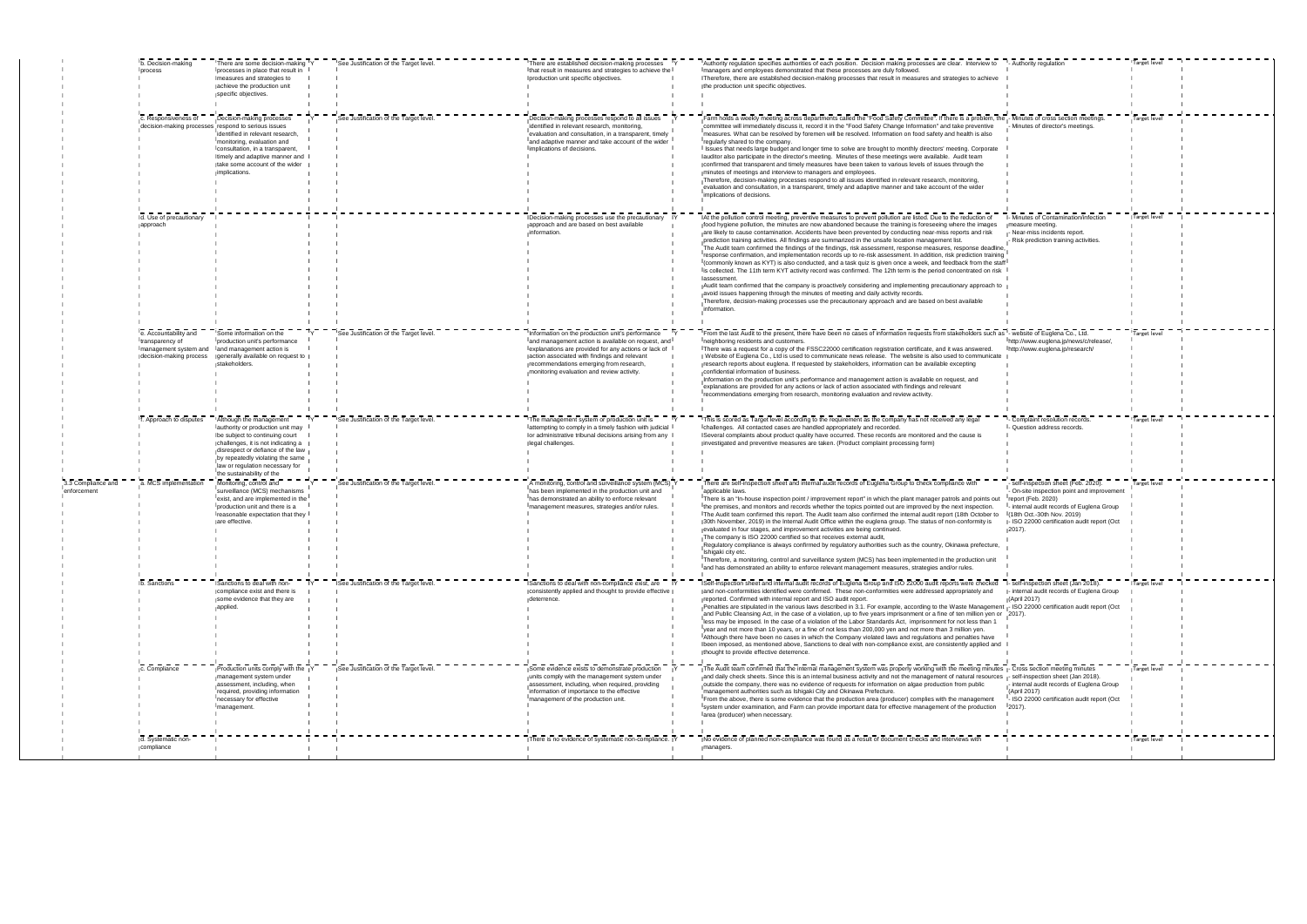|                                   | b. Decision-making<br>process                                                                 | There are some decision-making Y<br>processes in place that result in<br>measures and strategies to<br>achieve the production unit<br>specific objectives.                                                                                                                    |     | See Justification of the Target level. | There are established decision-making processes<br>that result in measures and strategies to achieve the<br>production unit specific objectives.                                                                                                                                                            | Authority regulation specifies authorities of each position. Decision making processes are clear. Interview to<br>managers and employees demonstrated that these processes are duly followed.<br>Therefore, there are established decision-making processes that result in measures and strategies to achieve<br>the production unit specific objectives.                                                                                                                                                                                                                                                                                                                                                                                                                                                                                                                                                                                                                                                                                                                                                                                                                                                                                                            | - Authority regulation                                                                                                                                                                                                  | Target level |  |
|-----------------------------------|-----------------------------------------------------------------------------------------------|-------------------------------------------------------------------------------------------------------------------------------------------------------------------------------------------------------------------------------------------------------------------------------|-----|----------------------------------------|-------------------------------------------------------------------------------------------------------------------------------------------------------------------------------------------------------------------------------------------------------------------------------------------------------------|----------------------------------------------------------------------------------------------------------------------------------------------------------------------------------------------------------------------------------------------------------------------------------------------------------------------------------------------------------------------------------------------------------------------------------------------------------------------------------------------------------------------------------------------------------------------------------------------------------------------------------------------------------------------------------------------------------------------------------------------------------------------------------------------------------------------------------------------------------------------------------------------------------------------------------------------------------------------------------------------------------------------------------------------------------------------------------------------------------------------------------------------------------------------------------------------------------------------------------------------------------------------|-------------------------------------------------------------------------------------------------------------------------------------------------------------------------------------------------------------------------|--------------|--|
|                                   | c. Responsiveness of<br>decision-making processes respond to serious issues                   | Decision-making processes<br>identified in relevant research,<br>monitoring, evaluation and<br>Iconsultation, in a transparent,<br>timely and adaptive manner and<br>take some account of the wider<br>implications.                                                          |     | See Justification of the Target level. | Decision-making processes respond to all issues<br>identified in relevant research, monitoring,<br>evaluation and consultation, in a transparent, timely<br>and adaptive manner and take account of the wider<br>limplications of decisions.                                                                | Farm holds a weekly meeting across departments called the "Food Safety Committee". If there is a problem, the<br>committee will immediately discuss it, record it in the "Food Safety Change Information" and take preventive<br>measures. What can be resolved by foremen will be resolved. Information on food safety and health is also<br>regularly shared to the company<br>I Issues that needs large budget and longer time to solve are brought to monthly directors' meeting. Corporate<br>auditor also participate in the director's meeting. Minutes of these meetings were available. Audit team<br>confirmed that transparent and timely measures have been taken to various levels of issues through the<br>minutes of meetings and interview to managers and employees.<br>Therefore, decision-making processes respond to all issues identified in relevant research, monitoring,<br>evaluation and consultation, in a transparent, timely and adaptive manner and take account of the wider<br>implications of decisions.                                                                                                                                                                                                                            | Minutes of cross section meetings<br>Minutes of director's meetings.                                                                                                                                                    | Target level |  |
|                                   | d. Use of precautionary<br>approach                                                           |                                                                                                                                                                                                                                                                               |     |                                        | Decision-making processes use the precautionary Y<br>approach and are based on best available<br>information.                                                                                                                                                                                               | At the pollution control meeting, preventive measures to prevent pollution are listed. Due to the reduction of<br>food hygiene pollution, the minutes are now abandoned because the training is foreseeing where the images<br>are likely to cause contamination. Accidents have been prevented by conducting near-miss reports and risk<br>prediction training activities. All findings are summarized in the unsafe location management list.<br>The Audit team confirmed the findings of the findings, risk assessment, response measures, response deadline,<br>response confirmation, and implementation records up to re-risk assessment. In addition, risk prediction training<br>I (commonly known as KYT) is also conducted, and a task quiz is given once a week, and feedback from the staff<br>is collected. The 11th term KYT activity record was confirmed. The 12th term is the period concentrated on risk<br>assessment.<br>Audit team confirmed that the company is proactively considering and implementing precautionary approach to<br>avoid issues happening through the minutes of meeting and daily activity records.<br>Therefore, decision-making processes use the precautionary approach and are based on best available<br>information. | - Minutes of Contamination/infection<br>measure meeting.<br>Near-miss incidents report.<br>Risk prediction training activities.                                                                                         | Target level |  |
|                                   | le. Accountability and<br>transparency of<br>management system and<br>decision-making process | ISome information on the<br>production unit's performance<br>and management action is<br>generally available on request to<br>stakeholders.                                                                                                                                   | IY. | See Justification of the Target level. | Information on the production unit's performance IY<br>jand management action is available on request, and<br>explanations are provided for any actions or lack of<br>action associated with findings and relevant<br>recommendations emerging from research,<br>monitoring evaluation and review activity. | IFrom the last Audit to the present, there have been no cases of information requests from stakeholders such as I- website of Euglena Co., Ltd.<br>neighboring residents and customers.<br>There was a request for a copy of the FSSC22000 certification registration certificate, and it was answered.<br>Website of Euglena Co., Ltd is used to communicate news release. The website is also used to communicate<br>research reports about euglena. If requested by stakeholders, information can be available excepting<br>confidential information of business.<br>Information on the production unit's performance and management action is available on request, and<br>explanations are provided for any actions or lack of action associated with findings and relevant<br>recommendations emerging from research, monitoring evaluation and review activity.                                                                                                                                                                                                                                                                                                                                                                                               | http://www.euglena.jp/news/c/release/,<br>http://www.euglena.jp/research/                                                                                                                                               | Target level |  |
|                                   | f. Approach to disputes                                                                       | Although the management<br>authority or production unit may<br>be subject to continuing court<br>challenges, it is not indicating a<br>disrespect or defiance of the law<br>by repeatedly violating the same<br>law or regulation necessary for<br>Ithe sustainability of the |     | See Justification of the Target level. | The management system or production unit is<br>attempting to comply in a timely fashion with judicial<br>or administrative tribunal decisions arising from any<br>legal challenges.                                                                                                                         | This is scored as Target level according to the requirement as the company has not received any legal<br>challenges. All contacted cases are handled appropriately and recorded<br>Several complaints about product quality have occurred. These records are monitored and the cause is<br>investigated and preventive measures are taken. (Product complaint processing form)                                                                                                                                                                                                                                                                                                                                                                                                                                                                                                                                                                                                                                                                                                                                                                                                                                                                                       | - Complaint resolution records<br>- Question address records.                                                                                                                                                           | Target level |  |
| 3.3 Compliance and<br>enforcement | a. MCS implementation                                                                         | Monitoring, control and<br>Isurveillance (MCS) mechanisms<br>exist, and are implemented in the<br>production unit and there is a<br>reasonable expectation that they<br>are effective.                                                                                        |     | See Justification of the Target level. | A monitoring, control and surveillance system (MCS) Y<br>Thas been implemented in the production unit and<br>has demonstrated an ability to enforce relevant<br>management measures, strategies and/or rules.                                                                                               | There are self-inspection sheet and internal audit records of Euglena Group to check compliance with<br>lapplicable laws.<br>There is an "In-house inspection point / improvement report" in which the plant manager patrols and points out report (Feb. 2020)<br>the premises, and monitors and records whether the topics pointed out are improved by the next inspection.<br>The Audit team confirmed this report. The Audit team also confirmed the internal audit report (18th October to<br>30th November, 2019) in the Internal Audit Office within the euglena group. The status of non-conformity is<br>evaluated in four stages, and improvement activities are being continued.<br>The company is ISO 22000 certified so that receives external audit,<br>Regulatory compliance is always confirmed by regulatory authorities such as the country, Okinawa prefecture,<br>Ilshigaki city etc.<br>Therefore, a monitoring, control and surveillance system (MCS) has been implemented in the production unit<br>and has demonstrated an ability to enforce relevant management measures, strategies and/or rules.                                                                                                                                          | - self-inspection sheet (Feb. 2020)<br>I- On-site inspection point and improvement<br>- internal audit records of Euglena Group<br>(18th Oct.-30th Nov. 2019)<br>ISO 22000 certification audit report (Oct<br>$2017$ ). | Target level |  |
|                                   | b. Sanctions                                                                                  | Sanctions to deal with non-<br>compliance exist and there is<br>some evidence that they are<br>applied.                                                                                                                                                                       |     | See Justification of the Target level. | Sanctions to deal with non-compliance exist, are<br>consistently applied and thought to provide effective<br>deterrence.                                                                                                                                                                                    | Self-inspection sheet and internal audit records of Euglena Group and ISO 22000 audit reports were checked<br>and non-conformities identified were confirmed. These non-conformities were addressed appropriately and<br>reported. Confirmed with internal report and ISO audit report.<br>Penalties are stipulated in the various laws described in 3.1. For example, according to the Waste Management - ISO 22000 certification audit report (Oct<br>Tand Public Cleansing Act, in the case of a violation, up to five years imprisonment or a fine of ten million yen or 12017).<br>Iless may be imposed. In the case of a violation of the Labor Standards Act, imprisonment for not less than 1<br>year and not more than 10 years, or a fine of not less than 200,000 yen and not more than 3 million yen.<br>Although there have been no cases in which the Company violated laws and regulations and penalties have<br>been imposed, as mentioned above, Sanctions to deal with non-compliance exist, are consistently applied and<br>thought to provide effective deterrence.                                                                                                                                                                              | - self-inspection sheet (Jan 2018).<br>internal audit records of Euglena Group<br>(April 2017)                                                                                                                          | Target level |  |
|                                   | c. Compliance                                                                                 | Production units comply with the Y<br>management system under<br>lassessment, including, when<br>required, providing information<br>necessary for effective<br>management.                                                                                                    |     | See Justification of the Target level. | Some evidence exists to demonstrate production<br>units comply with the management system under<br>lassessment, including, when required, providing<br>information of importance to the effective<br>management of the production unit.                                                                     | The Audit team confirmed that the internal management system was properly working with the meeting minutes - Cross section meeting minutes<br>land daily check sheets. Since this is an internal business activity and not the management of natural resources I-self-inspection sheet (Jan 2018).<br>loutside the company, there was no evidence of requests for information on algae production from public<br>Imanagement authorities such as Ishigaki City and Okinawa Prefecture.<br>From the above, there is some evidence that the production area (producer) complies with the management<br>system under examination, and Farm can provide important data for effective management of the production<br>area (producer) when necessary.                                                                                                                                                                                                                                                                                                                                                                                                                                                                                                                     | I- internal audit records of Euglena Group<br>(April 2017)<br>- ISO 22000 certification audit report (Oct<br>$2017$ ).                                                                                                  | Target level |  |
|                                   | d. Systematic non-<br>compliance                                                              |                                                                                                                                                                                                                                                                               |     |                                        | There is no evidence of systematic non-compliance.                                                                                                                                                                                                                                                          | No evidence of planned non-compliance was found as a result of document checks and interviews with<br>managers.                                                                                                                                                                                                                                                                                                                                                                                                                                                                                                                                                                                                                                                                                                                                                                                                                                                                                                                                                                                                                                                                                                                                                      |                                                                                                                                                                                                                         | Target level |  |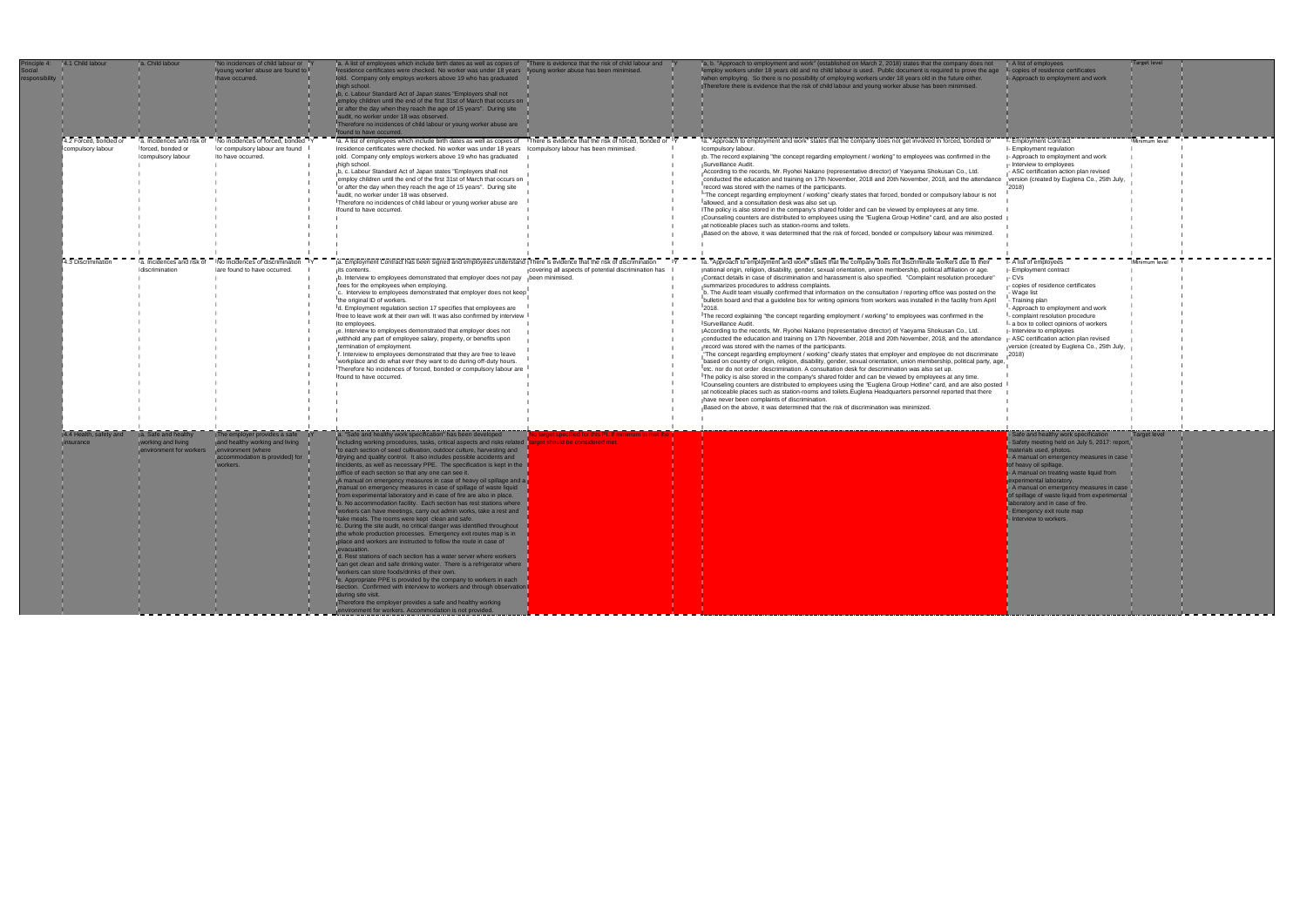| Principle 4:<br><b>Social</b><br>responsibility | 4.1 Child labour                           | a. Child labour                                                      | No incidences of child labour or <sup>I</sup><br>young worker abuse are found to<br>ave occurred.                                  | a. A list of employees which include birth dates as well as copies of There is evidence that the risk of child labour and<br>residence certificates were checked. No worker was under 18 years<br>Iold. Company only employs workers above 19 who has graduated<br>high school.<br>b, c. Labour Standard Act of Japan states "Employers shall not<br>mploy children until the end of the first 31st of March that occurs on<br>r after the day when they reach the age of 15 years". During site<br>udit, no worker under 18 was observed.<br>Therefore no incidences of child labour or young worker abuse are<br>bund to have occurred.                                                                                                                                                                                                                                                                                                                                                                                                                                                                                                                                                                                                                                                                                                                                                                                                                                                                                                                | young worker abuse has been minimised.               | a, b. "Approach to employment and work" (established on March 2, 2018) states that the company does not<br>nploy workers under 18 years old and no child labour is used. Public document is required to prove the age l-copies of residence certificates<br>hen employing. So there is no possibility of employing workers under 18 years old in the future either.<br>Therefore there is evidence that the risk of child labour and young worker abuse has been minimised.                                                                                                                                                                                                                                                                                                                                                                                                                                                                                                                                                                                                                                                                                                                                                                                                                                                                                                                                                                                                                                                                                                                                                                                                                                                                                                                                                                                                                                               | - A list of employees<br>I- Approach to employment and work                                                                                                                                                                                                                                                                                                                                                                                 | Target level        |  |
|-------------------------------------------------|--------------------------------------------|----------------------------------------------------------------------|------------------------------------------------------------------------------------------------------------------------------------|----------------------------------------------------------------------------------------------------------------------------------------------------------------------------------------------------------------------------------------------------------------------------------------------------------------------------------------------------------------------------------------------------------------------------------------------------------------------------------------------------------------------------------------------------------------------------------------------------------------------------------------------------------------------------------------------------------------------------------------------------------------------------------------------------------------------------------------------------------------------------------------------------------------------------------------------------------------------------------------------------------------------------------------------------------------------------------------------------------------------------------------------------------------------------------------------------------------------------------------------------------------------------------------------------------------------------------------------------------------------------------------------------------------------------------------------------------------------------------------------------------------------------------------------------------|------------------------------------------------------|---------------------------------------------------------------------------------------------------------------------------------------------------------------------------------------------------------------------------------------------------------------------------------------------------------------------------------------------------------------------------------------------------------------------------------------------------------------------------------------------------------------------------------------------------------------------------------------------------------------------------------------------------------------------------------------------------------------------------------------------------------------------------------------------------------------------------------------------------------------------------------------------------------------------------------------------------------------------------------------------------------------------------------------------------------------------------------------------------------------------------------------------------------------------------------------------------------------------------------------------------------------------------------------------------------------------------------------------------------------------------------------------------------------------------------------------------------------------------------------------------------------------------------------------------------------------------------------------------------------------------------------------------------------------------------------------------------------------------------------------------------------------------------------------------------------------------------------------------------------------------------------------------------------------------|---------------------------------------------------------------------------------------------------------------------------------------------------------------------------------------------------------------------------------------------------------------------------------------------------------------------------------------------------------------------------------------------------------------------------------------------|---------------------|--|
|                                                 | 4.2 Forced, bonded or<br>compulsory labour | a. Incidences and risk of<br>Iforced, bonded or<br>compulsory labour | No incidences of forced, bonded<br>for compulsory labour are found<br>to have occurred                                             | a. A list of employees which include birth dates as well as copies of There is evidence that the risk of forced, bonded or Y<br>Iresidence certificates were checked. No worker was under 18 years  Icompulsory labour has been minimised.<br>old. Company only employs workers above 19 who has graduated<br>high school.<br>b, c. Labour Standard Act of Japan states "Employers shall not<br>employ children until the end of the first 31st of March that occurs on<br>or after the day when they reach the age of 15 years". During site<br>audit, no worker under 18 was observed.<br>Therefore no incidences of child labour or young worker abuse are<br>found to have occurred.                                                                                                                                                                                                                                                                                                                                                                                                                                                                                                                                                                                                                                                                                                                                                                                                                                                                 |                                                      | a. "Approach to employment and work" states that the company does not get involved in forced, bonded or<br>compulsory labour.<br>b. The record explaining "the concept regarding employment / working" to employees was confirmed in the<br>Surveillance Audit.<br>According to the records, Mr. Ryohei Nakano (representative director) of Yaeyama Shokusan Co., Ltd.<br>conducted the education and training on 17th November, 2018 and 20th November, 2018, and the attendance<br>record was stored with the names of the participants.<br>"The concept regarding employment / working" clearly states that forced, bonded or compulsory labour is not<br>allowed, and a consultation desk was also set up.<br>The policy is also stored in the company's shared folder and can be viewed by employees at any time.<br>Counseling counters are distributed to employees using the "Euglena Group Hotline" card, and are also posted<br>at noticeable places such as station-rooms and toilets.<br>Based on the above, it was determined that the risk of forced, bonded or compulsory labour was minimized.                                                                                                                                                                                                                                                                                                                                                                                                                                                                                                                                                                                                                                                                                                                                                                                                            | - Employment Contract<br>I- Employment regulation<br>- Approach to employment and work<br>- Interview to employees<br>ASC certification action plan revised<br>version (created by Euglena Co., 25th July,<br>2018)                                                                                                                                                                                                                         | Minimum level       |  |
|                                                 | 4.3 Discrimination                         | a. Incidences and risk of<br>discrimination                          | No incidences of discrimination Y<br>are found to have occurred.                                                                   | Ia. Employment Contract has been signed and employees understand There is evidence that the risk of discrimination<br>its contents.<br>b. Interview to employees demonstrated that employer does not pay been minimised.<br>fees for the employees when employing.<br>c. Interview to employees demonstrated that employer does not keep<br>the original ID of workers.<br>d. Employment regulation section 17 specifies that employees are<br>Ifree to leave work at their own will. It was also confirmed by interview<br>to employees.<br>e. Interview to employees demonstrated that employer does not<br>withhold any part of employee salary, property, or benefits upon<br>termination of employment.<br>f. Interview to employees demonstrated that they are free to leave<br>workplace and do what ever they want to do during off-duty hours.<br>Therefore No incidences of forced, bonded or compulsory labour are<br>Ifound to have occurred.                                                                                                                                                                                                                                                                                                                                                                                                                                                                                                                                                                                                | covering all aspects of potential discrimination has | Ia. "Approach to employment and work" states that the company does not discriminate workers due to their<br>national origin, religion, disability, gender, sexual orientation, union membership, political affiliation or age.<br>Contact details in case of discrimination and harassment is also specified. "Complaint resolution procedure"<br>summarizes procedures to address complaints.<br>b. The Audit team visually confirmed that information on the consultation / reporting office was posted on the<br>bulletin board and that a guideline box for writing opinions from workers was installed in the facility from April<br>2018.<br>The record explaining "the concept regarding employment / working" to employees was confirmed in the<br>Surveillance Audit.<br>According to the records, Mr. Ryohei Nakano (representative director) of Yaeyama Shokusan Co., Ltd.<br>conducted the education and training on 17th November, 2018 and 20th November, 2018, and the attendance - ASC certification action plan revised<br>record was stored with the names of the participants.<br>"The concept regarding employment / working" clearly states that employer and employee do not discriminate<br>based on country of origin, religion, disability, gender, sexual orientation, union membership, political party, age,<br>letc. nor do not order descrimination. A consultation desk for descrimination was also set up.<br>The policy is also stored in the company's shared folder and can be viewed by employees at any time.<br>Counseling counters are distributed to employees using the "Euglena Group Hotline" card, and are also posted<br>at noticeable places such as station-rooms and toilets. Euglena Headquarters personnel reported that there<br>have never been complaints of discrimination.<br>Based on the above, it was determined that the risk of discrimination was minimized. | - A list of employees<br>- Employment contract<br>- CVs<br>copies of residence certificates<br>- Wage list<br>- Training plan<br>- Approach to employment and work<br>- complaint resolution procedure<br>- a box to collect opinions of workers<br>- Interview to employees<br>version (created by Euglena Co., 25th July,<br>2018)                                                                                                        | Minimum level       |  |
|                                                 | 4.4 Health, safety and<br>surance          | Safe and healthy<br>vorking and living<br>nvironment for workers     | The employer provides a safe<br>and healthy working and living<br>environment (where<br>accommodation is provided) for<br>workers. | a. "Safe and healthy work specification" has been developed<br>ncluding working procedures, tasks, critical aspects and risks related to<br>to each section of seed cultivation, outdoor culture, harvesting and<br>drying and quality control. It also includes possible accidents and<br>ncidents, as well as necessary PPE. The specification is kept in the<br>office of each section so that any one can see it.<br>A manual on emergency measures in case of heavy oil spillage and a<br>manual on emergency measures in case of spillage of waste liquid<br>rom experimental laboratory and in case of fire are also in place.<br>b. No accommodation facility. Each section has rest stations where<br>vorkers can have meetings, carry out admin works, take a rest and<br>ake meals. The rooms were kept clean and safe.<br>Ic. During the site audit, no critical danger was identified throughout<br>the whole production processes. Emergency exit routes map is in<br>place and workers are instructed to follow the route in case of<br>vacuation<br>d. Rest stations of each section has a water server where workers<br>can get clean and safe drinking water. There is a refrigerator where<br>workers can store foods/drinks of their own.<br>e. Appropriate PPE is provided by the company to workers in each<br>section. Confirmed with interview to workers and through observation<br>during site visit.<br>Therefore the employer provides a safe and healthy working<br>environment for workers. Accommodation is not provided. | get should be considered met.                        |                                                                                                                                                                                                                                                                                                                                                                                                                                                                                                                                                                                                                                                                                                                                                                                                                                                                                                                                                                                                                                                                                                                                                                                                                                                                                                                                                                                                                                                                                                                                                                                                                                                                                                                                                                                                                                                                                                                           | Safe and healthy work specification<br>Safety meeting held on July 5, 2017: report<br>aterials used, photos.<br>- A manual on emergency measures in case<br>of heavy oil spillage.<br>- A manual on treating waste liquid from<br>xperimental laboratory.<br>- A manual on emergency measures in case<br>of spillage of waste liquid from experimental<br>boratory and in case of fire.<br>Emergency exit route map<br>nterview to workers. | <b>Target level</b> |  |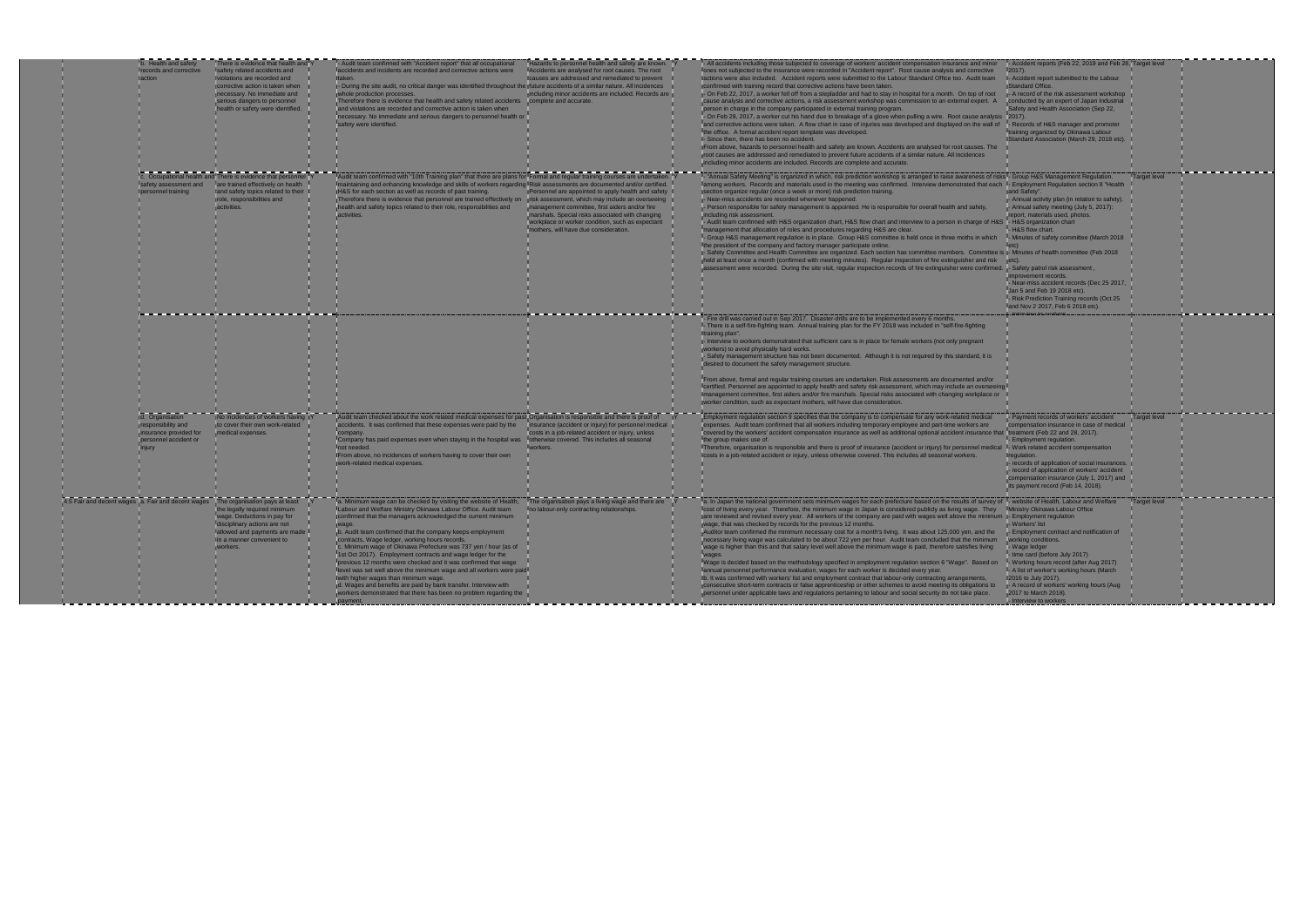| action                                                                            | <b>Health and safety</b><br>ecords and corrective               | There is evidence that health and<br>safety related accidents and<br>violations are recorded and<br>corrective action is taken when<br>necessary. No immediate and<br>serious dangers to personnel<br>health or safety were identified. | Audit team confirmed with "Accident report" that all occupational<br>accidents and incidents are recorded and corrective actions were<br>- During the site audit, no critical danger was identified throughout the jfuture accidents of a similar nature. All incidences<br>whole production processes.<br>Therefore there is evidence that health and safety related accidents complete and accurate.<br>and violations are recorded and corrective action is taken when<br>necessary. No immediate and serious dangers to personnel health or<br>safety were identified.                                                                                                                                                                                                     | Hazards to personnel health and safety are known.<br>Accidents are analysed for root causes. The root<br>causes are addressed and remediated to prevent<br>including minor accidents are included. Records are                                                                                            | All accidents including those subjected to coverage of workers' accident compensation insurance and minor<br>ones not subjected to the insurance were recorded in "Accident report". Root cause analysis and corrective<br>lactions were also included. Accident reports were submitted to the Labour Standard Office too. Audit team<br>confirmed with training record that corrective actions have been taken.<br>- On Feb 22, 2017, a worker fell off from a stepladder and had to stay in hospital for a month. On top of root<br>cause analysis and corrective actions, a risk assessment workshop was commission to an external expert. A<br>person in charge in the company participated in external training program.<br>- On Feb 28, 2017, a worker cut his hand due to breakage of a glove when pulling a wire. Root cause analysis<br>and corrective actions were taken. A flow chart in case of injuries was developed and displayed on the wall of<br>the office. A formal accident report template was developed.<br>- Since then, there has been no accident.<br>From above, hazards to personnel health and safety are known. Accidents are analysed for root causes. The<br>root causes are addressed and remediated to prevent future accidents of a similar nature. All incidences<br>including minor accidents are included. Records are complete and accurate. |
|-----------------------------------------------------------------------------------|-----------------------------------------------------------------|-----------------------------------------------------------------------------------------------------------------------------------------------------------------------------------------------------------------------------------------|--------------------------------------------------------------------------------------------------------------------------------------------------------------------------------------------------------------------------------------------------------------------------------------------------------------------------------------------------------------------------------------------------------------------------------------------------------------------------------------------------------------------------------------------------------------------------------------------------------------------------------------------------------------------------------------------------------------------------------------------------------------------------------|-----------------------------------------------------------------------------------------------------------------------------------------------------------------------------------------------------------------------------------------------------------------------------------------------------------|-------------------------------------------------------------------------------------------------------------------------------------------------------------------------------------------------------------------------------------------------------------------------------------------------------------------------------------------------------------------------------------------------------------------------------------------------------------------------------------------------------------------------------------------------------------------------------------------------------------------------------------------------------------------------------------------------------------------------------------------------------------------------------------------------------------------------------------------------------------------------------------------------------------------------------------------------------------------------------------------------------------------------------------------------------------------------------------------------------------------------------------------------------------------------------------------------------------------------------------------------------------------------------------------------------------------------------------------------------------------------------------|
|                                                                                   | afety assessment and<br>personnel training                      | c. Occupational health and There is evidence that personnel IV<br>lare trained effectively on health<br>and safety topics related to their<br>role, responsibilities and<br>activities.                                                 | Audit team confirmed with "10th Training plan" that there are plans for Formal and regular training courses are undertaken. IY<br>Imaintaining and enhancing knowledge and skills of workers regarding IRisk assessments are documented and/or certified. I<br>H&S for each section as well as records of past training.<br>Therefore there is evidence that personnel are trained effectively on<br>health and safety topics related to their role, responsibilities and<br>activities.                                                                                                                                                                                                                                                                                       | Personnel are appointed to apply health and safety<br>risk assessment, which may include an overseeing<br>management committee, first aiders and/or fire<br>marshals. Special risks associated with changing<br>workplace or worker condition, such as expectant<br>nothers, will have due consideration. | - "Annual Safety Meeting" is organized in which, risk prediction workshop is arranged to raise awareness of risks! - (<br>lamong workers. Records and materials used in the meeting was confirmed. Interview demonstrated that each I-<br>section organize regular (once a week or more) risk prediction training.<br>- Near-miss accidents are recorded whenever happened.<br>- Person responsible for safety management is appointed. He is responsible for overall health and safety,<br>including risk assessment.<br>- Audit team confirmed with H&S organization chart, H&S flow chart and interview to a person in charge of H&S<br>management that allocation of roles and procedures regarding H&S are clear.<br>I- Group H&S management regulation is in place. Group H&S committee is held once in three moths in which<br>the president of the company and factory manager participate online.<br>- Safety Committee and Health Committee are organized. Each section has committee members. Committee is<br>held at least once a month (confirmed with meeting minutes). Regular inspection of fire extinguisher and risk<br>assessment were recorded. During the site visit, regular inspection records of fire extinguisher were confirmed.                                                                                                                          |
|                                                                                   | d. Organisation<br>responsibility and<br>insurance provided for | No incidences of workers having<br>to cover their own work-related<br>edical expenses.                                                                                                                                                  | Audit team checked about the work related medical expenses for past Organisation is responsible and there is proof of<br>accidents. It was confirmed that these expenses were paid by the                                                                                                                                                                                                                                                                                                                                                                                                                                                                                                                                                                                      | nsurance (accident or injury) for personnel medical<br>costs in a job-related accident or injury, unless                                                                                                                                                                                                  | - Fire drill was carried out in Sep 2017. Disaster-drills are to be implemented every 6 months.<br>- There is a self-fire-fighting team. Annual training plan for the FY 2018 was included in "self-fire-fighting<br>Itraining plan".<br>- Interview to workers demonstrated that sufficient care is in place for female workers (not only pregnant<br>workers) to avoid physically hard works.<br>- Safety management structure has not been documented. Although it is not required by this standard, it is<br>desired to document the safety management structure.<br>From above, formal and regular training courses are undertaken. Risk assessments are documented and/or<br>certified. Personnel are appointed to apply health and safety risk assessment, which may include an overseeing<br>Imanagement committee, first aiders and/or fire marshals. Special risks associated with changing workplace or<br>worker condition, such as expectant mothers, will have due consideration.<br>Employment regulation section 9 specifies that the company is to compensate for any work-related medical<br>expenses. Audit team confirmed that all workers including temporary employee and part-time workers are<br>covered by the workers' accident compensation insurance as well as additional optional accident insurance that                                             |
| iniurv                                                                            | personnel accident or                                           |                                                                                                                                                                                                                                         | company.<br>Company has paid expenses even when staying in the hospital was lotherwise covered. This includes all seasonal<br>Inot needed.<br>From above, no incidences of workers having to cover their own<br>work-related medical expenses.                                                                                                                                                                                                                                                                                                                                                                                                                                                                                                                                 | orkers.                                                                                                                                                                                                                                                                                                   | the group makes use of.<br>Therefore, organisation is responsible and there is proof of insurance (accident or injury) for personnel medical li-<br>costs in a job-related accident or injury, unless otherwise covered. This includes all seasonal workers.                                                                                                                                                                                                                                                                                                                                                                                                                                                                                                                                                                                                                                                                                                                                                                                                                                                                                                                                                                                                                                                                                                                        |
| 4.5 Fair and decent wages a. Fair and decent wages The organisation pays at least |                                                                 | the legally required minimum<br>wage. Deductions in pay for<br>disciplinary actions are not<br>allowed and payments are made<br>in a manner convenient to<br>vorkers.                                                                   | a. Minimum wage can be checked by visiting the website of Health,<br>Labour and Welfare Ministry Okinawa Labour Office. Audit team<br>confirmed that the managers acknowledged the current minimum<br>b. Audit team confirmed that the company keeps employment<br>contracts, Wage ledger, working hours records.<br>c. Minimum wage of Okinawa Prefecture was 737 yen / hour (as of<br>1st Oct 2017). Employment contracts and wage ledger for the<br>previous 12 months were checked and it was confirmed that wage<br>llevel was set well above the minimum wage and all workers were paid!<br>with higher wages than minimum wage.<br>d. Wages and benefits are paid by bank transfer. Interview with<br>workers demonstrated that there has been no problem regarding the | The organisation pays a living wage and there are<br>no labour-only contracting relationships.                                                                                                                                                                                                            | a. In Japan the national government sets minimum wages for each prefecture based on the results of survey of<br>Icost of living every year. Therefore, the minimum wage in Japan is considered publicly as living wage. They<br>are reviewed and revised every year. All workers of the company are paid with wages well above the minimum<br>wage, that was checked by records for the previous 12 months.<br>Auditor team confirmed the minimum necessary cost for a month's living. It was about 125,000 yen, and the<br>necessary living wage was calculated to be about 722 yen per hour. Audit team concluded that the minimum<br>wage is higher than this and that salary level well above the minimum wage is paid, therefore satisfies living<br>wages.<br>Wage is decided based on the methodology specified in employment regulation section 6 "Wage". Based on<br>lannual personnel performance evaluation, wages for each worker is decided every year.<br>b. It was confirmed with workers' list and employment contract that labour-only contracting arrangements,<br>consecutive short-term contracts or false apprenticeship or other schemes to avoid meeting its obligations to<br>personnel under applicable laws and regulations pertaining to labour and social security do not take place.                                                                   |

| nor            | - Accident reports (Feb 22, 2019 and Feb 28, Target level         |                     |  |
|----------------|-------------------------------------------------------------------|---------------------|--|
| e              | $12017$ ).                                                        |                     |  |
| m,             | - Accident report submitted to the Labour                         |                     |  |
|                | Standard Office.                                                  |                     |  |
| ot             | - A record of the risk assessment workshop                        |                     |  |
| $\overline{A}$ | conducted by an expert of Japan Industrial                        |                     |  |
|                | Safety and Health Association (Sep 22,                            |                     |  |
| <b>Ilysis</b>  | $2017$ ).                                                         |                     |  |
| Ill of         | - Records of H&S manager and promoter                             |                     |  |
|                | Itraining organized by Okinawa Labour                             |                     |  |
|                | Standard Association (March 29, 2018 etc).                        |                     |  |
| he             |                                                                   |                     |  |
|                |                                                                   |                     |  |
|                |                                                                   |                     |  |
|                | f risks <sup>1</sup> - Group H&S Management Regulation.           | <b>Target level</b> |  |
| each           | I- Employment Regulation section 8 "Health                        |                     |  |
|                | and Safety".                                                      |                     |  |
|                | - Annual activity plan (in relation to safety).                   |                     |  |
|                | - Annual safety meeting (July 5, 2017):                           |                     |  |
|                | report, materials used, photos.                                   |                     |  |
| H&S            | - H&S organization chart                                          |                     |  |
|                | - H&S flow chart.                                                 |                     |  |
| ich            | - Minutes of safety committee (March 2018                         |                     |  |
|                | letc)                                                             |                     |  |
|                | tee is - Minutes of health committee (Feb 2018                    |                     |  |
| isk            | etc).                                                             |                     |  |
| med.           | - Safety patrol risk assessment,                                  |                     |  |
|                | improvement records.                                              |                     |  |
|                | - Near-miss accident records (Dec 25 2017,                        |                     |  |
|                | Jan 5 and Feb 19 2018 etc).                                       |                     |  |
|                | - Risk Prediction Training records (Oct 25                        |                     |  |
|                | and Nov 2 2017, Feb 6 2018 etc).                                  |                     |  |
|                | Intoniow.to.workare                                               |                     |  |
|                |                                                                   |                     |  |
|                |                                                                   |                     |  |
|                |                                                                   |                     |  |
|                |                                                                   |                     |  |
| ŝ              |                                                                   |                     |  |
|                |                                                                   |                     |  |
|                |                                                                   |                     |  |
| <b>O</b>       |                                                                   |                     |  |
| eeing          |                                                                   |                     |  |
| e or           |                                                                   |                     |  |
|                |                                                                   |                     |  |
|                |                                                                   |                     |  |
| $\mathbf{I}$   | - Payment records of workers' accident                            | <b>Target level</b> |  |
|                | compensation insurance in case of medical                         |                     |  |
| e that         | treatment (Feb 22 and 28, 2017).                                  |                     |  |
| dical          | - Employment regulation.<br>I- Work related accident compensation |                     |  |
|                |                                                                   |                     |  |
|                | regulation.<br>- records of application of social insurances.     |                     |  |
|                | - record of application of workers' accident                      |                     |  |
|                | compensation insurance (July 1, 2017) and                         |                     |  |
|                | its payment record (Feb 14, 2018).                                |                     |  |
|                |                                                                   |                     |  |
|                | ey of <sup>I</sup> - website of Health, Labour and Welfare        | Target level        |  |
| ey             | <b>Ministry Okinawa Labour Office</b>                             |                     |  |
| mum            | - Employment regulation                                           |                     |  |
|                | - Workers' list                                                   |                     |  |
| ٦e             | - Employment contract and notification of                         |                     |  |
| <b>um</b>      | working conditions.                                               |                     |  |
| ıg             | - Wage ledger                                                     |                     |  |
|                | - time card (before July 2017)                                    |                     |  |
| on             | - Working hours record (after Aug 2017)                           |                     |  |
|                | I- A list of worker's working hours (March                        |                     |  |
|                | 2016 to July 2017).                                               |                     |  |
| to             | - A record of workers' working hours (Aug                         |                     |  |
|                | 2017 to March 2018).                                              |                     |  |
|                | - Interview to workers                                            |                     |  |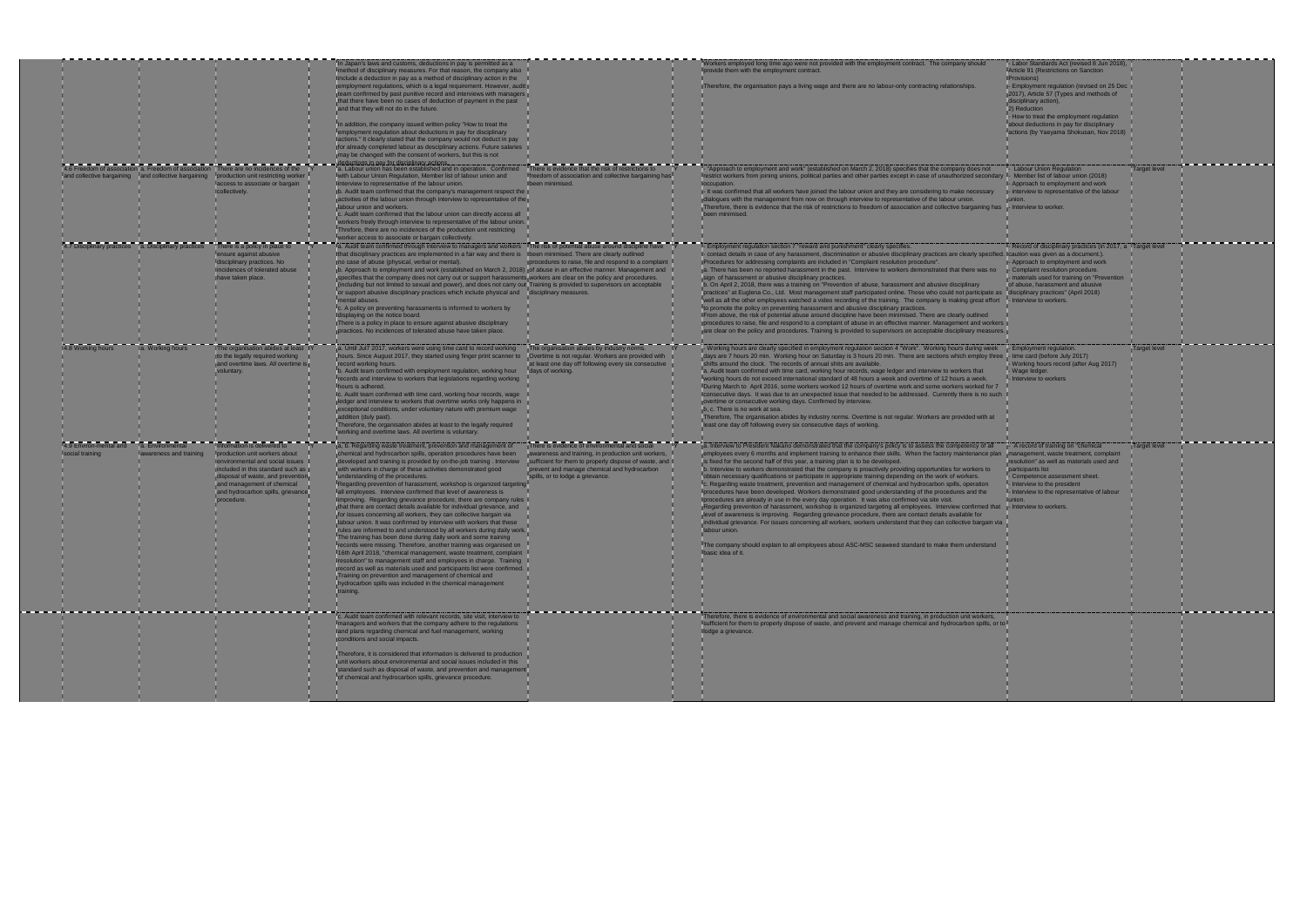|                                           |                                            | 4.6 Freedom of association a. Freedom of association There are no incidences of the                                                                                                                                                                        | In Japan's laws and customs, deductions in pay is permitted as a<br>method of disciplinary measures. For that reason, the company also<br>include a deduction in pay as a method of disciplinary action in the<br>employment regulations, which is a legal requirement. However, audit<br>team confirmed by past punitive record and interviews with managers<br>that there have been no cases of deduction of payment in the past<br>and that they will not do in the future.<br>In addition, the company issued written policy "How to treat the<br>employment regulation about deductions in pay for disciplinary<br>actions." It clearly stated that the company would not deduct in pay<br>for already completed labour as desciplinary actions. Future salaries<br>may be changed with the consent of workers, but this is not<br>ductions in pay for disciplinary actions<br>a. Labour union has been established and in operation. Confirmed                                                                                                                                                                                                                                                                                                                                                                       | There is evidence that the risk of restrictions to                                                                                                                                                                                               | Workers employed long time ago were not provided with the employment contract. The company should<br>provide them with the employment contract.<br>Therefore, the organisation pays a living wage and there are no labour-only contracting relationships.<br>- "Approach to employment and work" (established on March 2, 2018) specifies that the company does not                                                                                                                                                                                                                                                                                                                                                                                                                                                                                                                                                                                                                                                                                                                                                                                                                                                                                                                                                                                       |  |
|-------------------------------------------|--------------------------------------------|------------------------------------------------------------------------------------------------------------------------------------------------------------------------------------------------------------------------------------------------------------|----------------------------------------------------------------------------------------------------------------------------------------------------------------------------------------------------------------------------------------------------------------------------------------------------------------------------------------------------------------------------------------------------------------------------------------------------------------------------------------------------------------------------------------------------------------------------------------------------------------------------------------------------------------------------------------------------------------------------------------------------------------------------------------------------------------------------------------------------------------------------------------------------------------------------------------------------------------------------------------------------------------------------------------------------------------------------------------------------------------------------------------------------------------------------------------------------------------------------------------------------------------------------------------------------------------------------|--------------------------------------------------------------------------------------------------------------------------------------------------------------------------------------------------------------------------------------------------|-----------------------------------------------------------------------------------------------------------------------------------------------------------------------------------------------------------------------------------------------------------------------------------------------------------------------------------------------------------------------------------------------------------------------------------------------------------------------------------------------------------------------------------------------------------------------------------------------------------------------------------------------------------------------------------------------------------------------------------------------------------------------------------------------------------------------------------------------------------------------------------------------------------------------------------------------------------------------------------------------------------------------------------------------------------------------------------------------------------------------------------------------------------------------------------------------------------------------------------------------------------------------------------------------------------------------------------------------------------|--|
| and collective bargaining                 | and collective bargaining                  | production unit restricting worker<br>access to associate or bargain<br>collectively.                                                                                                                                                                      | with Labour Union Regulation, Member list of labour union and<br>linterview to representative of the labour union.<br>b. Audit team confirmed that the company's management respect the<br>activities of the labour union through interview to representative of the<br>labour union and workers.<br>c. Audit team confirmed that the labour union can directly access all<br>workers freely through interview to representative of the labour union.<br>Threfore, there are no incidences of the production unit restricting<br>worker access to associate or bargain collectively.                                                                                                                                                                                                                                                                                                                                                                                                                                                                                                                                                                                                                                                                                                                                       | freedom of association and collective bargaining ha-<br>Ibeen minimised.                                                                                                                                                                         | restrict workers from joining unions, political parties and other parties except in case of unauthorized secondary<br>loccupation.<br>- It was confirmed that all workers have joined the labour union and they are considering to make necessary<br>dialogues with the management from now on through interview to representative of the labour union.<br>Therefore, there is evidence that the risk of restrictions to freedom of association and collective bargaining has<br>een minimised.                                                                                                                                                                                                                                                                                                                                                                                                                                                                                                                                                                                                                                                                                                                                                                                                                                                           |  |
| 4.7 Disciplinary practices                | a. Disciplinary practices                  | There is a policy in place to<br>ensure against abusive<br>disciplinary practices. No<br>incidences of tolerated abuse<br>ave taken place.                                                                                                                 | a. Audit team confirmed through interview to managers and workers The risk of potential abuse around discipline have<br>Ithat disciplinary practices are implemented in a fair way and there is Ibeen minimised. There are clearly outlined<br>ino case of abuse (physical, verbal or mental).<br>b. Approach to employment and work (established on March 2, 2018) of abuse in an effective manner. Management and<br>specifies that the company does not carry out or support harassments workers are clear on the policy and procedures.<br>(including but not limited to sexual and power), and does not carry out Training is provided to supervisors on acceptable<br>or support abusive disciplinary practices which include physical and disciplinary measures.<br>ental abuses.<br>Ic. A policy on preventing harassments is informed to workers by<br>Idisplaying on the notice board.<br>There is a policy in place to ensure against abusive disciplinary<br>practices. No incidences of tolerated abuse have taken place.                                                                                                                                                                                                                                                                                     | procedures to raise, file and respond to a complaint                                                                                                                                                                                             | - Employment regulation section 7 "reward and punishment" clearly specifies.<br>I- contact details in case of any harassment, discrimination or abusive disciplinary practices are clearly specified. Ic<br>Procedures for addressing complaints are included in "Complaint resolution procedure".<br>a. There has been no reported harassment in the past. Interview to workers demonstrated that there was no<br>sign of harassment or abusive disciplinary practices.<br>b. On April 2, 2018, there was a training on "Prevention of abuse, harassment and abusive disciplinary<br>practices" at Euglena Co., Ltd. Most management staff participated online. Those who could not participate as<br>well as all the other employees watched a video recording of the training. The company is making great effort<br>to promote the policy on preventing harassment and abusive disciplinary practices.<br>IFrom above, the risk of potential abuse around discipline have been minimised. There are clearly outlined<br>procedures to raise, file and respond to a complaint of abuse in an effective manner. Management and workers<br>are clear on the policy and procedures. Training is provided to supervisors on acceptable disciplinary measures.                                                                                              |  |
| 4.8 Working hours                         | a. Working hours                           | The organisation abides at least<br>to the legally required working<br>and overtime laws. All overtime i<br>voluntary.                                                                                                                                     | a. Until Jul7 2017, workers were using time card to record working<br>hours. Since August 2017, they started using finger print scanner to<br>record working hours.<br>b. Audit team confirmed with employment regulation, working hour<br>records and interview to workers that legislations regarding working<br>hours is adhered.<br>Ic. Audit team confirmed with time card, working hour records, wage<br>ledger and interview to workers that overtime works only happens in<br>exceptional conditions, under voluntary nature with premium wage<br>addition (duly paid).<br>Therefore, the organisation abides at least to the legally required<br>working and overtime laws. All overtime is voluntary.                                                                                                                                                                                                                                                                                                                                                                                                                                                                                                                                                                                                            | The organisation abides by industry norms.<br>Overtime is not regular. Workers are provided with<br>at least one day off following every six consecutive<br>days of working.                                                                     | - Working hours are clearly specified in employment regulation section 4 "Work". Working hours during week<br>days are 7 hours 20 min. Working hour on Saturday is 3 hours 20 min. There are sections which employ three<br>shifts around the clock. The records of annual shits are available.<br>a. Audit team confirmed with time card, working hour records, wage ledger and interview to workers that<br>working hours do not exceed international standard of 48 hours a week and overtime of 12 hours a week.<br>During March to April 2016, some workers worked 12 hours of overtime work and some workers worked for 7<br>consecutive days. It was due to an unexpected issue that needed to be addressed. Currently there is no such in<br>overtime or consecutive working days. Confirmed by interview.<br>b, c. There is no work at sea.<br>Therefore, The organisation abides by industry norms. Overtime is not regular. Workers are provided with at<br>least one day off following every six consecutive days of working.                                                                                                                                                                                                                                                                                                                 |  |
| 4.9 Environ-mental and<br>social training | a. Environmental<br>awareness and training | Information is delivered to<br>production unit workers about<br>environmental and social issues<br>included in this standard such as<br>disposal of waste, and preventior<br>and management of chemical<br>and hydrocarbon spills, grievance<br>procedure. | a, b. Regarding waste treatment, prevention and management of<br>chemical and hydrocarbon spills, operation procedures have been<br>developed and training is provided by on-the-job training. Interview<br>with workers in charge of these activities demonstrated good<br>understanding of the procedures.<br>Regarding prevention of harassment, workshop is organized targeting<br>all employees. Interview confirmed that level of awareness is<br>improving. Regarding grievance procedure, there are company rules<br>that there are contact details available for individual grievance, and<br>for issues concerning all workers, they can collective bargain via<br>labour union. It was confirmed by interview with workers that these<br>rules are informed to and understood by all workers during daily work.<br>The training has been done during daily work and some training<br>records were missing. Therefore, another training was organised on<br>16th April 2018, "chemical management, waste treatment, complaint<br>resolution" to management staff and employees in charge. Training<br>record as well as materials used and participants list were confirmed.<br>Training on prevention and management of chemical and<br>hydrocarbon spills was included in the chemical management<br>training. | There is evidence of environmental and social<br>awareness and training, in production unit workers,<br>sufficient for them to properly dispose of waste, and<br>prevent and manage chemical and hydrocarbon<br>spills, or to lodge a grievance. | a. Interview to President Nakano demonstrated that the company's policy is to assess the competency of all<br>employees every 6 months and implement training to enhance their skills. When the factory maintenance plan<br>is fixed for the second half of this year, a training plan is to be developed.<br>b. Interview to workers demonstrated that the company is proactively providing opportunities for workers to<br>obtain necessary qualifications or participate in appropriate training depending on the work of workers.<br>c. Regarding waste treatment, prevention and management of chemical and hydrocarbon spills, operation<br>procedures have been developed. Workers demonstrated good understanding of the procedures and the<br>Iprocedures are already in use in the every day operation. It was also confirmed via site visit.<br>Regarding prevention of harassment, workshop is organized targeting all employees. Interview confirmed that<br>level of awareness is improving. Regarding grievance procedure, there are contact details available for<br>individual grievance. For issues concerning all workers, workers understand that they can collective bargain via<br>labour union.<br>The company should explain to all employees about ASC-MSC seaweed standard to make them understand<br><b>Ibasic idea of it.</b> |  |
|                                           |                                            |                                                                                                                                                                                                                                                            | c. Audit team confirmed with relevant records, site visit, interview to<br>managers and workers that the company adhere to the regulations<br>land plans regarding chemical and fuel management, working<br>conditions and social impacts.<br>Therefore, it is considered that information is delivered to production<br>unit workers about environmental and social issues included in this<br>standard such as disposal of waste, and prevention and management<br>of chemical and hydrocarbon spills, grievance procedure.                                                                                                                                                                                                                                                                                                                                                                                                                                                                                                                                                                                                                                                                                                                                                                                              |                                                                                                                                                                                                                                                  | Therefore, there is evidence of environmental and social awareness and training, in production unit workers,<br>sufficient for them to properly dispose of waste, and prevent and manage chemical and hydrocarbon spills, or to<br>llodge a grievance.                                                                                                                                                                                                                                                                                                                                                                                                                                                                                                                                                                                                                                                                                                                                                                                                                                                                                                                                                                                                                                                                                                    |  |

|                                   | - Labor Standards Act (revised 8 Jun 2018),<br>Article 91 (Restrictions on Sanction<br><b>(Provisions)</b><br>- Employment regulation (revised on 25 Dec                                                                                                                 |                     |  |
|-----------------------------------|--------------------------------------------------------------------------------------------------------------------------------------------------------------------------------------------------------------------------------------------------------------------------|---------------------|--|
|                                   | 2017), Article 57 (Types and methods of<br>disciplinary action),<br>2) Reduction<br>- How to treat the employment regulation                                                                                                                                             |                     |  |
|                                   | about deductions in pay for disciplinary<br>lactions (by Yaeyama Shokusan, Nov 2018)                                                                                                                                                                                     |                     |  |
|                                   |                                                                                                                                                                                                                                                                          |                     |  |
| dary<br>ry                        | - Labour Union Regulation<br>- Member list of labour union (2018)<br>- Approach to employment and work<br>- interview to representative of the labour<br>union.                                                                                                          | <b>Target level</b> |  |
| has                               | - Interview to worker.                                                                                                                                                                                                                                                   |                     |  |
| no                                | - Record of disciplinary practices (in 2017, a Target level<br>cified. Icaution was given as a document.).<br>- Approach to employment and work<br>- Complaint resolution procedure.<br>- materials used for training on "Prevention<br>of abuse, harassment and abusive |                     |  |
| te as<br>ffort<br>rkers<br>sures. | disciplinary practices" (April 2018)<br>- Interview to workers.                                                                                                                                                                                                          |                     |  |
|                                   |                                                                                                                                                                                                                                                                          |                     |  |
| eek<br>three                      | - Employment regulation.<br>- time card (before July 2017)<br>Working hours record (after Aug 2017)<br>Wage ledger.<br>Interview to workers                                                                                                                              | <b>Target level</b> |  |
| $\mathsf{pr}\,7$<br>such          |                                                                                                                                                                                                                                                                          |                     |  |
| at                                |                                                                                                                                                                                                                                                                          |                     |  |
| Il<br>plan                        | - A record of training on "chemical<br>management, waste treatment, complaint<br>resolution" as well as materials used and<br>participants list                                                                                                                          | Target level        |  |
|                                   | Competence assessment sheet.<br>- Interview to the president<br>- Interview to the representative of labour<br>junion.                                                                                                                                                   |                     |  |
| that                              | - Interview to workers.                                                                                                                                                                                                                                                  |                     |  |
| n via                             |                                                                                                                                                                                                                                                                          |                     |  |
| nd                                |                                                                                                                                                                                                                                                                          |                     |  |
|                                   |                                                                                                                                                                                                                                                                          |                     |  |
|                                   |                                                                                                                                                                                                                                                                          |                     |  |
| S,<br>, or to l                   |                                                                                                                                                                                                                                                                          |                     |  |
|                                   |                                                                                                                                                                                                                                                                          |                     |  |
|                                   |                                                                                                                                                                                                                                                                          |                     |  |
|                                   |                                                                                                                                                                                                                                                                          |                     |  |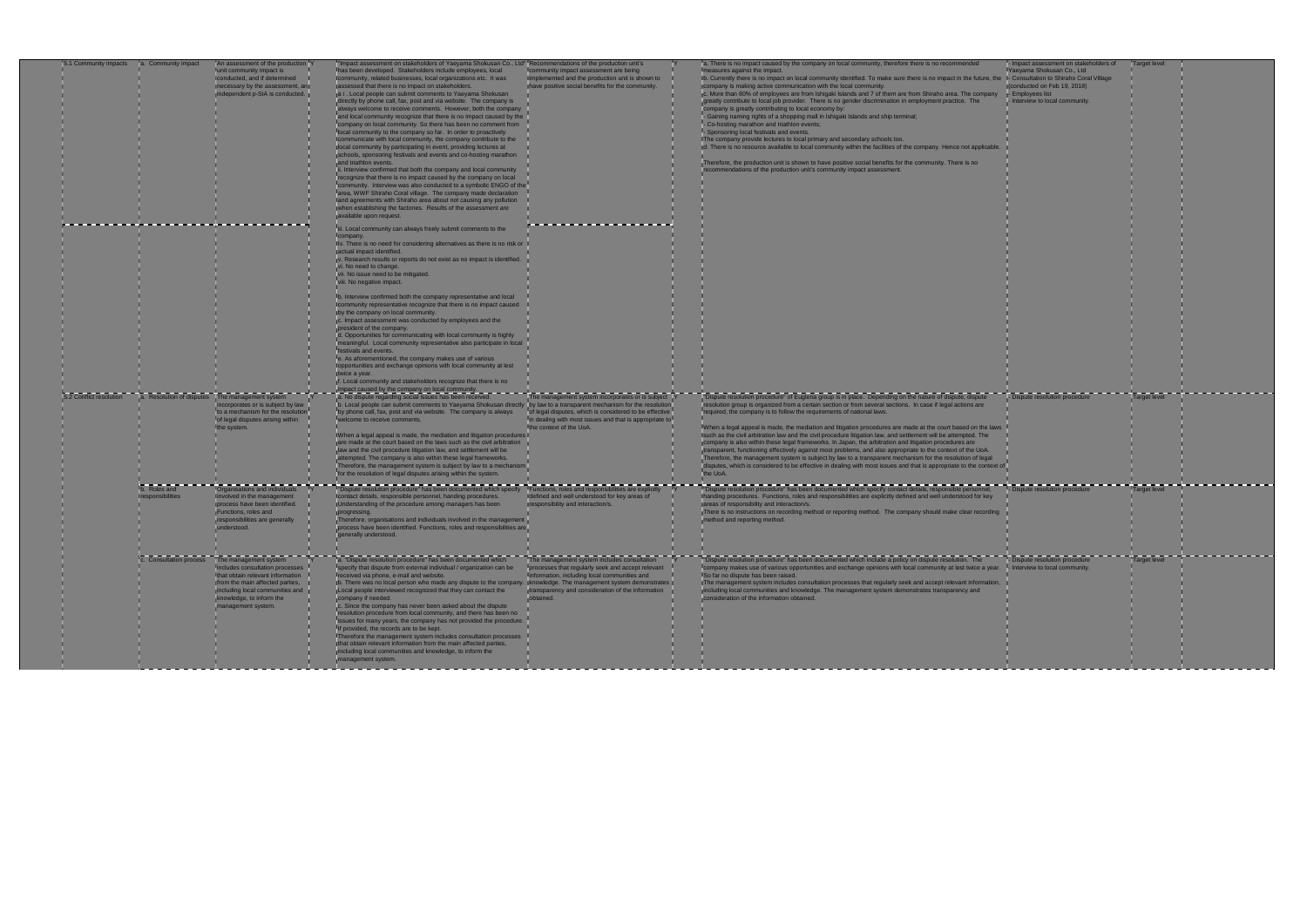| 5.1 Community impacts   | a. Community impact | An assessment of the production Y<br>unit community impact is         | Impact assessment on stakeholders of Yaeyama Shokusan Co., Ltd" Recommendations of the production unit's<br>has been developed. Stakeholders include employees, local                    | community impact assessment are being                          | a. There is no impact caused by the company on local community, therefore there is no recommended<br>easures against the impact.                                                                                               | - Impact assessment on stakeholders of<br>Yaeyama Shokusan Co., Ltd |
|-------------------------|---------------------|-----------------------------------------------------------------------|------------------------------------------------------------------------------------------------------------------------------------------------------------------------------------------|----------------------------------------------------------------|--------------------------------------------------------------------------------------------------------------------------------------------------------------------------------------------------------------------------------|---------------------------------------------------------------------|
|                         |                     | conducted, and if determined                                          | community, related businesses, local organizations etc. It was                                                                                                                           | Implemented and the production unit is shown to                | Ib. Currently there is no impact on local community identified. To make sure there is no impact in the future, the I- Consultation to Shiraho Coral Village                                                                    |                                                                     |
|                         |                     | necessary by the assessment, an<br>independent p-SIA is conducted.    | assessed that there is no impact on stakeholders.<br>a i. Local people can submit comments to Yaeyama Shokusan                                                                           | have positive social benefits for the community.               | company is making active communication with the local community.<br>c. More than 80% of employees are from Ishigaki Islands and 7 of them are from Shiraho area. The company                                                   | (conducted on Feb 19, 2018)<br>- Employees list                     |
|                         |                     |                                                                       | directly by phone call, fax, post and via website. The company is                                                                                                                        |                                                                | greatly contribute to local job provider. There is no gender discrimination in employment practice. The                                                                                                                        | - Interview to local community.                                     |
|                         |                     |                                                                       | always welcome to receive comments. However, both the company                                                                                                                            |                                                                | company is greatly contributing to local economy by:                                                                                                                                                                           |                                                                     |
|                         |                     |                                                                       | and local community recognize that there is no impact caused by the                                                                                                                      |                                                                | - Gaining naming rights of a shopping mall in Ishigaki Islands and ship terminal;                                                                                                                                              |                                                                     |
|                         |                     |                                                                       | company on local community. So there has been no comment from<br>local community to the company so far. In order to proactively                                                          |                                                                | - Co-hosting marathon and triathlon events;<br>- Sponsoring local festivals and events.                                                                                                                                        |                                                                     |
|                         |                     |                                                                       | communicate with local community, the company contribute to the                                                                                                                          |                                                                | The company provide lectures to local primary and secondary schools too.                                                                                                                                                       |                                                                     |
|                         |                     |                                                                       | local community by participating in event, providing lectures at                                                                                                                         |                                                                | d. There is no resource available to local community within the facilities of the company. Hence not applicable.                                                                                                               |                                                                     |
|                         |                     |                                                                       | schools, sponsoring festivals and events and co-hosting marathon                                                                                                                         |                                                                |                                                                                                                                                                                                                                |                                                                     |
|                         |                     |                                                                       | and triathlon events.<br>ii. Interview confirmed that both the company and local community                                                                                               |                                                                | Therefore, the production unit is shown to have positive social benefits for the community. There is no<br>recommendations of the production unit's community impact assessment.                                               |                                                                     |
|                         |                     |                                                                       | recognize that there is no impact caused by the company on local                                                                                                                         |                                                                |                                                                                                                                                                                                                                |                                                                     |
|                         |                     |                                                                       | community. Interview was also conducted to a symbolic ENGO of the                                                                                                                        |                                                                |                                                                                                                                                                                                                                |                                                                     |
|                         |                     |                                                                       | larea, WWF Shiraho Coral village. The company made declaration<br>and agreements with Shiraho area about not causing any pollution                                                       |                                                                |                                                                                                                                                                                                                                |                                                                     |
|                         |                     |                                                                       | when establishing the factories. Results of the assessment are                                                                                                                           |                                                                |                                                                                                                                                                                                                                |                                                                     |
|                         |                     |                                                                       | vailable upon request.                                                                                                                                                                   |                                                                |                                                                                                                                                                                                                                |                                                                     |
|                         |                     |                                                                       | liii. Local community can always freely submit comments to the                                                                                                                           |                                                                |                                                                                                                                                                                                                                |                                                                     |
|                         |                     |                                                                       | company.                                                                                                                                                                                 |                                                                |                                                                                                                                                                                                                                |                                                                     |
|                         |                     |                                                                       | Iv. There is no need for considering alternatives as there is no risk or                                                                                                                 |                                                                |                                                                                                                                                                                                                                |                                                                     |
|                         |                     |                                                                       | actual impact identified.                                                                                                                                                                |                                                                |                                                                                                                                                                                                                                |                                                                     |
|                         |                     |                                                                       | v. Research results or reports do not exist as no impact is identified.<br>i. No need to change.                                                                                         |                                                                |                                                                                                                                                                                                                                |                                                                     |
|                         |                     |                                                                       | vii. No issue need to be mitigated.                                                                                                                                                      |                                                                |                                                                                                                                                                                                                                |                                                                     |
|                         |                     |                                                                       | viii. No negative impact.                                                                                                                                                                |                                                                |                                                                                                                                                                                                                                |                                                                     |
|                         |                     |                                                                       |                                                                                                                                                                                          |                                                                |                                                                                                                                                                                                                                |                                                                     |
|                         |                     |                                                                       | b. Interview confirmed both the company representative and local<br>community representative recognize that there is no impact caused                                                    |                                                                |                                                                                                                                                                                                                                |                                                                     |
|                         |                     |                                                                       | by the company on local community.                                                                                                                                                       |                                                                |                                                                                                                                                                                                                                |                                                                     |
|                         |                     |                                                                       | c. Impact assessment was conducted by employees and the                                                                                                                                  |                                                                |                                                                                                                                                                                                                                |                                                                     |
|                         |                     |                                                                       | president of the company.<br>d. Opportunities for communicating with local community is highly                                                                                           |                                                                |                                                                                                                                                                                                                                |                                                                     |
|                         |                     |                                                                       | meaningful. Local community representative also participate in local                                                                                                                     |                                                                |                                                                                                                                                                                                                                |                                                                     |
|                         |                     |                                                                       | festivals and events.                                                                                                                                                                    |                                                                |                                                                                                                                                                                                                                |                                                                     |
|                         |                     |                                                                       | e. As aforementioned, the company makes use of various                                                                                                                                   |                                                                |                                                                                                                                                                                                                                |                                                                     |
|                         |                     |                                                                       | opportunities and exchange opinions with local community at lest<br>twice a year.                                                                                                        |                                                                |                                                                                                                                                                                                                                |                                                                     |
|                         |                     |                                                                       | f. Local community and stakeholders recognize that there is no                                                                                                                           |                                                                |                                                                                                                                                                                                                                |                                                                     |
|                         |                     |                                                                       | impact caused by the company on local community.<br>[a. No dispute regarding social issues has been received.                                                                            |                                                                |                                                                                                                                                                                                                                |                                                                     |
| 5.2 Conflict resolution |                     | a. Resolution of disputes The management system                       |                                                                                                                                                                                          | The management system incorporates or is subject               | "Dispute resolution procedure" of Euglena group is in place. Depending on the nature of dispute, dispute                                                                                                                       | - Dispute resolution procedure                                      |
|                         |                     | corporates or is subject by law<br>Ito a mechanism for the resolution | b. Local people can submit comments to Yaeyama Shokusan directly by law to a transparent mechanism for the resolution<br>by phone call, fax, post and via website. The company is always | lof legal disputes, which is considered to be effective        | resolution group is organized from a certain section or from several sections. In case if legal actions are<br>required, the company is to follow the requirements of national laws.                                           |                                                                     |
|                         |                     | of legal disputes arising within                                      | welcome to receive comments.                                                                                                                                                             | in dealing with most issues and that is appropriate to         |                                                                                                                                                                                                                                |                                                                     |
|                         |                     | the system.                                                           |                                                                                                                                                                                          | the context of the UoA.                                        | When a legal appeal is made, the mediation and litigation procedures are made at the court based on the laws                                                                                                                   |                                                                     |
|                         |                     |                                                                       | When a legal appeal is made, the mediation and litigation procedures                                                                                                                     |                                                                | such as the civil arbitration law and the civil procedure litigation law, and settlement will be attempted. The                                                                                                                |                                                                     |
|                         |                     |                                                                       | are made at the court based on the laws such as the civil arbitration<br>law and the civil procedure litigation law, and settlement will be                                              |                                                                | company is also within these legal frameworks. In Japan, the arbitration and litigation procedures are<br>transparent, functioning effectively against most problems, and also appropriate to the context of the UoA.          |                                                                     |
|                         |                     |                                                                       | tempted. The company is also within these legal frameworks.                                                                                                                              |                                                                | Therefore, the management system is subject by law to a transparent mechanism for the resolution of legal                                                                                                                      |                                                                     |
|                         |                     |                                                                       | Therefore, the management system is subject by law to a mechanism                                                                                                                        |                                                                | disputes, which is considered to be effective in dealing with most issues and that is appropriate to the context of I                                                                                                          |                                                                     |
|                         |                     |                                                                       | for the resolution of legal disputes arising within the system.                                                                                                                          |                                                                | the UoA.                                                                                                                                                                                                                       |                                                                     |
|                         | b. Roles and        | Organisations and individuals                                         | "Dispute resolution procedure" has been documented which specify Functions, roles and responsibilities are explicitly                                                                    |                                                                | "Dispute resolution procedure" has been documented which specify contact details, responsible personnel,                                                                                                                       | - Dispute resolution procedure                                      |
|                         | esponsibilities     | nvolved in the management                                             | contact details, responsible personnel, handing procedures.                                                                                                                              | defined and well understood for key areas of                   | handing procedures. Functions, roles and responsibilities are explicitly defined and well understood for key                                                                                                                   |                                                                     |
|                         |                     | process have been identified.                                         | Understanding of the procedure among managers has been                                                                                                                                   | responsibility and interaction/s.                              | areas of responsibility and interaction/s.                                                                                                                                                                                     |                                                                     |
|                         |                     | Functions, roles and<br>esponsibilities are generally                 | ogressing.<br>herefore, organisations and individuals involved in the management                                                                                                         |                                                                | There is no instructions on recording method or reporting method. The company should make clear recording<br>nethod and reporting method.                                                                                      |                                                                     |
|                         |                     | understood.                                                           | process have been identified. Functions, roles and responsibilities are                                                                                                                  |                                                                |                                                                                                                                                                                                                                |                                                                     |
|                         |                     |                                                                       | generally understood.                                                                                                                                                                    |                                                                |                                                                                                                                                                                                                                |                                                                     |
|                         |                     |                                                                       |                                                                                                                                                                                          |                                                                |                                                                                                                                                                                                                                |                                                                     |
|                         |                     | <b>C.</b> Consultation process The management system                  |                                                                                                                                                                                          |                                                                | The management system includes consultation The The management system includes consultation The Thispute resolution procedure' has been documented which include a policy on dispute resolution. The Thispute resolution proce |                                                                     |
|                         |                     | ncludes consultation processes                                        | specify that dispute from external individual / organization can be                                                                                                                      | processes that regularly seek and accept relevant              | company makes use of various opportunities and exchange opinions with local community at lest twice a year. - Interview to local community.                                                                                    |                                                                     |
|                         |                     | that obtain relevant information                                      | received via phone, e-mail and website.                                                                                                                                                  | information, including local communities and                   | So far no dispute has been raised.                                                                                                                                                                                             |                                                                     |
|                         |                     | from the main affected parties,                                       | b. There was no local person who made any dispute to the company. Knowledge. The management system demonstrates                                                                          |                                                                | The management system includes consultation processes that regularly seek and accept relevant information,                                                                                                                     |                                                                     |
|                         |                     | including local communities and                                       | Local people interviewed recognized that they can contact the                                                                                                                            | transparency and consideration of the information<br>obtained. | including local communities and knowledge. The management system demonstrates transparency and                                                                                                                                 |                                                                     |
|                         |                     | knowledge, to inform the<br>management system.                        | company if needed.<br>Ic. Since the company has never been asked about the dispute                                                                                                       |                                                                | consideration of the information obtained.                                                                                                                                                                                     |                                                                     |
|                         |                     |                                                                       | resolution procedure from local community, and there has been no                                                                                                                         |                                                                |                                                                                                                                                                                                                                |                                                                     |
|                         |                     |                                                                       | issues for many years, the company has not provided the procedure.                                                                                                                       |                                                                |                                                                                                                                                                                                                                |                                                                     |
|                         |                     |                                                                       | If provided, the records are to be kept.<br>Therefore the management system includes consultation processes                                                                              |                                                                |                                                                                                                                                                                                                                |                                                                     |
|                         |                     |                                                                       | that obtain relevant information from the main affected parties,                                                                                                                         |                                                                |                                                                                                                                                                                                                                |                                                                     |
|                         |                     |                                                                       | including local communities and knowledge, to inform the                                                                                                                                 |                                                                |                                                                                                                                                                                                                                |                                                                     |
|                         |                     |                                                                       | management system.                                                                                                                                                                       |                                                                |                                                                                                                                                                                                                                |                                                                     |
|                         |                     |                                                                       |                                                                                                                                                                                          |                                                                |                                                                                                                                                                                                                                |                                                                     |

|         | - Impact assessment on stakeholders of                               | Target level |  |
|---------|----------------------------------------------------------------------|--------------|--|
| $,$ the | Yaeyama Shokusan Co., Ltd<br>- Consultation to Shiraho Coral Village |              |  |
|         | (conducted on Feb 19, 2018)                                          |              |  |
| any     | - Employees list                                                     |              |  |
|         | - Interview to local community.                                      |              |  |
|         |                                                                      |              |  |
|         |                                                                      |              |  |
|         |                                                                      |              |  |
|         |                                                                      |              |  |
|         |                                                                      |              |  |
| able.   |                                                                      |              |  |
|         |                                                                      |              |  |
|         |                                                                      |              |  |
|         |                                                                      |              |  |
|         |                                                                      |              |  |
|         |                                                                      |              |  |
|         |                                                                      |              |  |
|         |                                                                      |              |  |
|         |                                                                      |              |  |
|         |                                                                      |              |  |
|         |                                                                      |              |  |
|         |                                                                      |              |  |
|         |                                                                      |              |  |
|         |                                                                      |              |  |
|         |                                                                      |              |  |
|         |                                                                      |              |  |
|         |                                                                      |              |  |
|         |                                                                      |              |  |
|         |                                                                      |              |  |
|         |                                                                      |              |  |
|         |                                                                      |              |  |
|         |                                                                      |              |  |
|         |                                                                      |              |  |
|         |                                                                      |              |  |
|         |                                                                      |              |  |
|         |                                                                      |              |  |
|         |                                                                      |              |  |
|         |                                                                      |              |  |
|         |                                                                      |              |  |
|         |                                                                      |              |  |
|         | - Dispute resolution procedure                                       | Target level |  |
|         |                                                                      |              |  |
|         |                                                                      |              |  |
|         |                                                                      |              |  |
| laws    |                                                                      |              |  |
|         |                                                                      |              |  |
|         |                                                                      |              |  |
| al      |                                                                      |              |  |
| text of |                                                                      |              |  |
|         |                                                                      |              |  |
|         |                                                                      |              |  |
| I,      | - Dispute resolution procedure                                       | Target level |  |
| łУ      |                                                                      |              |  |
|         |                                                                      |              |  |
| ding    |                                                                      |              |  |
|         |                                                                      |              |  |
|         |                                                                      |              |  |
|         |                                                                      |              |  |
|         |                                                                      |              |  |
|         |                                                                      |              |  |
|         | - Dispute resolution procedure                                       | Target level |  |
| ear.    | - Interview to local community.                                      |              |  |
| tion,   |                                                                      |              |  |
|         |                                                                      |              |  |
|         |                                                                      |              |  |
|         |                                                                      |              |  |
|         |                                                                      |              |  |
|         |                                                                      |              |  |
|         |                                                                      |              |  |
|         |                                                                      |              |  |
|         |                                                                      |              |  |
|         |                                                                      |              |  |
|         |                                                                      |              |  |
|         |                                                                      |              |  |